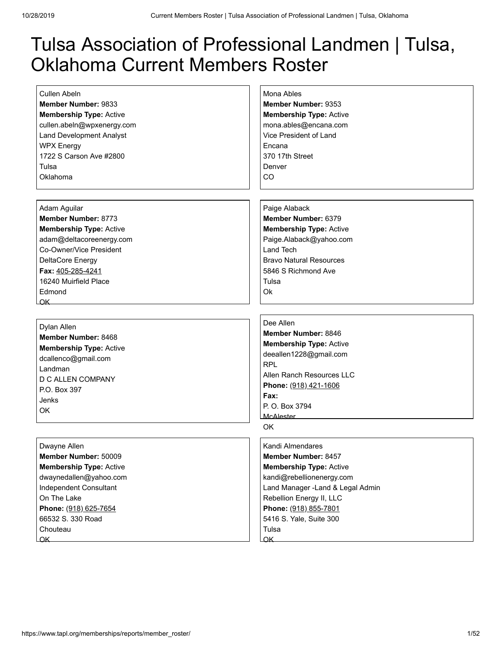# Tulsa Association of Professional Landmen | Tulsa, Oklahoma Current Members Roster

[Cullen Abeln](https://www.tapl.org/profiles/cabeln/) **Member Number:** 9833 **Membership Type:** Active cullen.abeln@wpxenergy.com Land Development Analyst WPX Energy 1722 S Carson Ave #2800 Tulsa Oklahoma

[Mona Ables](https://www.tapl.org/profiles/Mables/) **Member Number:** 9353 **Membership Type:** Active mona.ables@encana.com Vice President of Land Encana 370 17th Street Denver CO

[Adam Aguilar](https://www.tapl.org/profiles/AdamAguilar/) **Member Number:** 8773 **Membership Type:** Active adam@deltacoreenergy.com Co-Owner/Vice President DeltaCore Energy **Fax:** 405-285-4241 16240 Muirfield Place Edmond OK

#### [Dylan Allen](https://www.tapl.org/profiles/dcallen/) **Member Number:** 8468 **Membership Type:** Active dcallenco@gmail.com Landman D C ALLEN COMPANY P.O. Box 397 Jenks OK

#### [Dwayne Allen](https://www.tapl.org/profiles/dallen/)

**Member Number:** 50009 **Membership Type:** Active dwaynedallen@yahoo.com Independent Consultant On The Lake **Phone:** (918) 625-7654 66532 S. 330 Road **Chouteau** OK

[Paige Alaback](https://www.tapl.org/profiles/pdecker/) **Member Number:** 6379 **Membership Type:** Active Paige.Alaback@yahoo.com Land Tech Bravo Natural Resources 5846 S Richmond Ave Tulsa Ok

[Dee Allen](https://www.tapl.org/profiles/deeallen1228/) **Member Number:** 8846 **Membership Type:** Active deeallen1228@gmail.com RPL Allen Ranch Resources LLC **Phone:** (918) 421-1606 **Fax:** P. O. Box 3794 **McAlester** OK

[Kandi Almendares](https://www.tapl.org/profiles/kandiepp@hotmail.com/) **Member Number:** 8457 **Membership Type:** Active kandi@rebellionenergy.com Land Manager -Land & Legal Admin Rebellion Energy II, LLC **Phone:** (918) 855-7801 5416 S. Yale, Suite 300 Tulsa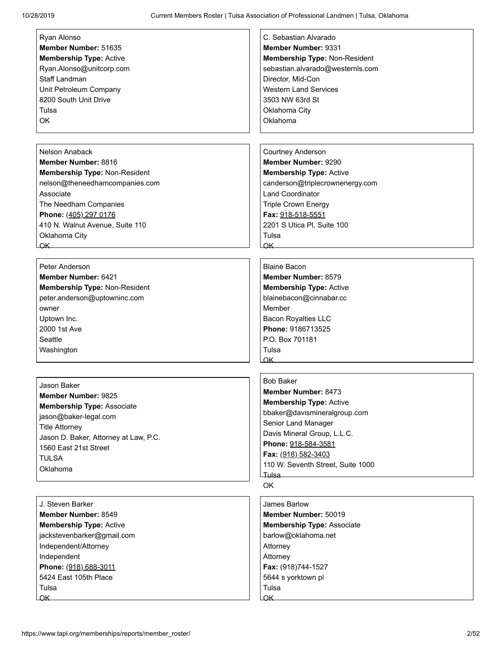| Ryan Alonso                           | C. Sebastian Alvarado                                                                                                                                                                                                                            |
|---------------------------------------|--------------------------------------------------------------------------------------------------------------------------------------------------------------------------------------------------------------------------------------------------|
| Member Number: 51635                  | Member Number: 9331                                                                                                                                                                                                                              |
|                                       |                                                                                                                                                                                                                                                  |
| <b>Membership Type: Active</b>        | Membership Type: Non-Resident                                                                                                                                                                                                                    |
| Ryan.Alonso@unitcorp.com              | sebastian.alvarado@westernls.com                                                                                                                                                                                                                 |
| <b>Staff Landman</b>                  | Director, Mid-Con                                                                                                                                                                                                                                |
| Unit Petroleum Company                | <b>Western Land Services</b>                                                                                                                                                                                                                     |
| 8200 South Unit Drive                 | 3503 NW 63rd St                                                                                                                                                                                                                                  |
| Tulsa                                 | Oklahoma City                                                                                                                                                                                                                                    |
|                                       |                                                                                                                                                                                                                                                  |
| OK                                    | Oklahoma                                                                                                                                                                                                                                         |
|                                       |                                                                                                                                                                                                                                                  |
|                                       |                                                                                                                                                                                                                                                  |
| Nelson Anaback                        | Courtney Anderson                                                                                                                                                                                                                                |
| Member Number: 8816                   | Member Number: 9290                                                                                                                                                                                                                              |
| Membership Type: Non-Resident         | <b>Membership Type: Active</b>                                                                                                                                                                                                                   |
| nelson@theneedhamcompanies.com        | canderson@triplecrownenergy.com                                                                                                                                                                                                                  |
|                                       |                                                                                                                                                                                                                                                  |
| Associate                             | <b>Land Coordinator</b>                                                                                                                                                                                                                          |
| The Needham Companies                 | <b>Triple Crown Energy</b>                                                                                                                                                                                                                       |
| Phone: (405) 297 0176                 | Fax: 918-518-5551                                                                                                                                                                                                                                |
| 410 N. Walnut Avenue, Suite 110       | 2201 S Utica PI, Suite 100                                                                                                                                                                                                                       |
| Oklahoma City                         | Tulsa                                                                                                                                                                                                                                            |
| OK                                    | $\alpha$ K                                                                                                                                                                                                                                       |
|                                       |                                                                                                                                                                                                                                                  |
|                                       |                                                                                                                                                                                                                                                  |
| Peter Anderson                        | <b>Blaine Bacon</b>                                                                                                                                                                                                                              |
| Member Number: 6421                   | Member Number: 8579                                                                                                                                                                                                                              |
| Membership Type: Non-Resident         | <b>Membership Type: Active</b>                                                                                                                                                                                                                   |
| peter.anderson@uptowninc.com          | blainebacon@cinnabar.cc                                                                                                                                                                                                                          |
| owner                                 | Member                                                                                                                                                                                                                                           |
|                                       |                                                                                                                                                                                                                                                  |
| Uptown Inc.                           | <b>Bacon Royalties LLC</b>                                                                                                                                                                                                                       |
| 2000 1st Ave                          | Phone: 9186713525                                                                                                                                                                                                                                |
| Seattle                               | P.O. Box 701181                                                                                                                                                                                                                                  |
| Washington                            | Tulsa                                                                                                                                                                                                                                            |
|                                       | $OK$ and $OK$ and $OK$ and $OK$ and $OK$ and $OK$ and $OK$ and $OK$ and $OK$ and $OK$ and $OK$ and $OK$ and $OK$ and $OK$ and $OK$ and $OK$ and $OK$ and $OK$ and $OK$ and $K$ and $K$ and $K$ and $K$ and $K$ and $K$ and $K$ and $K$ and $K$ a |
|                                       |                                                                                                                                                                                                                                                  |
|                                       | <b>Bob Baker</b>                                                                                                                                                                                                                                 |
| Jason Baker                           | Member Number: 8473                                                                                                                                                                                                                              |
| Member Number: 9825                   |                                                                                                                                                                                                                                                  |
| <b>Membership Type: Associate</b>     | Membership Type: Active                                                                                                                                                                                                                          |
| jason@baker-legal.com                 | bbaker@davismineralgroup.com                                                                                                                                                                                                                     |
| <b>Title Attorney</b>                 | Senior Land Manager                                                                                                                                                                                                                              |
|                                       | Davis Mineral Group, L.L.C.                                                                                                                                                                                                                      |
| Jason D. Baker, Attorney at Law, P.C. | Phone: 918-584-3581                                                                                                                                                                                                                              |
| 1560 East 21st Street                 | Fax: (918) 582-3403                                                                                                                                                                                                                              |
| <b>TULSA</b>                          |                                                                                                                                                                                                                                                  |
| Oklahoma                              | 110 W. Seventh Street, Suite 1000                                                                                                                                                                                                                |
|                                       | <u>Tulsa – </u>                                                                                                                                                                                                                                  |
|                                       | OK                                                                                                                                                                                                                                               |
|                                       |                                                                                                                                                                                                                                                  |
| J. Steven Barker                      | James Barlow                                                                                                                                                                                                                                     |
| Member Number: 8549                   | Member Number: 50019                                                                                                                                                                                                                             |
| <b>Membership Type: Active</b>        | <b>Membership Type: Associate</b>                                                                                                                                                                                                                |
| jackstevenbarker@gmail.com            | barlow@oklahoma.net                                                                                                                                                                                                                              |
|                                       |                                                                                                                                                                                                                                                  |
| Independent/Attorney                  | Attorney                                                                                                                                                                                                                                         |
| Independent                           | Attorney                                                                                                                                                                                                                                         |
| Phone: (918) 688-3011                 | Fax: (918)744-1527                                                                                                                                                                                                                               |
| 5424 East 105th Place                 | 5644 s yorktown pl                                                                                                                                                                                                                               |
| Tulsa                                 | Tulsa                                                                                                                                                                                                                                            |
| OK                                    |                                                                                                                                                                                                                                                  |
|                                       |                                                                                                                                                                                                                                                  |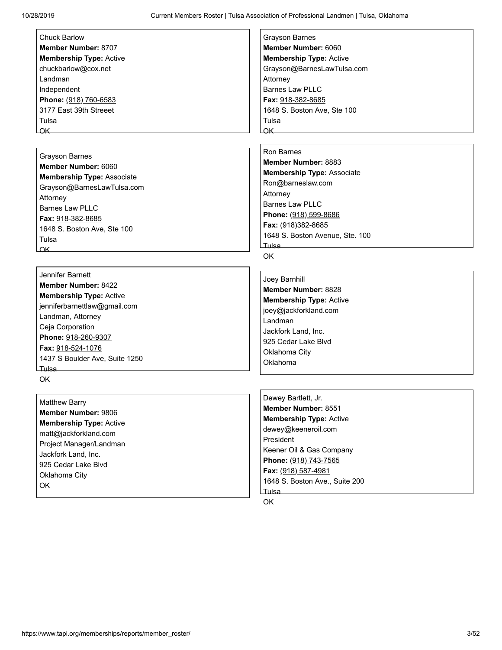[Chuck Barlow](https://www.tapl.org/profiles/c_barlow/) **Member Number:** 8707 **Membership Type:** Active chuckbarlow@cox.net Landman Independent **Phone:** (918) 760-6583 3177 East 39th Streeet Tulsa OK

[Grayson Barnes](https://www.tapl.org/profiles/grayboss/) **Member Number:** 6060 **Membership Type:** Associate Grayson@BarnesLawTulsa.com **Attorney** Barnes Law PLLC **Fax:** 918-382-8685 1648 S. Boston Ave, Ste 100 Tulsa OK

[Jennifer Barnett](https://www.tapl.org/profiles/jbarnett1289/) **Member Number:** 8422 **Membership Type:** Active jenniferbarnettlaw@gmail.com Landman, Attorney Ceja Corporation **Phone:** 918-260-9307 **Fax:** 918-524-1076 1437 S Boulder Ave, Suite 1250 Tulsa OK

[Matthew Barry](https://www.tapl.org/profiles/mbarryjfl/) **Member Number:** 9806 **Membership Type:** Active matt@jackforkland.com Project Manager/Landman Jackfork Land, Inc. 925 Cedar Lake Blvd Oklahoma City OK

[Grayson Barnes](https://www.tapl.org/profiles/grayboss/) **Member Number:** 6060 **Membership Type:** Active Grayson@BarnesLawTulsa.com Attorney Barnes Law PLLC **Fax:** 918-382-8685 1648 S. Boston Ave, Ste 100 Tulsa OK

[Ron Barnes](https://www.tapl.org/profiles/ron@cbb-law.com/)

**Member Number:** 8883 **Membership Type:** Associate Ron@barneslaw.com Attorney Barnes Law PLLC **Phone:** (918) 599-8686 **Fax:** (918)382-8685 1648 S. Boston Avenue, Ste. 100 Tulsa

OK

[Joey Barnhill](https://www.tapl.org/profiles/jbarnhill85/) **Member Number:** 8828 **Membership Type:** Active joey@jackforkland.com Landman Jackfork Land, Inc. 925 Cedar Lake Blvd Oklahoma City Oklahoma

[Dewey Bartlett, Jr.](https://www.tapl.org/profiles/dewey@keeneroil.com/) **Member Number:** 8551 **Membership Type:** Active dewey@keeneroil.com President Keener Oil & Gas Company **Phone:** (918) 743-7565 **Fax:** (918) 587-4981 1648 S. Boston Ave., Suite 200 Tulsa

OK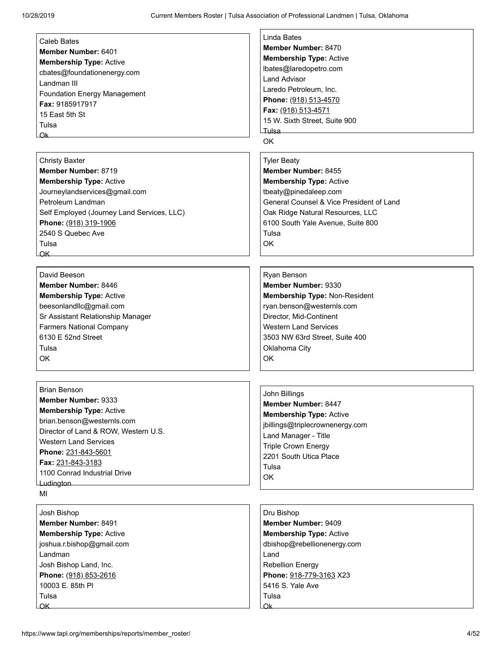| <b>Caleb Bates</b>                         | <b>Linda Bates</b>                       |
|--------------------------------------------|------------------------------------------|
| Member Number: 6401                        | Member Number: 8470                      |
|                                            | <b>Membership Type: Active</b>           |
| <b>Membership Type: Active</b>             | lbates@laredopetro.com                   |
| cbates@foundationenergy.com                | I and Advisor                            |
| Landman III                                | Laredo Petroleum, Inc.                   |
| <b>Foundation Energy Management</b>        | Phone: (918) 513-4570                    |
| Fax: 9185917917                            | Fax: (918) 513-4571                      |
| 15 East 5th St                             | 15 W. Sixth Street, Suite 900            |
| Tulsa                                      | Tulsa –                                  |
| Qk                                         | <b>OK</b>                                |
| <b>Christy Baxter</b>                      | <b>Tyler Beaty</b>                       |
| Member Number: 8719                        | Member Number: 8455                      |
| <b>Membership Type: Active</b>             | <b>Membership Type: Active</b>           |
| Journeylandservices@gmail.com              | tbeaty@pinedaleep.com                    |
| Petroleum Landman                          | General Counsel & Vice President of Land |
| Self Employed (Journey Land Services, LLC) | Oak Ridge Natural Resources, LLC         |
| Phone: (918) 319-1906                      | 6100 South Yale Avenue, Suite 800        |
| 2540 S Quebec Ave                          | Tulsa                                    |
| Tulsa                                      | OK                                       |
| $\overline{\mathsf{OK}}$                   |                                          |
|                                            |                                          |
| David Beeson                               | Ryan Benson                              |
| Member Number: 8446                        | Member Number: 9330                      |
| <b>Membership Type: Active</b>             | Membership Type: Non-Resident            |
| beesonlandllc@gmail.com                    | ryan.benson@westernls.com                |
| Sr Assistant Relationship Manager          | Director, Mid-Continent                  |
| <b>Farmers National Company</b>            | <b>Western Land Services</b>             |
| 6130 E 52nd Street                         | 3503 NW 63rd Street, Suite 400           |
| Tulsa                                      | Oklahoma City                            |
| OK                                         | <b>OK</b>                                |
|                                            |                                          |
| <b>Brian Benson</b>                        | John Billings                            |
| Member Number: 9333                        | Member Number: 8447                      |
| <b>Membership Type: Active</b>             | <b>Membership Type: Active</b>           |
| brian.benson@westernls.com                 | jbillings@triplecrownenergy.com          |
| Director of Land & ROW, Western U.S.       | Land Manager - Title                     |
| <b>Western Land Services</b>               | <b>Triple Crown Energy</b>               |
| Phone: 231-843-5601                        | 2201 South Utica Place                   |
| Fax: 231-843-3183                          | Tulsa                                    |
| 1100 Conrad Industrial Drive               | OK                                       |
| Ludington                                  |                                          |

MI

| Josh Bishop                    |  |  |
|--------------------------------|--|--|
| <b>Member Number: 8491</b>     |  |  |
| <b>Membership Type: Active</b> |  |  |
| joshua.r.bishop@gmail.com      |  |  |
| l andman                       |  |  |
| Josh Bishop Land, Inc.         |  |  |
| Phone: (918) 853-2616          |  |  |
| 10003 E. 85th PI               |  |  |
| Tulsa                          |  |  |
|                                |  |  |

## [Dru Bishop](https://www.tapl.org/profiles/DruBishop/) **Member Number:** 9409 **Membership Type:** Active dbishop@rebellionenergy.com Land Rebellion Energy **Phone:** 918-779-3163 X23 5416 S. Yale Ave Tulsa Ok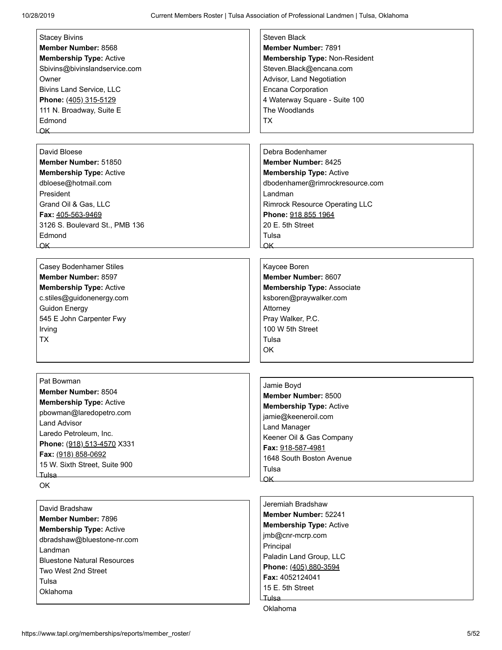| <b>Stacey Bivins</b>               | <b>Steven Black</b>                   |
|------------------------------------|---------------------------------------|
| Member Number: 8568                | <b>Member Number: 7891</b>            |
| <b>Membership Type: Active</b>     | Membership Type: Non-Resident         |
| Sbivins@bivinslandservice.com      | Steven.Black@encana.com               |
|                                    |                                       |
| Owner                              | Advisor, Land Negotiation             |
| <b>Bivins Land Service, LLC</b>    | Encana Corporation                    |
| Phone: (405) 315-5129              | 4 Waterway Square - Suite 100         |
| 111 N. Broadway, Suite E           | The Woodlands                         |
| Edmond                             | <b>TX</b>                             |
| $\alpha$ K $-$                     |                                       |
|                                    |                                       |
| David Bloese                       | Debra Bodenhamer                      |
| Member Number: 51850               | <b>Member Number: 8425</b>            |
| <b>Membership Type: Active</b>     | <b>Membership Type: Active</b>        |
| dbloese@hotmail.com                | dbodenhamer@rimrockresource.com       |
| President                          | Landman                               |
| Grand Oil & Gas, LLC               | <b>Rimrock Resource Operating LLC</b> |
| Fax: 405-563-9469                  | Phone: 918 855 1964                   |
| 3126 S. Boulevard St., PMB 136     | 20 E. 5th Street                      |
| Edmond                             | Tulsa                                 |
| OK                                 | $\alpha$ K                            |
|                                    |                                       |
| <b>Casey Bodenhamer Stiles</b>     | Kaycee Boren                          |
| Member Number: 8597                | Member Number: 8607                   |
| <b>Membership Type: Active</b>     | <b>Membership Type: Associate</b>     |
| c.stiles@guidonenergy.com          | ksboren@praywalker.com                |
| <b>Guidon Energy</b>               |                                       |
|                                    | Attorney                              |
| 545 E John Carpenter Fwy           | Pray Walker, P.C.                     |
| Irving                             | 100 W 5th Street                      |
| <b>TX</b>                          | Tulsa                                 |
|                                    | OK                                    |
|                                    |                                       |
| Pat Bowman                         |                                       |
| Member Number: 8504                | Jamie Boyd                            |
| <b>Membership Type: Active</b>     | <b>Member Number: 8500</b>            |
| pbowman@laredopetro.com            | <b>Membership Type: Active</b>        |
| <b>Land Advisor</b>                | jamie@keeneroil.com                   |
| Laredo Petroleum, Inc.             | <b>Land Manager</b>                   |
|                                    | Keener Oil & Gas Company              |
| Phone: (918) 513-4570 X331         | Fax: 918-587-4981                     |
| Fax: (918) 858-0692                | 1648 South Boston Avenue              |
| 15 W. Sixth Street, Suite 900      | Tulsa                                 |
| <b>Tulsa</b>                       | OK_                                   |
| OK                                 |                                       |
|                                    | Jeremiah Bradshaw                     |
| David Bradshaw                     | Member Number: 52241                  |
| <b>Member Number: 7896</b>         | <b>Membership Type: Active</b>        |
| <b>Membership Type: Active</b>     |                                       |
| dbradshaw@bluestone-nr.com         | jmb@cnr-mcrp.com                      |
| Landman                            | Principal                             |
| <b>Bluestone Natural Resources</b> | Paladin Land Group, LLC               |
| Two West 2nd Street                | Phone: (405) 880-3594                 |
| Tulsa                              | Fax: 4052124041                       |
| Oklahoma                           | 15 E. 5th Street                      |

Tulsa Oklahoma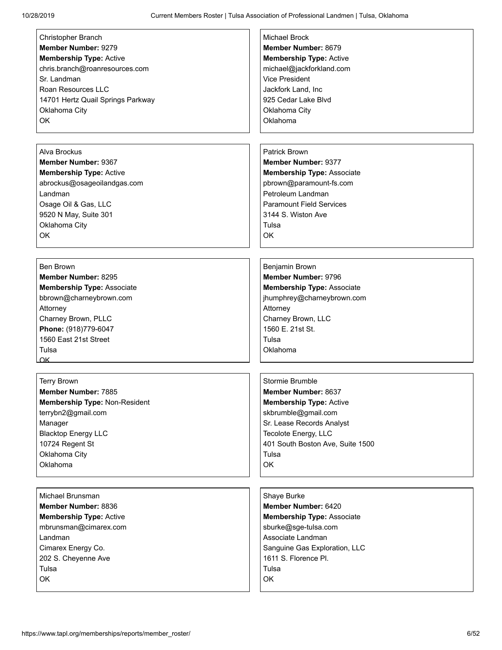| Christopher Branch                | <b>Michael Brock</b>              |
|-----------------------------------|-----------------------------------|
| Member Number: 9279               | Member Number: 8679               |
| <b>Membership Type: Active</b>    | <b>Membership Type: Active</b>    |
| chris.branch@roanresources.com    | michael@jackforkland.com          |
| Sr. Landman                       | <b>Vice President</b>             |
| Roan Resources LLC                |                                   |
|                                   | Jackfork Land, Inc                |
| 14701 Hertz Quail Springs Parkway | 925 Cedar Lake Blvd               |
| Oklahoma City                     | Oklahoma City                     |
| OK                                | Oklahoma                          |
|                                   |                                   |
|                                   |                                   |
| Alva Brockus                      | Patrick Brown                     |
| Member Number: 9367               | <b>Member Number: 9377</b>        |
| <b>Membership Type: Active</b>    | <b>Membership Type: Associate</b> |
| abrockus@osageoilandgas.com       | pbrown@paramount-fs.com           |
| Landman                           | Petroleum Landman                 |
| Osage Oil & Gas, LLC              | <b>Paramount Field Services</b>   |
| 9520 N May, Suite 301             | 3144 S. Wiston Ave                |
| Oklahoma City                     | Tulsa                             |
| <b>OK</b>                         | OK                                |
|                                   |                                   |
|                                   |                                   |
| <b>Ben Brown</b>                  | Benjamin Brown                    |
| Member Number: 8295               | Member Number: 9796               |
| Membership Type: Associate        | <b>Membership Type: Associate</b> |
| bbrown@charneybrown.com           | jhumphrey@charneybrown.com        |
| Attorney                          | Attorney                          |
| Charney Brown, PLLC               | Charney Brown, LLC                |
| Phone: (918)779-6047              | 1560 E. 21st St.                  |
| 1560 East 21st Street             | Tulsa                             |
| Tulsa                             | Oklahoma                          |
| $\alpha$                          |                                   |
|                                   |                                   |
| <b>Terry Brown</b>                | Stormie Brumble                   |
| <b>Member Number: 7885</b>        | <b>Member Number: 8637</b>        |
| Membership Type: Non-Resident     | <b>Membership Type: Active</b>    |
| terrybn2@gmail.com                | skbrumble@gmail.com               |
|                                   | Sr. Lease Records Analyst         |
| Manager                           |                                   |
| <b>Blacktop Energy LLC</b>        | Tecolote Energy, LLC              |
| 10724 Regent St                   | 401 South Boston Ave, Suite 1500  |
| Oklahoma City                     | Tulsa                             |
| Oklahoma                          | OK                                |
|                                   |                                   |
| Michael Brunsman                  | Shaye Burke                       |
| Member Number: 8836               | Member Number: 6420               |
|                                   |                                   |
| <b>Membership Type: Active</b>    | <b>Membership Type: Associate</b> |
| mbrunsman@cimarex.com             | sburke@sge-tulsa.com              |
| Landman                           | Associate Landman                 |
| Cimarex Energy Co.                | Sanguine Gas Exploration, LLC     |
| 202 S. Cheyenne Ave               | 1611 S. Florence Pl.              |
| Tulsa                             | Tulsa                             |
| OK                                | OK                                |
|                                   |                                   |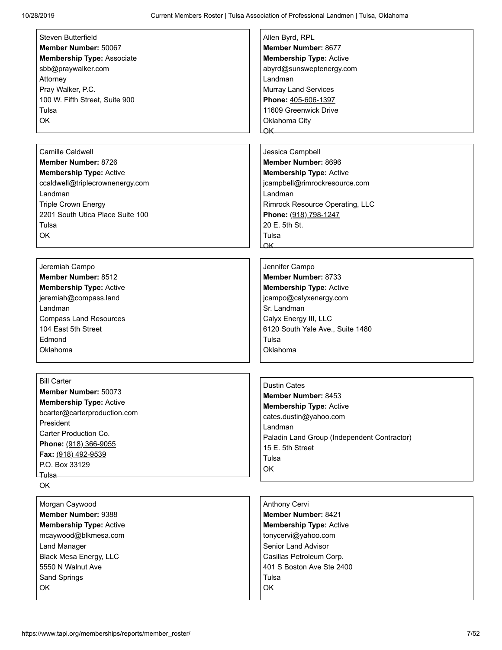| Steven Butterfield                | Allen Byrd, RPL                             |
|-----------------------------------|---------------------------------------------|
| Member Number: 50067              | Member Number: 8677                         |
| <b>Membership Type: Associate</b> | <b>Membership Type: Active</b>              |
| sbb@praywalker.com                | abyrd@sunsweptenergy.com                    |
| Attorney                          | Landman                                     |
| Pray Walker, P.C.                 | <b>Murray Land Services</b>                 |
| 100 W. Fifth Street, Suite 900    | Phone: 405-606-1397                         |
| Tulsa                             | 11609 Greenwick Drive                       |
| OK                                | Oklahoma City                               |
|                                   | OK                                          |
|                                   |                                             |
| <b>Camille Caldwell</b>           | Jessica Campbell                            |
| Member Number: 8726               | Member Number: 8696                         |
|                                   |                                             |
| <b>Membership Type: Active</b>    | <b>Membership Type: Active</b>              |
| ccaldwell@triplecrownenergy.com   | jcampbell@rimrockresource.com               |
| Landman                           | Landman                                     |
| <b>Triple Crown Energy</b>        | Rimrock Resource Operating, LLC             |
| 2201 South Utica Place Suite 100  | Phone: (918) 798-1247                       |
| Tulsa                             | 20 E. 5th St.                               |
| OK                                | Tulsa                                       |
|                                   | OK_                                         |
|                                   |                                             |
| Jeremiah Campo                    | Jennifer Campo                              |
| Member Number: 8512               | Member Number: 8733                         |
| <b>Membership Type: Active</b>    | <b>Membership Type: Active</b>              |
| jeremiah@compass.land             | jcampo@calyxenergy.com                      |
| Landman                           | Sr. Landman                                 |
| <b>Compass Land Resources</b>     | Calyx Energy III, LLC                       |
| 104 East 5th Street               | 6120 South Yale Ave., Suite 1480            |
| Edmond                            | Tulsa                                       |
| Oklahoma                          | Oklahoma                                    |
|                                   |                                             |
|                                   |                                             |
| <b>Bill Carter</b>                |                                             |
| Member Number: 50073              | <b>Dustin Cates</b>                         |
| <b>Membership Type: Active</b>    | Member Number: 8453                         |
| bcarter@carterproduction.com      | <b>Membership Type: Active</b>              |
| President                         | cates.dustin@yahoo.com                      |
| Carter Production Co.             | Landman                                     |
|                                   | Paladin Land Group (Independent Contractor) |
| Phone: (918) 366-9055             | 15 E. 5th Street                            |
| Fax: (918) 492-9539               | Tulsa                                       |
| P.O. Box 33129                    | OK                                          |
| Tulsa                             |                                             |
| OK                                |                                             |
| Morgan Caywood                    | Anthony Cervi                               |
| <b>Member Number: 9388</b>        | <b>Member Number: 8421</b>                  |
| <b>Membership Type: Active</b>    | <b>Membership Type: Active</b>              |
| mcaywood@blkmesa.com              | tonycervi@yahoo.com                         |
|                                   | Senior Land Advisor                         |
| <b>Land Manager</b>               |                                             |
| Black Mesa Energy, LLC            | Casillas Petroleum Corp.                    |
| 5550 N Walnut Ave                 | 401 S Boston Ave Ste 2400                   |
| Sand Springs                      | Tulsa                                       |
| OK                                | OK                                          |
|                                   |                                             |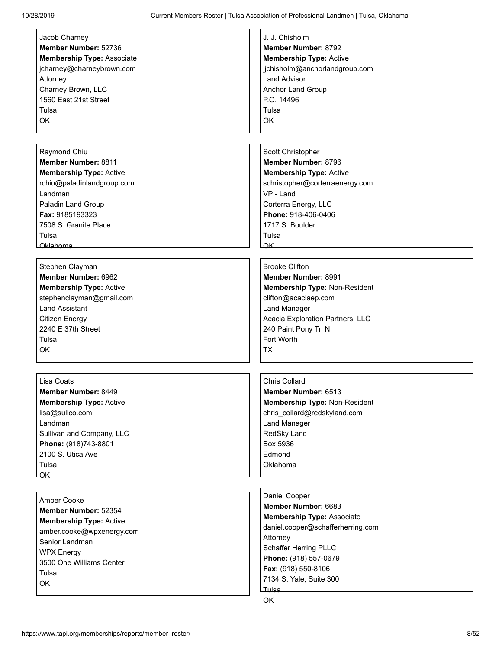| Jacob Charney                     | J. J. Chisholm                    |
|-----------------------------------|-----------------------------------|
| Member Number: 52736              | <b>Member Number: 8792</b>        |
|                                   |                                   |
| <b>Membership Type: Associate</b> | <b>Membership Type: Active</b>    |
| jcharney@charneybrown.com         | jjchisholm@anchorlandgroup.com    |
| Attorney                          | <b>Land Advisor</b>               |
| Charney Brown, LLC                | Anchor Land Group                 |
| 1560 East 21st Street             | P.O. 14496                        |
| Tulsa                             | Tulsa                             |
|                                   |                                   |
| OK                                | OK                                |
|                                   |                                   |
|                                   |                                   |
| Raymond Chiu                      | Scott Christopher                 |
| <b>Member Number: 8811</b>        | Member Number: 8796               |
|                                   |                                   |
| <b>Membership Type: Active</b>    | <b>Membership Type: Active</b>    |
| rchiu@paladinlandgroup.com        | schristopher@corterraenergy.com   |
| Landman                           | $VP - I$ and                      |
| Paladin Land Group                | Corterra Energy, LLC              |
| Fax: 9185193323                   | Phone: 918-406-0406               |
| 7508 S. Granite Place             | 1717 S. Boulder                   |
|                                   |                                   |
| Tulsa                             | Tulsa                             |
| Oklahoma                          | $\alpha$ K                        |
|                                   |                                   |
| Stephen Clayman                   | <b>Brooke Clifton</b>             |
| Member Number: 6962               | Member Number: 8991               |
| <b>Membership Type: Active</b>    | Membership Type: Non-Resident     |
|                                   |                                   |
| stephenclayman@gmail.com          | clifton@acaciaep.com              |
| <b>Land Assistant</b>             | <b>Land Manager</b>               |
| <b>Citizen Energy</b>             | Acacia Exploration Partners, LLC  |
| 2240 E 37th Street                | 240 Paint Pony Trl N              |
| Tulsa                             | Fort Worth                        |
| OK                                | ТX                                |
|                                   |                                   |
|                                   |                                   |
|                                   |                                   |
| Lisa Coats                        | <b>Chris Collard</b>              |
| <b>Member Number: 8449</b>        | <b>Member Number: 6513</b>        |
| <b>Membership Type: Active</b>    | Membership Type: Non-Resident     |
| lisa@sullco.com                   | chris collard@redskyland.com      |
| Landman                           | Land Manager                      |
|                                   |                                   |
| Sullivan and Company, LLC         | RedSky Land                       |
| Phone: (918)743-8801              | Box 5936                          |
| 2100 S. Utica Ave                 | Edmond                            |
| Tulsa                             | Oklahoma                          |
| OK                                |                                   |
|                                   |                                   |
|                                   | Daniel Cooper                     |
| Amber Cooke                       | Member Number: 6683               |
| Member Number: 52354              |                                   |
| <b>Membership Type: Active</b>    | <b>Membership Type: Associate</b> |
| amber.cooke@wpxenergy.com         | daniel.cooper@schafferherring.com |
| Senior Landman                    | Attorney                          |
|                                   | Schaffer Herring PLLC             |
| <b>WPX Energy</b>                 | Phone: (918) 557-0679             |
| 3500 One Williams Center          |                                   |
| Tulsa                             | Fax: (918) 550-8106               |
| OK                                | 7134 S. Yale, Suite 300           |
|                                   | Tulsa <sub>—</sub>                |
|                                   | OK                                |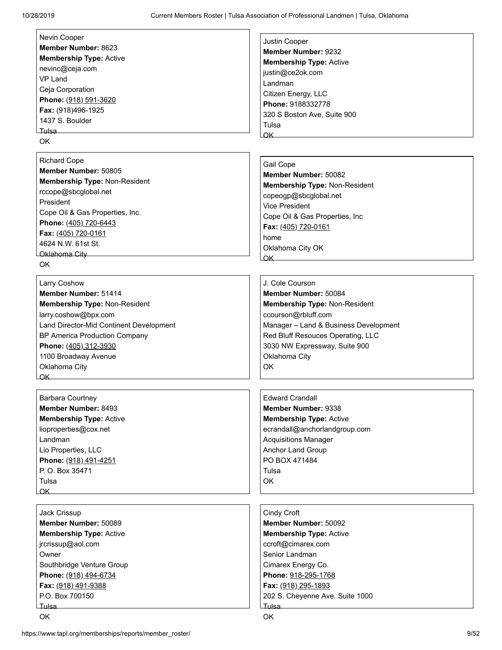| Nevin Cooper                            | Justin Cooper                         |
|-----------------------------------------|---------------------------------------|
| Member Number: 8623                     | <b>Member Number: 9232</b>            |
| <b>Membership Type: Active</b>          | <b>Membership Type: Active</b>        |
| nevinc@ceja.com                         | justin@ce2ok.com                      |
| VP Land                                 | Landman                               |
| Ceja Corporation                        | Citizen Energy, LLC                   |
| Phone: (918) 591-3620                   | Phone: 9188332778                     |
| Fax: (918)496-1925                      |                                       |
| 1437 S. Boulder                         | 320 S Boston Ave, Suite 900           |
| Tulsa —                                 | Tulsa                                 |
| OK.                                     | $\alpha$ K                            |
|                                         |                                       |
| <b>Richard Cope</b>                     | Gail Cope                             |
| Member Number: 50805                    | Member Number: 50082                  |
| Membership Type: Non-Resident           | <b>Membership Type: Non-Resident</b>  |
| rccope@sbcglobal.net                    | copeogp@sbcglobal.net                 |
| President                               | Vice President                        |
| Cope Oil & Gas Properties, Inc.         |                                       |
| Phone: (405) 720-6443                   | Cope Oil & Gas Properties, Inc        |
| Fax: (405) 720-0161                     | Fax: (405) 720-0161                   |
| 4624 N.W. 61st St.                      | home                                  |
| Oklahoma City                           | Oklahoma City OK                      |
| OK.                                     | OK                                    |
|                                         |                                       |
| Larry Coshow                            | J. Cole Courson                       |
| Member Number: 51414                    | Member Number: 50084                  |
| Membership Type: Non-Resident           | <b>Membership Type: Non-Resident</b>  |
| larry.coshow@bpx.com                    | ccourson@rbluff.com                   |
| Land Director-Mid Continent Development | Manager - Land & Business Development |
| BP America Production Company           | Red Bluff Resouces Operating, LLC     |
| Phone: (405) 312-3930                   | 3030 NW Expressway, Suite 900         |
| 1100 Broadway Avenue                    | Oklahoma City                         |
| Oklahoma City                           | OK                                    |
| $\overline{\mathsf{OK}}$                |                                       |
|                                         |                                       |
| <b>Barbara Courtney</b>                 | <b>Edward Crandall</b>                |
| Member Number: 8493                     | Member Number: 9338                   |
| <b>Membership Type: Active</b>          | <b>Membership Type: Active</b>        |
| lioproperties@cox.net                   | ecrandall@anchorlandgroup.com         |
| Landman                                 | <b>Acquisitions Manager</b>           |
| Lio Properties, LLC                     | Anchor Land Group                     |
| Phone: (918) 491-4251                   | PO BOX 471484                         |
| P. O. Box 35471                         | Tulsa                                 |
| Tulsa                                   | OK                                    |
| OK                                      |                                       |
|                                         |                                       |
| Jack Crissup                            | Cindy Croft                           |
| Member Number: 50089                    | Member Number: 50092                  |
| <b>Membership Type: Active</b>          | <b>Membership Type: Active</b>        |
| jrcrissup@aol.com                       | ccroft@cimarex.com                    |
|                                         |                                       |
| Owner                                   | Senior Landman                        |
| Southbridge Venture Group               | Cimarex Energy Co.                    |
| Phone: (918) 494-6734                   | Phone: 918-295-1768                   |
| Fax: (918) 491-9388                     | Fax: (918) 295-1893                   |
| P.O. Box 700150                         | 202 S. Cheyenne Ave. Suite 1000       |
|                                         |                                       |
| OK                                      | OK                                    |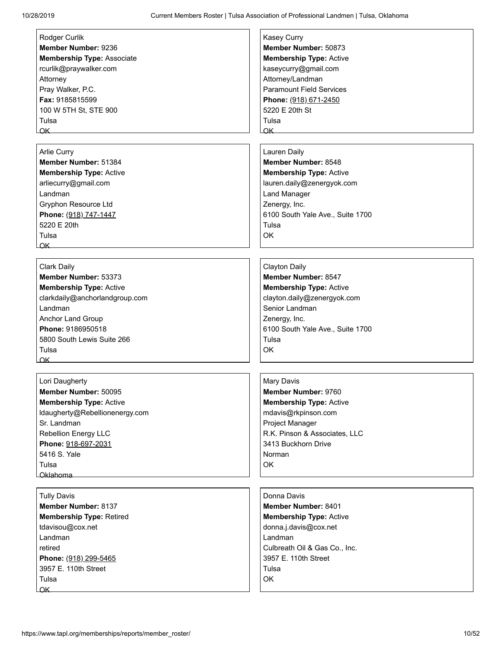| Rodger Curlik<br>Member Number: 9236<br><b>Membership Type: Associate</b><br>rcurlik@praywalker.com<br>Attorney<br>Pray Walker, P.C.<br>Fax: 9185815599<br>100 W 5TH St, STE 900<br>Tulsa                                              | <b>Kasey Curry</b><br>Member Number: 50873<br><b>Membership Type: Active</b><br>kaseycurry@gmail.com<br>Attorney/Landman<br><b>Paramount Field Services</b><br>Phone: (918) 671-2450<br>5220 E 20th St<br>Tulsa |
|----------------------------------------------------------------------------------------------------------------------------------------------------------------------------------------------------------------------------------------|-----------------------------------------------------------------------------------------------------------------------------------------------------------------------------------------------------------------|
|                                                                                                                                                                                                                                        | OK                                                                                                                                                                                                              |
| Arlie Curry<br>Member Number: 51384<br><b>Membership Type: Active</b><br>arliecurry@gmail.com<br>Landman<br><b>Gryphon Resource Ltd</b><br>Phone: (918) 747-1447<br>5220 E 20th<br>Tulsa<br>OK                                         | Lauren Daily<br>Member Number: 8548<br><b>Membership Type: Active</b><br>lauren.daily@zenergyok.com<br><b>Land Manager</b><br>Zenergy, Inc.<br>6100 South Yale Ave., Suite 1700<br>Tulsa<br>OK                  |
| Clark Daily<br>Member Number: 53373<br><b>Membership Type: Active</b><br>clarkdaily@anchorlandgroup.com<br>Landman<br><b>Anchor Land Group</b><br>Phone: 9186950518<br>5800 South Lewis Suite 266<br>Tulsa<br>$\overline{\mathsf{OK}}$ | <b>Clayton Daily</b><br>Member Number: 8547<br><b>Membership Type: Active</b><br>clayton.daily@zenergyok.com<br>Senior Landman<br>Zenergy, Inc.<br>6100 South Yale Ave., Suite 1700<br>Tulsa<br>OK              |
| Lori Daugherty<br>Member Number: 50095<br><b>Membership Type: Active</b><br>Idaugherty@Rebellionenergy.com<br>Sr. Landman<br>Rebellion Energy LLC<br>Phone: 918-697-2031<br>5416 S. Yale<br>Tulsa<br><b>Oklahoma</b>                   | Mary Davis<br>Member Number: 9760<br><b>Membership Type: Active</b><br>mdavis@rkpinson.com<br>Project Manager<br>R.K. Pinson & Associates, LLC<br>3413 Buckhorn Drive<br>Norman<br>OK                           |
| <b>Tully Davis</b><br><b>Member Number: 8137</b><br><b>Membership Type: Retired</b><br>tdavisou@cox.net<br>Landman<br>retired<br>Phone: (918) 299-5465<br>3957 E. 110th Street<br>Tulsa<br>OK                                          | Donna Davis<br>Member Number: 8401<br><b>Membership Type: Active</b><br>donna.j.davis@cox.net<br>Landman<br>Culbreath Oil & Gas Co., Inc.<br>3957 E. 110th Street<br>Tulsa<br>OK                                |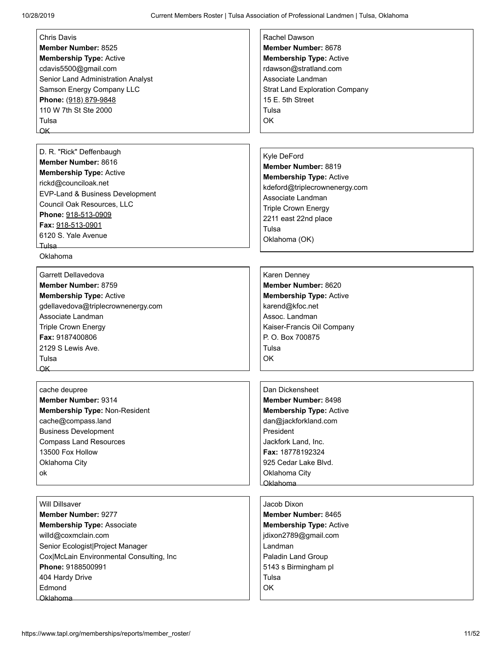| Chris Davis                              | Rachel Dawson                         |
|------------------------------------------|---------------------------------------|
| <b>Member Number: 8525</b>               | Member Number: 8678                   |
| <b>Membership Type: Active</b>           | <b>Membership Type: Active</b>        |
| cdavis5500@gmail.com                     | rdawson@stratland.com                 |
| Senior Land Administration Analyst       | Associate Landman                     |
| Samson Energy Company LLC                | <b>Strat Land Exploration Company</b> |
| Phone: (918) 879-9848                    | 15 E. 5th Street                      |
| 110 W 7th St Ste 2000                    | Tulsa                                 |
| Tulsa                                    | OK.                                   |
| OK                                       |                                       |
|                                          |                                       |
| D. R. "Rick" Deffenbaugh                 | Kyle DeFord                           |
| Member Number: 8616                      | Member Number: 8819                   |
| <b>Membership Type: Active</b>           | <b>Membership Type: Active</b>        |
| rickd@counciloak.net                     | kdeford@triplecrownenergy.com         |
| EVP-Land & Business Development          | Associate Landman                     |
| Council Oak Resources, LLC               | <b>Triple Crown Energy</b>            |
| Phone: 918-513-0909                      | 2211 east 22nd place                  |
| Fax: 918-513-0901                        | Tulsa                                 |
| 6120 S. Yale Avenue                      | Oklahoma (OK)                         |
|                                          |                                       |
| Oklahoma                                 |                                       |
|                                          |                                       |
| Garrett Dellavedova                      | Karen Denney                          |
| Member Number: 8759                      | Member Number: 8620                   |
| <b>Membership Type: Active</b>           | <b>Membership Type: Active</b>        |
| gdellavedova@triplecrownenergy.com       | karend@kfoc.net                       |
| Associate Landman                        | Assoc. Landman                        |
| <b>Triple Crown Energy</b>               | Kaiser-Francis Oil Company            |
| Fax: 9187400806                          | P. O. Box 700875                      |
| 2129 S Lewis Ave.                        | Tulsa                                 |
| Tulsa                                    | OK                                    |
|                                          |                                       |
|                                          | Dan Dickensheet                       |
| cache deupree<br>Member Number: 9314     |                                       |
|                                          | Member Number: 8498                   |
| Membership Type: Non-Resident            | <b>Membership Type: Active</b>        |
| cache@compass.land                       | dan@jackforkland.com                  |
| <b>Business Development</b>              | President                             |
| <b>Compass Land Resources</b>            | Jackfork Land, Inc.                   |
| 13500 Fox Hollow                         | Fax: 18778192324                      |
| Oklahoma City                            | 925 Cedar Lake Blvd.                  |
| ok                                       | Oklahoma City                         |
|                                          | Oklahoma                              |
| <b>Will Dillsaver</b>                    | Jacob Dixon                           |
| <b>Member Number: 9277</b>               | Member Number: 8465                   |
| <b>Membership Type: Associate</b>        | Membership Type: Active               |
| willd@coxmclain.com                      | jdixon2789@gmail.com                  |
| Senior Ecologist   Project Manager       | Landman                               |
| Cox McLain Environmental Consulting, Inc | Paladin Land Group                    |
| Phone: 9188500991                        | 5143 s Birmingham pl                  |
|                                          | Tulsa                                 |
| 404 Hardy Drive                          |                                       |
| Edmond                                   | OK                                    |
| Oklahoma                                 |                                       |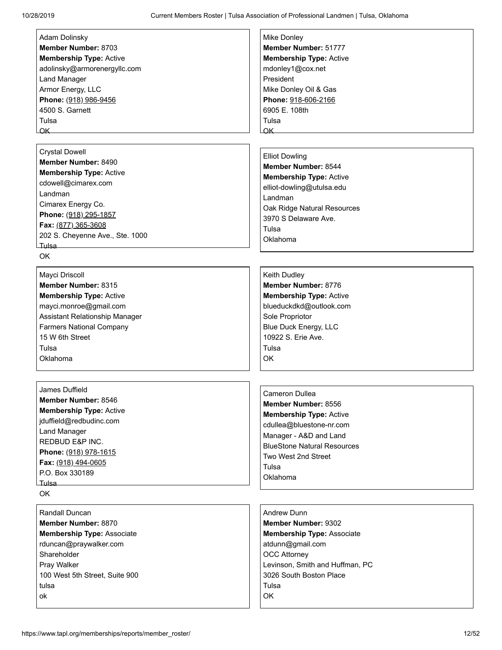| Adam Dolinsky                     | Mike Donley                        |
|-----------------------------------|------------------------------------|
| <b>Member Number: 8703</b>        | Member Number: 51777               |
| <b>Membership Type: Active</b>    | <b>Membership Type: Active</b>     |
| adolinsky@armorenergyllc.com      | mdonley1@cox.net                   |
| <b>Land Manager</b>               | President                          |
| Armor Energy, LLC                 | Mike Donley Oil & Gas              |
| Phone: (918) 986-9456             | Phone: 918-606-2166                |
| 4500 S. Garnett                   | 6905 E. 108th                      |
| Tulsa                             | Tulsa                              |
| $\overline{\mathsf{OK}}$          | OK_                                |
|                                   |                                    |
| <b>Crystal Dowell</b>             | <b>Elliot Dowling</b>              |
| Member Number: 8490               | Member Number: 8544                |
| <b>Membership Type: Active</b>    |                                    |
| cdowell@cimarex.com               | <b>Membership Type: Active</b>     |
| Landman                           | elliot-dowling@utulsa.edu          |
| Cimarex Energy Co.                | Landman                            |
| Phone: (918) 295-1857             | Oak Ridge Natural Resources        |
| Fax: (877) 365-3608               | 3970 S Delaware Ave.               |
| 202 S. Cheyenne Ave., Ste. 1000   | Tulsa                              |
| Tulsa                             | Oklahoma                           |
| <b>OK</b>                         |                                    |
|                                   |                                    |
| Mayci Driscoll                    | Keith Dudley                       |
| Member Number: 8315               | Member Number: 8776                |
| <b>Membership Type: Active</b>    | <b>Membership Type: Active</b>     |
| mayci.monroe@gmail.com            | blueduckdkd@outlook.com            |
| Assistant Relationship Manager    | Sole Propriotor                    |
| <b>Farmers National Company</b>   | <b>Blue Duck Energy, LLC</b>       |
| 15 W 6th Street                   | 10922 S. Erie Ave.                 |
| Tulsa                             | Tulsa                              |
| Oklahoma                          | OK                                 |
|                                   |                                    |
|                                   |                                    |
| James Duffield                    |                                    |
| Member Number: 8546               | <b>Cameron Dullea</b>              |
| <b>Membership Type: Active</b>    | Member Number: 8556                |
| jduffield@redbudinc.com           | <b>Membership Type: Active</b>     |
| <b>Land Manager</b>               | cdullea@bluestone-nr.com           |
| REDBUD E&P INC.                   | Manager - A&D and Land             |
| Phone: (918) 978-1615             | <b>BlueStone Natural Resources</b> |
| Fax: (918) 494-0605               | Two West 2nd Street                |
| P.O. Box 330189                   | Tulsa                              |
| _Tulsa___                         | Oklahoma                           |
| OK                                |                                    |
|                                   |                                    |
| Randall Duncan                    | <b>Andrew Dunn</b>                 |
| Member Number: 8870               | <b>Member Number: 9302</b>         |
| <b>Membership Type: Associate</b> | <b>Membership Type: Associate</b>  |
| rduncan@praywalker.com            | atdunn@gmail.com                   |
| Shareholder                       | <b>OCC Attorney</b>                |
| Pray Walker                       | Levinson, Smith and Huffman, PC    |
| 100 West 5th Street, Suite 900    | 3026 South Boston Place            |
| tulsa                             | Tulsa                              |
| оk                                | OK                                 |
|                                   |                                    |
|                                   |                                    |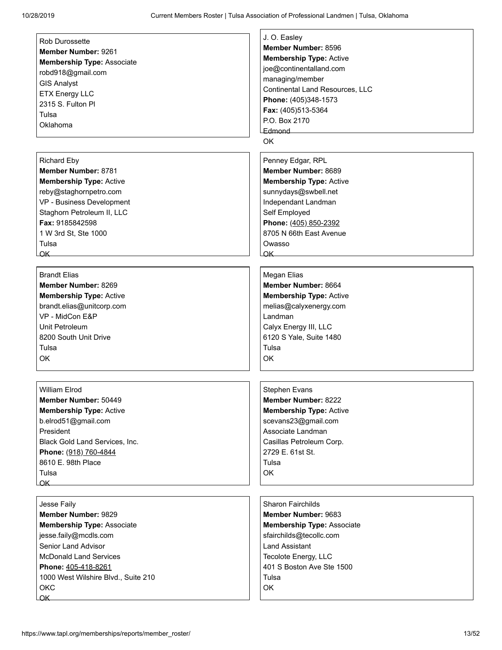|                                     | J. O. Easley                    |
|-------------------------------------|---------------------------------|
| <b>Rob Durossette</b>               | Member Number: 8596             |
| Member Number: 9261                 | <b>Membership Type: Active</b>  |
| <b>Membership Type: Associate</b>   | joe@continentalland.com         |
| robd918@gmail.com                   | managing/member                 |
| <b>GIS Analyst</b>                  | Continental Land Resources, LLC |
| <b>ETX Energy LLC</b>               | Phone: (405)348-1573            |
| 2315 S. Fulton PI                   | Fax: (405)513-5364              |
| Tulsa                               | P.O. Box 2170                   |
| Oklahoma                            | Edmond                          |
|                                     | OK                              |
|                                     |                                 |
| <b>Richard Eby</b>                  | Penney Edgar, RPL               |
| <b>Member Number: 8781</b>          | Member Number: 8689             |
| <b>Membership Type: Active</b>      | <b>Membership Type: Active</b>  |
| reby@staghornpetro.com              | sunnydays@swbell.net            |
| VP - Business Development           | Independant Landman             |
| Staghorn Petroleum II, LLC          | Self Employed                   |
| Fax: 9185842598                     | Phone: (405) 850-2392           |
| 1 W 3rd St, Ste 1000                | 8705 N 66th East Avenue         |
| Tulsa                               | Owasso                          |
| OK                                  | $\overline{\mathsf{OK}}$        |
|                                     |                                 |
| <b>Brandt Elias</b>                 | Megan Elias                     |
| Member Number: 8269                 | Member Number: 8664             |
|                                     |                                 |
| <b>Membership Type: Active</b>      | <b>Membership Type: Active</b>  |
| brandt.elias@unitcorp.com           | melias@calyxenergy.com          |
| VP - MidCon E&P                     | Landman                         |
| Unit Petroleum                      | Calyx Energy III, LLC           |
| 8200 South Unit Drive               | 6120 S Yale, Suite 1480         |
| Tulsa                               | Tulsa                           |
| <b>OK</b>                           | OK                              |
|                                     |                                 |
|                                     |                                 |
| William Elrod                       | Stephen Evans                   |
| Member Number: 50449                | Member Number: 8222             |
| <b>Membership Type: Active</b>      | <b>Membership Type: Active</b>  |
| b.elrod51@gmail.com                 | scevans23@gmail.com             |
| President                           | Associate Landman               |
| Black Gold Land Services, Inc.      | Casillas Petroleum Corp.        |
| Phone: (918) 760-4844               | 2729 E. 61st St.                |
| 8610 E. 98th Place                  | Tulsa                           |
| Tulsa                               | OK                              |
| OK_                                 |                                 |
|                                     |                                 |
| Jesse Faily                         | <b>Sharon Fairchilds</b>        |
| Member Number: 9829                 | <b>Member Number: 9683</b>      |
| <b>Membership Type: Associate</b>   | Membership Type: Associate      |
| jesse.faily@mcdls.com               | sfairchilds@tecollc.com         |
| Senior Land Advisor                 | <b>Land Assistant</b>           |
| <b>McDonald Land Services</b>       | Tecolote Energy, LLC            |
| Phone: 405-418-8261                 | 401 S Boston Ave Ste 1500       |
| 1000 West Wilshire Blvd., Suite 210 | Tulsa                           |
| OKC                                 | OK                              |
| QK.                                 |                                 |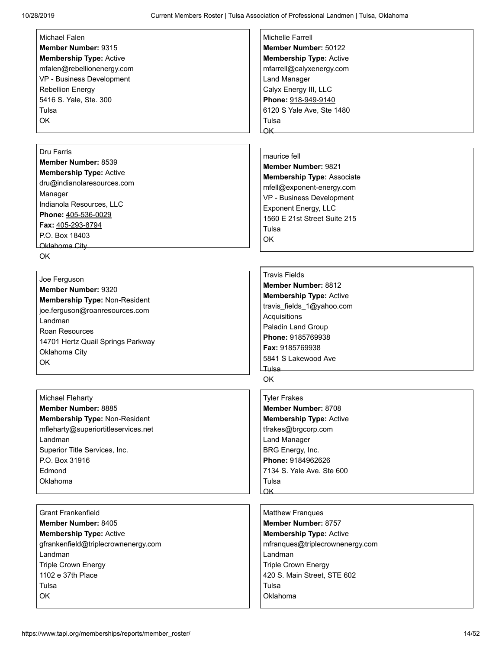| Michael Falen                       | Michelle Farrell                  |
|-------------------------------------|-----------------------------------|
| Member Number: 9315                 | Member Number: 50122              |
| <b>Membership Type: Active</b>      | <b>Membership Type: Active</b>    |
| mfalen@rebellionenergy.com          | mfarrell@calyxenergy.com          |
| VP - Business Development           | <b>Land Manager</b>               |
| <b>Rebellion Energy</b>             | Calyx Energy III, LLC             |
| 5416 S. Yale, Ste. 300              | Phone: 918-949-9140               |
| Tulsa                               | 6120 S Yale Ave, Ste 1480         |
| OK                                  | Tulsa                             |
|                                     | $\alpha$ K                        |
|                                     |                                   |
| Dru Farris                          |                                   |
| Member Number: 8539                 | maurice fell                      |
| <b>Membership Type: Active</b>      | <b>Member Number: 9821</b>        |
| dru@indianolaresources.com          | <b>Membership Type: Associate</b> |
| Manager                             | mfell@exponent-energy.com         |
| Indianola Resources, LLC            | VP - Business Development         |
| Phone: 405-536-0029                 | <b>Exponent Energy, LLC</b>       |
| Fax: 405-293-8794                   | 1560 E 21st Street Suite 215      |
| P.O. Box 18403                      | Tulsa                             |
| <b>Oklahoma City</b>                | <b>OK</b>                         |
| <b>OK</b>                           |                                   |
|                                     |                                   |
|                                     | <b>Travis Fields</b>              |
| Joe Ferguson<br>Member Number: 9320 | <b>Member Number: 8812</b>        |
|                                     | <b>Membership Type: Active</b>    |
| Membership Type: Non-Resident       | travis_fields_1@yahoo.com         |
| joe.ferguson@roanresources.com      | Acquisitions                      |
| Landman                             | Paladin Land Group                |
| Roan Resources                      | Phone: 9185769938                 |
| 14701 Hertz Quail Springs Parkway   | Fax: 9185769938                   |
| Oklahoma City                       | 5841 S Lakewood Ave               |
| OK                                  | Tulsa                             |
|                                     | <b>OK</b>                         |
|                                     |                                   |
| <b>Michael Fleharty</b>             | <b>Tyler Frakes</b>               |
| Member Number: 8885                 | Member Number: 8708               |
| Membership Type: Non-Resident       | Membership Type: Active           |
| mfleharty@superiortitleservices.net | tfrakes@brgcorp.com               |
| Landman                             | <b>Land Manager</b>               |
| Superior Title Services, Inc.       | BRG Energy, Inc.                  |
| P.O. Box 31916                      | Phone: 9184962626                 |
| Edmond                              | 7134 S. Yale Ave. Ste 600         |
| Oklahoma                            | Tulsa                             |
|                                     | $\alpha$ K                        |
|                                     |                                   |
| <b>Grant Frankenfield</b>           | <b>Matthew Franques</b>           |
| <b>Member Number: 8405</b>          | Member Number: 8757               |
| <b>Membership Type: Active</b>      | <b>Membership Type: Active</b>    |
| gfrankenfield@triplecrownenergy.com | mfranques@triplecrownenergy.com   |
| Landman                             | Landman                           |
| <b>Triple Crown Energy</b>          | <b>Triple Crown Energy</b>        |
| 1102 e 37th Place                   | 420 S. Main Street, STE 602       |
| Tulsa                               | Tulsa                             |
| OK                                  | Oklahoma                          |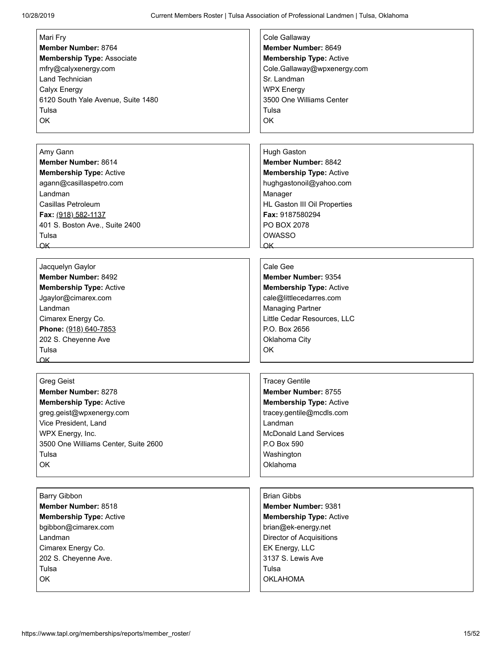| Mari Fry                             | Cole Gallaway                  |
|--------------------------------------|--------------------------------|
| Member Number: 8764                  | Member Number: 8649            |
| <b>Membership Type: Associate</b>    | <b>Membership Type: Active</b> |
| mfry@calyxenergy.com                 | Cole.Gallaway@wpxenergy.com    |
| Land Technician                      | Sr. Landman                    |
| Calyx Energy                         | <b>WPX Energy</b>              |
|                                      | 3500 One Williams Center       |
| 6120 South Yale Avenue, Suite 1480   |                                |
| Tulsa                                | Tulsa                          |
| OK                                   | <b>OK</b>                      |
|                                      |                                |
|                                      |                                |
| Amy Gann                             | <b>Hugh Gaston</b>             |
| Member Number: 8614                  | <b>Member Number: 8842</b>     |
| <b>Membership Type: Active</b>       | <b>Membership Type: Active</b> |
| agann@casillaspetro.com              | hughgastonoil@yahoo.com        |
| Landman                              | Manager                        |
| Casillas Petroleum                   | HL Gaston III Oil Properties   |
| Fax: (918) 582-1137                  | Fax: 9187580294                |
| 401 S. Boston Ave., Suite 2400       | PO BOX 2078                    |
| Tulsa                                | <b>OWASSO</b>                  |
|                                      |                                |
| OK                                   | $\alpha$ K                     |
|                                      |                                |
| Jacquelyn Gaylor                     | Cale Gee                       |
| Member Number: 8492                  | Member Number: 9354            |
| <b>Membership Type: Active</b>       | <b>Membership Type: Active</b> |
| Jgaylor@cimarex.com                  | cale@littlecedarres.com        |
| Landman                              | <b>Managing Partner</b>        |
| Cimarex Energy Co.                   | Little Cedar Resources, LLC    |
| Phone: (918) 640-7853                | P.O. Box 2656                  |
| 202 S. Cheyenne Ave                  | Oklahoma City                  |
| Tulsa                                | OK                             |
| OK                                   |                                |
|                                      |                                |
|                                      |                                |
| Greg Geist                           | <b>Tracey Gentile</b>          |
| Member Number: 8278                  | Member Number: 8755            |
| <b>Membership Type: Active</b>       | <b>Membership Type: Active</b> |
| greg.geist@wpxenergy.com             | tracey.gentile@mcdls.com       |
| Vice President, Land                 | Landman                        |
| WPX Energy, Inc.                     | <b>McDonald Land Services</b>  |
| 3500 One Williams Center, Suite 2600 | P.O Box 590                    |
| Tulsa                                | Washington                     |
| OK                                   | Oklahoma                       |
|                                      |                                |
|                                      |                                |
| <b>Barry Gibbon</b>                  | <b>Brian Gibbs</b>             |
| Member Number: 8518                  | Member Number: 9381            |
| <b>Membership Type: Active</b>       | <b>Membership Type: Active</b> |
|                                      |                                |
| bgibbon@cimarex.com                  | brian@ek-energy.net            |
| Landman                              | Director of Acquisitions       |
| Cimarex Energy Co.                   | EK Energy, LLC                 |
| 202 S. Cheyenne Ave.                 | 3137 S. Lewis Ave              |
| Tulsa                                | Tulsa                          |
| OK                                   | <b>OKLAHOMA</b>                |
|                                      |                                |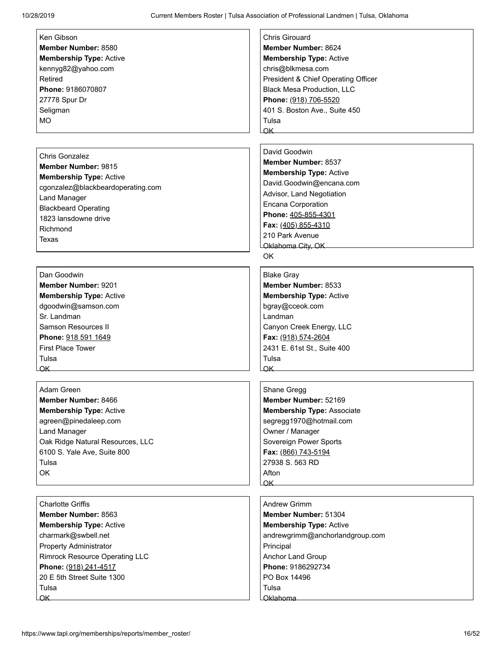| Ken Gibson                                           | <b>Chris Girouard</b>                  |
|------------------------------------------------------|----------------------------------------|
| Member Number: 8580                                  | Member Number: 8624                    |
|                                                      | <b>Membership Type: Active</b>         |
| <b>Membership Type: Active</b><br>kennyg82@yahoo.com | chris@blkmesa.com                      |
| Retired                                              | President & Chief Operating Officer    |
| Phone: 9186070807                                    | <b>Black Mesa Production, LLC</b>      |
|                                                      |                                        |
| 27778 Spur Dr                                        | Phone: (918) 706-5520                  |
| Seligman                                             | 401 S. Boston Ave., Suite 450<br>Tulsa |
| MO                                                   | $\alpha$ K                             |
|                                                      |                                        |
|                                                      | David Goodwin                          |
| <b>Chris Gonzalez</b>                                | Member Number: 8537                    |
| Member Number: 9815                                  | <b>Membership Type: Active</b>         |
| <b>Membership Type: Active</b>                       |                                        |
| cgonzalez@blackbeardoperating.com                    | David.Goodwin@encana.com               |
| <b>Land Manager</b>                                  | Advisor, Land Negotiation              |
| <b>Blackbeard Operating</b>                          | <b>Encana Corporation</b>              |
| 1823 lansdowne drive                                 | Phone: 405-855-4301                    |
| Richmond                                             | Fax: (405) 855-4310<br>210 Park Avenue |
| Texas                                                |                                        |
|                                                      | Oklahoma City, OK                      |
|                                                      | OK                                     |
| Dan Goodwin                                          | <b>Blake Gray</b>                      |
| <b>Member Number: 9201</b>                           | Member Number: 8533                    |
| <b>Membership Type: Active</b>                       | <b>Membership Type: Active</b>         |
| dgoodwin@samson.com                                  | bgray@cceok.com                        |
| Sr. Landman                                          | Landman                                |
| Samson Resources II                                  | Canyon Creek Energy, LLC               |
| Phone: 918 591 1649                                  | Fax: (918) 574-2604                    |
| <b>First Place Tower</b>                             | 2431 E. 61st St., Suite 400            |
| Tulsa                                                | Tulsa                                  |
| OK                                                   | $\alpha$ K                             |
|                                                      |                                        |
| Adam Green                                           | Shane Gregg                            |
| Member Number: 8466                                  | Member Number: 52169                   |
| <b>Membership Type: Active</b>                       | <b>Membership Type: Associate</b>      |
| agreen@pinedaleep.com                                | segregg1970@hotmail.com                |
| <b>Land Manager</b>                                  | Owner / Manager                        |
| Oak Ridge Natural Resources, LLC                     | Sovereign Power Sports                 |
| 6100 S. Yale Ave, Suite 800                          | Fax: (866) 743-5194                    |
| Tulsa                                                | 27938 S. 563 RD                        |
| OK                                                   | Afton                                  |
|                                                      | OK                                     |
|                                                      |                                        |
| <b>Charlotte Griffis</b>                             | <b>Andrew Grimm</b>                    |
| Member Number: 8563                                  | Member Number: 51304                   |
| <b>Membership Type: Active</b>                       | <b>Membership Type: Active</b>         |
| charmark@swbell.net                                  | andrewgrimm@anchorlandgroup.com        |
| <b>Property Administrator</b>                        | Principal                              |
| <b>Rimrock Resource Operating LLC</b>                | Anchor Land Group                      |
| Phone: (918) 241-4517                                | Phone: 9186292734                      |
| 20 E 5th Street Suite 1300                           | PO Box 14496                           |
| Tulsa                                                | Tulsa                                  |
| $\overline{\mathsf{OK}}$                             | Oklahoma                               |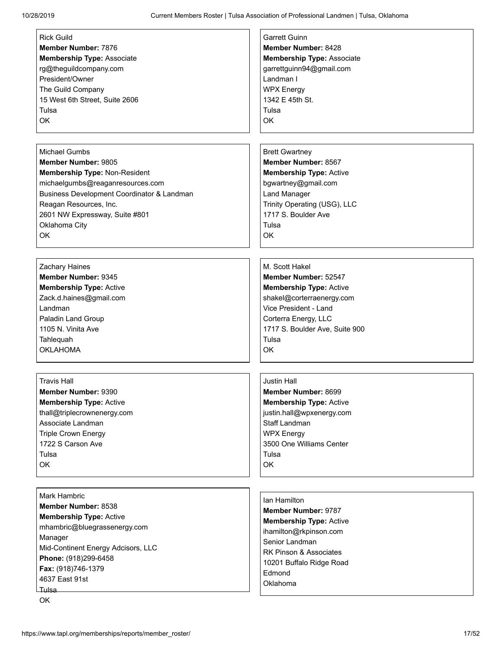| <b>Rick Guild</b>                                                                                                                                                                                                                            | <b>Garrett Guinn</b>                                                                                                                                                                                 |
|----------------------------------------------------------------------------------------------------------------------------------------------------------------------------------------------------------------------------------------------|------------------------------------------------------------------------------------------------------------------------------------------------------------------------------------------------------|
| <b>Member Number: 7876</b>                                                                                                                                                                                                                   | Member Number: 8428                                                                                                                                                                                  |
| <b>Membership Type: Associate</b>                                                                                                                                                                                                            | <b>Membership Type: Associate</b>                                                                                                                                                                    |
| rg@theguildcompany.com                                                                                                                                                                                                                       | garrettguinn94@gmail.com                                                                                                                                                                             |
| President/Owner                                                                                                                                                                                                                              | Landman I                                                                                                                                                                                            |
| The Guild Company                                                                                                                                                                                                                            | <b>WPX Energy</b>                                                                                                                                                                                    |
| 15 West 6th Street, Suite 2606                                                                                                                                                                                                               | 1342 E 45th St.                                                                                                                                                                                      |
| Tulsa                                                                                                                                                                                                                                        | Tulsa                                                                                                                                                                                                |
| <b>OK</b>                                                                                                                                                                                                                                    | OK                                                                                                                                                                                                   |
| <b>Michael Gumbs</b>                                                                                                                                                                                                                         | <b>Brett Gwartney</b>                                                                                                                                                                                |
| <b>Member Number: 9805</b>                                                                                                                                                                                                                   | Member Number: 8567                                                                                                                                                                                  |
| Membership Type: Non-Resident                                                                                                                                                                                                                | <b>Membership Type: Active</b>                                                                                                                                                                       |
| michaelgumbs@reaganresources.com                                                                                                                                                                                                             | bgwartney@gmail.com                                                                                                                                                                                  |
| Business Development Coordinator & Landman                                                                                                                                                                                                   | <b>Land Manager</b>                                                                                                                                                                                  |
| Reagan Resources, Inc.                                                                                                                                                                                                                       | Trinity Operating (USG), LLC                                                                                                                                                                         |
| 2601 NW Expressway, Suite #801                                                                                                                                                                                                               | 1717 S. Boulder Ave                                                                                                                                                                                  |
| Oklahoma City                                                                                                                                                                                                                                | Tulsa                                                                                                                                                                                                |
| OK                                                                                                                                                                                                                                           | OK                                                                                                                                                                                                   |
| Zachary Haines                                                                                                                                                                                                                               | M. Scott Hakel                                                                                                                                                                                       |
| Member Number: 9345                                                                                                                                                                                                                          | Member Number: 52547                                                                                                                                                                                 |
| <b>Membership Type: Active</b>                                                                                                                                                                                                               | <b>Membership Type: Active</b>                                                                                                                                                                       |
| Zack.d.haines@gmail.com                                                                                                                                                                                                                      | shakel@corterraenergy.com                                                                                                                                                                            |
| Landman                                                                                                                                                                                                                                      | Vice President - Land                                                                                                                                                                                |
| Paladin Land Group                                                                                                                                                                                                                           | Corterra Energy, LLC                                                                                                                                                                                 |
| 1105 N. Vinita Ave                                                                                                                                                                                                                           | 1717 S. Boulder Ave, Suite 900                                                                                                                                                                       |
| Tahlequah                                                                                                                                                                                                                                    | Tulsa                                                                                                                                                                                                |
| <b>OKLAHOMA</b>                                                                                                                                                                                                                              | OK                                                                                                                                                                                                   |
| <b>Travis Hall</b>                                                                                                                                                                                                                           | <b>Justin Hall</b>                                                                                                                                                                                   |
| Member Number: 9390                                                                                                                                                                                                                          | Member Number: 8699                                                                                                                                                                                  |
| <b>Membership Type: Active</b>                                                                                                                                                                                                               | <b>Membership Type: Active</b>                                                                                                                                                                       |
| thall@triplecrownenergy.com                                                                                                                                                                                                                  | justin.hall@wpxenergy.com                                                                                                                                                                            |
| Associate Landman                                                                                                                                                                                                                            | Staff Landman                                                                                                                                                                                        |
| <b>Triple Crown Energy</b>                                                                                                                                                                                                                   | <b>WPX Energy</b>                                                                                                                                                                                    |
| 1722 S Carson Ave                                                                                                                                                                                                                            | 3500 One Williams Center                                                                                                                                                                             |
| Tulsa                                                                                                                                                                                                                                        | Tulsa                                                                                                                                                                                                |
| OK                                                                                                                                                                                                                                           | OK                                                                                                                                                                                                   |
| <b>Mark Hambric</b><br>Member Number: 8538<br><b>Membership Type: Active</b><br>mhambric@bluegrassenergy.com<br>Manager<br>Mid-Continent Energy Adcisors, LLC<br>Phone: (918)299-6458<br>Fax: (918)746-1379<br>4637 East 91st<br>Tulsa<br>OK | Ian Hamilton<br><b>Member Number: 9787</b><br><b>Membership Type: Active</b><br>ihamilton@rkpinson.com<br>Senior Landman<br>RK Pinson & Associates<br>10201 Buffalo Ridge Road<br>Edmond<br>Oklahoma |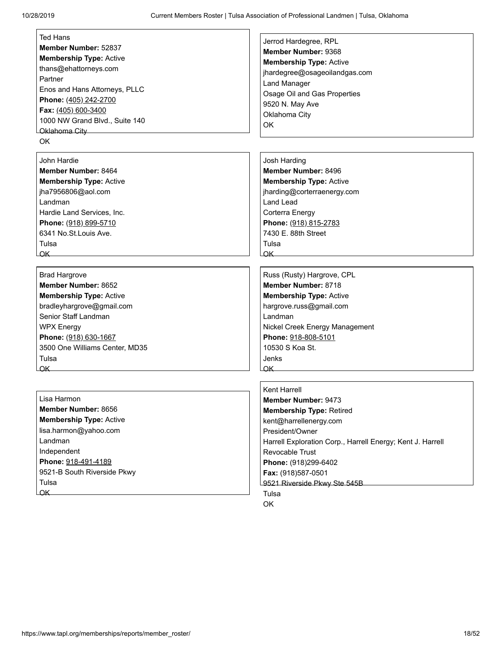| <b>Ted Hans</b><br>Jerrod Hardegree, RPL<br>Member Number: 52837<br>Member Number: 9368<br><b>Membership Type: Active</b><br><b>Membership Type: Active</b><br>thans@ehattorneys.com<br>jhardegree@osageoilandgas.com<br>Partner<br><b>Land Manager</b><br>Enos and Hans Attorneys, PLLC<br>Osage Oil and Gas Properties<br>Phone: (405) 242-2700<br>9520 N. May Ave |  |
|----------------------------------------------------------------------------------------------------------------------------------------------------------------------------------------------------------------------------------------------------------------------------------------------------------------------------------------------------------------------|--|
|                                                                                                                                                                                                                                                                                                                                                                      |  |
|                                                                                                                                                                                                                                                                                                                                                                      |  |
|                                                                                                                                                                                                                                                                                                                                                                      |  |
|                                                                                                                                                                                                                                                                                                                                                                      |  |
|                                                                                                                                                                                                                                                                                                                                                                      |  |
|                                                                                                                                                                                                                                                                                                                                                                      |  |
|                                                                                                                                                                                                                                                                                                                                                                      |  |
| Fax: (405) 600-3400<br>Oklahoma City                                                                                                                                                                                                                                                                                                                                 |  |
| 1000 NW Grand Blvd., Suite 140<br>OK                                                                                                                                                                                                                                                                                                                                 |  |
| Oklahoma City                                                                                                                                                                                                                                                                                                                                                        |  |
| OK                                                                                                                                                                                                                                                                                                                                                                   |  |
| John Hardie<br>Josh Harding                                                                                                                                                                                                                                                                                                                                          |  |
| Member Number: 8496<br>Member Number: 8464                                                                                                                                                                                                                                                                                                                           |  |
| <b>Membership Type: Active</b><br><b>Membership Type: Active</b>                                                                                                                                                                                                                                                                                                     |  |
| jha7956806@aol.com<br>jharding@corterraenergy.com                                                                                                                                                                                                                                                                                                                    |  |
| <b>Land Lead</b><br>Landman                                                                                                                                                                                                                                                                                                                                          |  |
| Hardie Land Services, Inc.<br>Corterra Energy                                                                                                                                                                                                                                                                                                                        |  |
| Phone: (918) 899-5710<br>Phone: (918) 815-2783                                                                                                                                                                                                                                                                                                                       |  |
| 6341 No.St.Louis Ave.<br>7430 E. 88th Street                                                                                                                                                                                                                                                                                                                         |  |
| Tulsa<br>Tulsa                                                                                                                                                                                                                                                                                                                                                       |  |
| OK                                                                                                                                                                                                                                                                                                                                                                   |  |
|                                                                                                                                                                                                                                                                                                                                                                      |  |
| Russ (Rusty) Hargrove, CPL<br><b>Brad Hargrove</b>                                                                                                                                                                                                                                                                                                                   |  |
| Member Number: 8718<br>Member Number: 8652                                                                                                                                                                                                                                                                                                                           |  |
| <b>Membership Type: Active</b><br><b>Membership Type: Active</b>                                                                                                                                                                                                                                                                                                     |  |
| bradleyhargrove@gmail.com<br>hargrove.russ@gmail.com                                                                                                                                                                                                                                                                                                                 |  |
| Senior Staff Landman<br>Landman                                                                                                                                                                                                                                                                                                                                      |  |
| <b>WPX Energy</b><br>Nickel Creek Energy Management                                                                                                                                                                                                                                                                                                                  |  |
| Phone: 918-808-5101<br>Phone: (918) 630-1667                                                                                                                                                                                                                                                                                                                         |  |
| 10530 S Koa St.<br>3500 One Williams Center, MD35                                                                                                                                                                                                                                                                                                                    |  |
| Tulsa<br>Jenks                                                                                                                                                                                                                                                                                                                                                       |  |
| $\overline{\mathsf{OK}}$<br>OK.                                                                                                                                                                                                                                                                                                                                      |  |
|                                                                                                                                                                                                                                                                                                                                                                      |  |
| Kent Harrell                                                                                                                                                                                                                                                                                                                                                         |  |
| Lisa Harmon<br>Member Number: 9473<br>Member Number: 8656                                                                                                                                                                                                                                                                                                            |  |
| <b>Membership Type: Retired</b>                                                                                                                                                                                                                                                                                                                                      |  |
| <b>Membership Type: Active</b><br>kent@harrellenergy.com                                                                                                                                                                                                                                                                                                             |  |
| lisa.harmon@yahoo.com<br>President/Owner                                                                                                                                                                                                                                                                                                                             |  |
| Landman<br>Harrell Exploration Corp., Harrell Energy; Kent J. Harrell                                                                                                                                                                                                                                                                                                |  |
| Independent<br><b>Revocable Trust</b>                                                                                                                                                                                                                                                                                                                                |  |
| Phone: 918-491-4189<br>Phone: (918)299-6402                                                                                                                                                                                                                                                                                                                          |  |
| 9521-B South Riverside Pkwy<br>Fax: (918)587-0501                                                                                                                                                                                                                                                                                                                    |  |
| Tulsa<br>9521 Riverside Pkwy Ste 545B                                                                                                                                                                                                                                                                                                                                |  |
| $\overline{\mathsf{OK}}$<br>Tulsa                                                                                                                                                                                                                                                                                                                                    |  |
| OK                                                                                                                                                                                                                                                                                                                                                                   |  |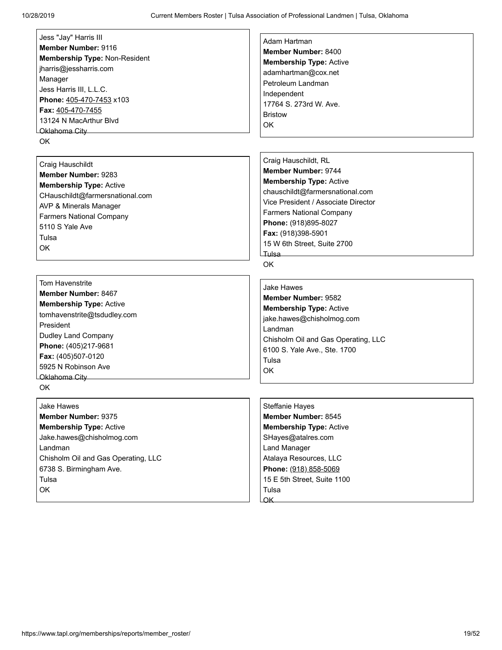| Member Number: 9116<br>Membership Type: Non-Resident<br>jharris@jessharris.com<br>Manager<br>Jess Harris III, L.L.C.<br>Phone: 405-470-7453 x103<br>Fax: 405-470-7455<br>13124 N MacArthur Blvd<br>LOklahoma Citv  | Member Number: 8400<br><b>Membership Type: Active</b><br>adamhartman@cox.net<br>Petroleum Landman<br>Independent<br>17764 S. 273rd W. Ave.<br><b>Bristow</b><br>OK.                                                                                                                           |
|--------------------------------------------------------------------------------------------------------------------------------------------------------------------------------------------------------------------|-----------------------------------------------------------------------------------------------------------------------------------------------------------------------------------------------------------------------------------------------------------------------------------------------|
| OK.<br>Craig Hauschildt<br>Member Number: 9283<br><b>Membership Type: Active</b><br>CHauschildt@farmersnational.com<br>AVP & Minerals Manager<br><b>Farmers National Company</b><br>5110 S Yale Ave<br>Tulsa<br>OK | Craig Hauschildt, RL<br>Member Number: 9744<br><b>Membership Type: Active</b><br>chauschildt@farmersnational.com<br>Vice President / Associate Director<br><b>Farmers National Company</b><br>Phone: (918)895-8027<br>Fax: (918)398-5901<br>15 W 6th Street, Suite 2700<br>Tulsa<br><b>OK</b> |

[Tom Havenstrite](https://www.tapl.org/profiles/tomhavenstrite@tsdudley.com/) **Member Number:** 8467 **Membership Type:** Active tomhavenstrite@tsdudley.com President Dudley Land Company **Phone:** (405)217-9681 **Fax:** (405)507-0120 5925 N Robinson Ave Oklahoma City OK

#### [Jake Hawes](https://www.tapl.org/profiles/jhawes/)

**Member Number:** 9375 **Membership Type:** Active Jake.hawes@chisholmog.com Landman Chisholm Oil and Gas Operating, LLC 6738 S. Birmingham Ave. Tulsa OK

#### [Jake Hawes](https://www.tapl.org/profiles/jhaweszen/) **Member Number:** 9582 **Membership Type:** Active jake.hawes@chisholmog.com Landman Chisholm Oil and Gas Operating, LLC 6100 S. Yale Ave., Ste. 1700 Tulsa OK

[Steffanie Hayes](https://www.tapl.org/profiles/xsteffyx/) **Member Number:** 8545 **Membership Type:** Active SHayes@atalres.com Land Manager Atalaya Resources, LLC **Phone:** (918) 858-5069 15 E 5th Street, Suite 1100 Tulsa **OK**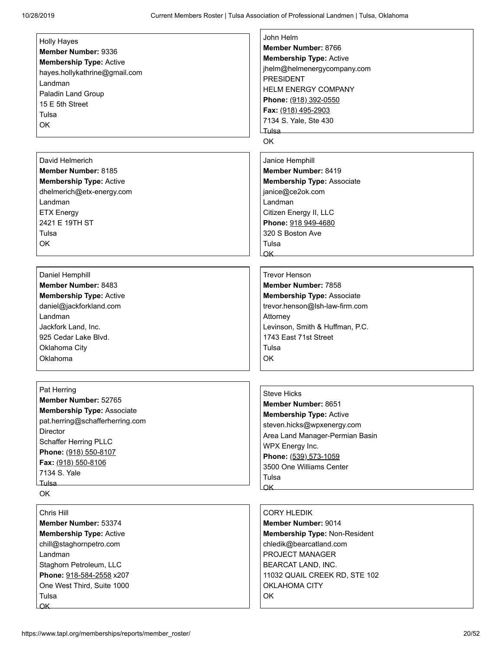$\Gamma$ 

| <b>Holly Hayes</b>                | John Helm                         |
|-----------------------------------|-----------------------------------|
| Member Number: 9336               | Member Number: 8766               |
| <b>Membership Type: Active</b>    | <b>Membership Type: Active</b>    |
| hayes.hollykathrine@gmail.com     | jhelm@helmenergycompany.com       |
| Landman                           | <b>PRESIDENT</b>                  |
| Paladin Land Group                | <b>HELM ENERGY COMPANY</b>        |
| 15 E 5th Street                   | Phone: (918) 392-0550             |
| Tulsa                             | Fax: (918) 495-2903               |
| OK                                | 7134 S. Yale, Ste 430             |
|                                   | Tulsa                             |
|                                   | OK                                |
| David Helmerich                   | Janice Hemphill                   |
| Member Number: 8185               | Member Number: 8419               |
| <b>Membership Type: Active</b>    | <b>Membership Type: Associate</b> |
| dhelmerich@etx-energy.com         | janice@ce2ok.com                  |
| Landman                           | Landman                           |
| <b>ETX Energy</b>                 | Citizen Energy II, LLC            |
| 2421 E 19TH ST                    | Phone: 918 949-4680               |
| Tulsa                             | 320 S Boston Ave                  |
| OK                                | Tulsa                             |
|                                   | $\alpha$ K                        |
|                                   |                                   |
| Daniel Hemphill                   | <b>Trevor Henson</b>              |
| Member Number: 8483               | Member Number: 7858               |
| <b>Membership Type: Active</b>    | <b>Membership Type: Associate</b> |
| daniel@jackforkland.com           | trevor.henson@lsh-law-firm.com    |
| Landman                           | Attorney                          |
| Jackfork Land, Inc.               | Levinson, Smith & Huffman, P.C.   |
| 925 Cedar Lake Blvd.              | 1743 East 71st Street             |
| Oklahoma City                     | Tulsa                             |
| Oklahoma                          | OK                                |
|                                   |                                   |
| Pat Herring                       | <b>Steve Hicks</b>                |
| Member Number: 52765              | Member Number: 8651               |
| <b>Membership Type: Associate</b> | <b>Membership Type: Active</b>    |
| pat.herring@schafferherring.com   | steven.hicks@wpxenergy.com        |
| <b>Director</b>                   | Area Land Manager-Permian Basin   |
| Schaffer Herring PLLC             | WPX Energy Inc.                   |
| Phone: (918) 550-8107             | Phone: (539) 573-1059             |
| Fax: (918) 550-8106               | 3500 One Williams Center          |
| 7134 S. Yale                      | Tulsa                             |
| ⊥Tulsa<br>OK                      | $\overline{\mathsf{OK}}$          |
|                                   |                                   |
| Chris Hill                        | <b>CORY HLEDIK</b>                |
| Member Number: 53374              | <b>Member Number: 9014</b>        |
| <b>Membership Type: Active</b>    | Membership Type: Non-Resident     |
| chill@staghornpetro.com           | chledik@bearcatland.com           |
| Landman                           | PROJECT MANAGER                   |
| Staghorn Petroleum, LLC           | BEARCAT LAND, INC.                |
| Phone: 918-584-2558 x207          | 11032 QUAIL CREEK RD, STE 102     |
| One West Third, Suite 1000        | <b>OKLAHOMA CITY</b>              |
| Tulsa                             | OK                                |
| $\overline{\mathsf{OK}}$          |                                   |

٦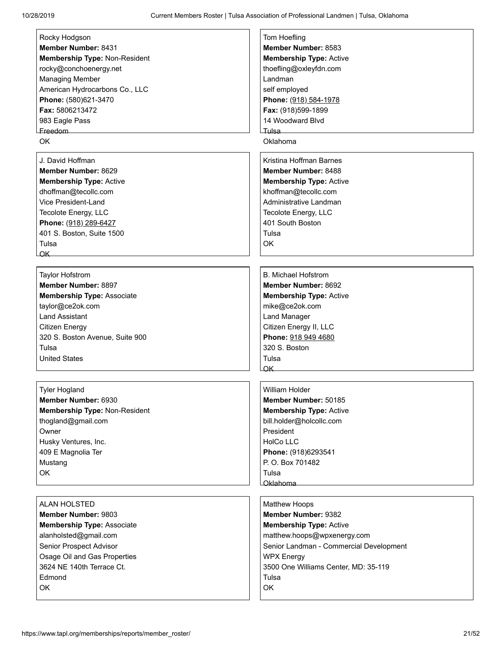| Rocky Hodgson<br>Member Number: 8431<br>Membership Type: Non-Resident<br>rocky@conchoenergy.net<br><b>Managing Member</b><br>American Hydrocarbons Co., LLC<br>Phone: (580)621-3470<br>Fax: 5806213472<br>983 Eagle Pass<br>Freedom<br><b>OK</b> | Tom Hoefling<br>Member Number: 8583<br><b>Membership Type: Active</b><br>thoefling@oxleyfdn.com<br>Landman<br>self employed<br>Phone: (918) 584-1978<br>Fax: (918)599-1899<br>14 Woodward Blvd<br>Tulsa<br>Oklahoma                        |
|--------------------------------------------------------------------------------------------------------------------------------------------------------------------------------------------------------------------------------------------------|--------------------------------------------------------------------------------------------------------------------------------------------------------------------------------------------------------------------------------------------|
| J. David Hoffman<br>Member Number: 8629<br><b>Membership Type: Active</b><br>dhoffman@tecollc.com<br>Vice President-Land<br>Tecolote Energy, LLC<br>Phone: (918) 289-6427<br>401 S. Boston, Suite 1500<br>Tulsa<br>$\alpha$ K                    | Kristina Hoffman Barnes<br>Member Number: 8488<br><b>Membership Type: Active</b><br>khoffman@tecollc.com<br>Administrative Landman<br>Tecolote Energy, LLC<br>401 South Boston<br>Tulsa<br>OK                                              |
| <b>Taylor Hofstrom</b><br>Member Number: 8897<br><b>Membership Type: Associate</b><br>taylor@ce2ok.com<br><b>Land Assistant</b><br>Citizen Energy<br>320 S. Boston Avenue, Suite 900<br>Tulsa<br><b>United States</b>                            | <b>B. Michael Hofstrom</b><br>Member Number: 8692<br><b>Membership Type: Active</b><br>mike@ce2ok.com<br><b>Land Manager</b><br>Citizen Energy II, LLC<br>Phone: 918 949 4680<br>320 S. Boston<br>Tulsa<br><u>OK</u>                       |
| <b>Tyler Hogland</b><br>Member Number: 6930<br>Membership Type: Non-Resident<br>thogland@gmail.com<br>Owner<br>Husky Ventures, Inc.<br>409 E Magnolia Ter<br>Mustang<br>OK                                                                       | William Holder<br>Member Number: 50185<br><b>Membership Type: Active</b><br>bill.holder@holcollc.com<br>President<br><b>HolCo LLC</b><br>Phone: (918)6293541<br>P.O. Box 701482<br>Tulsa<br>Oklahoma                                       |
| ALAN HOLSTED<br><b>Member Number: 9803</b><br><b>Membership Type: Associate</b><br>alanholsted@gmail.com<br>Senior Prospect Advisor<br>Osage Oil and Gas Properties<br>3624 NE 140th Terrace Ct.<br>Edmond<br><b>OK</b>                          | <b>Matthew Hoops</b><br>Member Number: 9382<br><b>Membership Type: Active</b><br>matthew.hoops@wpxenergy.com<br>Senior Landman - Commercial Development<br><b>WPX Energy</b><br>3500 One Williams Center, MD: 35-119<br>Tulsa<br><b>OK</b> |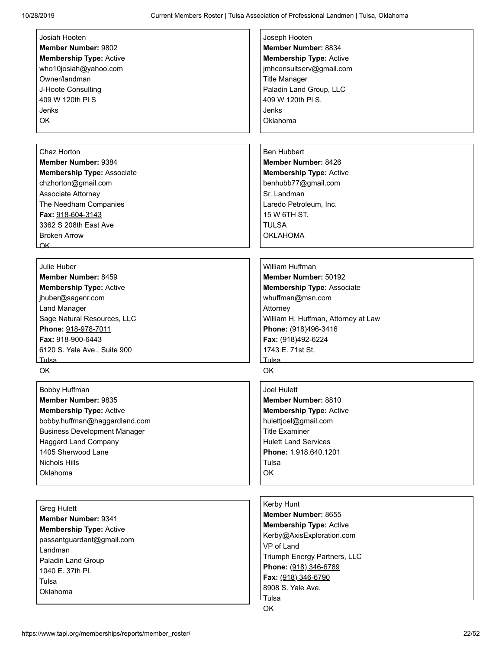| Josiah Hooten                       | Joseph Hooten                       |
|-------------------------------------|-------------------------------------|
| <b>Member Number: 9802</b>          | Member Number: 8834                 |
| <b>Membership Type: Active</b>      | <b>Membership Type: Active</b>      |
| who10josiah@yahoo.com               | jmhconsultserv@gmail.com            |
| Owner/landman                       | <b>Title Manager</b>                |
| J-Hoote Consulting                  | Paladin Land Group, LLC             |
| 409 W 120th PI S                    | 409 W 120th PI S.                   |
| Jenks                               | Jenks                               |
| <b>OK</b>                           | Oklahoma                            |
|                                     |                                     |
|                                     |                                     |
|                                     |                                     |
| Chaz Horton                         | <b>Ben Hubbert</b>                  |
| Member Number: 9384                 | Member Number: 8426                 |
| <b>Membership Type: Associate</b>   | <b>Membership Type: Active</b>      |
| chzhorton@gmail.com                 | benhubb77@gmail.com                 |
| Associate Attorney                  | Sr. Landman                         |
| The Needham Companies               | Laredo Petroleum, Inc.              |
| Fax: 918-604-3143                   | 15 W 6TH ST.                        |
| 3362 S 208th East Ave               | <b>TULSA</b>                        |
| <b>Broken Arrow</b>                 | <b>OKLAHOMA</b>                     |
| $\overline{\mathsf{OK}}$            |                                     |
|                                     |                                     |
| Julie Huber                         | William Huffman                     |
| Member Number: 8459                 | Member Number: 50192                |
|                                     |                                     |
| <b>Membership Type: Active</b>      | <b>Membership Type: Associate</b>   |
| jhuber@sagenr.com                   | whuffman@msn.com                    |
| Land Manager                        | Attorney                            |
| Sage Natural Resources, LLC         | William H. Huffman, Attorney at Law |
| Phone: 918-978-7011                 | Phone: (918)496-3416                |
| Fax: 918-900-6443                   | Fax: (918)492-6224                  |
| 6120 S. Yale Ave., Suite 900        | 1743 F. 71st St.                    |
| Tulsa <sub>—</sub>                  | Tulsa                               |
| OK                                  | <b>OK</b>                           |
|                                     |                                     |
| Bobby Huffman                       | <b>Joel Hulett</b>                  |
| Member Number: 9835                 | Member Number: 8810                 |
| <b>Membership Type: Active</b>      | <b>Membership Type: Active</b>      |
| bobby.huffman@haggardland.com       | hulettjoel@gmail.com                |
| <b>Business Development Manager</b> | <b>Title Examiner</b>               |
| <b>Haggard Land Company</b>         | <b>Hulett Land Services</b>         |
| 1405 Sherwood Lane                  | Phone: 1.918.640.1201               |
| <b>Nichols Hills</b>                | Tulsa                               |
| Oklahoma                            | OK                                  |
|                                     |                                     |
|                                     |                                     |
|                                     | Kerby Hunt                          |
| Greg Hulett                         | Member Number: 8655                 |
| Member Number: 9341                 | <b>Membership Type: Active</b>      |
| <b>Membership Type: Active</b>      | Kerby@AxisExploration.com           |
| passantguardant@gmail.com           | VP of Land                          |
| Landman                             |                                     |
| Paladin Land Group                  | Triumph Energy Partners, LLC        |
| 1040 E. 37th Pl.                    | Phone: (918) 346-6789               |
| Tulsa                               | Fax: (918) 346-6790                 |
| Oklahoma                            | 8908 S. Yale Ave.                   |
|                                     | <b>Tulsa</b>                        |
|                                     | OK                                  |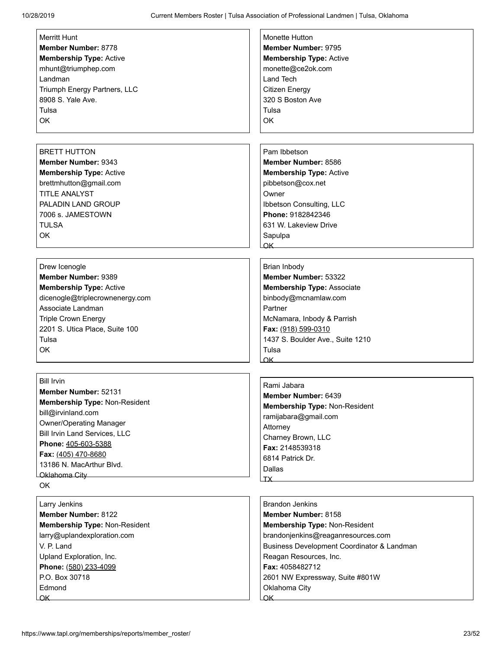| <b>Merritt Hunt</b>                  | Monette Hutton                             |
|--------------------------------------|--------------------------------------------|
| Member Number: 8778                  | Member Number: 9795                        |
| <b>Membership Type: Active</b>       | <b>Membership Type: Active</b>             |
| mhunt@triumphep.com                  | monette@ce2ok.com                          |
| Landman                              | Land Tech                                  |
| Triumph Energy Partners, LLC         | <b>Citizen Energy</b>                      |
| 8908 S. Yale Ave.                    | 320 S Boston Ave                           |
| Tulsa                                | Tulsa                                      |
| OK                                   | OK                                         |
|                                      |                                            |
| <b>BRETT HUTTON</b>                  | Pam Ibbetson                               |
| Member Number: 9343                  | Member Number: 8586                        |
| <b>Membership Type: Active</b>       | <b>Membership Type: Active</b>             |
| brettmhutton@gmail.com               | pibbetson@cox.net                          |
| <b>TITLE ANALYST</b>                 | Owner                                      |
| PALADIN LAND GROUP                   | Ibbetson Consulting, LLC                   |
| 7006 s. JAMESTOWN                    | Phone: 9182842346                          |
| <b>TULSA</b>                         | 631 W. Lakeview Drive                      |
| OK                                   | Sapulpa                                    |
|                                      | OK.                                        |
|                                      |                                            |
| Drew Icenogle                        | Brian Inbody                               |
| Member Number: 9389                  | Member Number: 53322                       |
| <b>Membership Type: Active</b>       | <b>Membership Type: Associate</b>          |
| dicenogle@triplecrownenergy.com      | binbody@mcnamlaw.com                       |
| Associate Landman                    | Partner                                    |
| <b>Triple Crown Energy</b>           | McNamara, Inbody & Parrish                 |
| 2201 S. Utica Place, Suite 100       | Fax: (918) 599-0310                        |
| Tulsa                                | 1437 S. Boulder Ave., Suite 1210           |
| OK                                   | Tulsa                                      |
|                                      | OK                                         |
| <b>Bill Irvin</b>                    |                                            |
| <b>Member Number: 52131</b>          | Rami Jabara                                |
| Membership Type: Non-Resident        | <b>Member Number: 6439</b>                 |
| bill@irvinland.com                   | Membership Type: Non-Resident              |
| <b>Owner/Operating Manager</b>       | ramijabara@gmail.com                       |
| <b>Bill Irvin Land Services, LLC</b> | Attorney                                   |
| Phone: 405-603-5388                  | Charney Brown, LLC                         |
| Fax: (405) 470-8680                  | Fax: 2148539318                            |
| 13186 N. MacArthur Blvd.             | 6814 Patrick Dr.                           |
| Oklahoma City                        | Dallas<br>$\mathsf{T} \mathsf{X}$          |
| OK                                   |                                            |
| Larry Jenkins                        | <b>Brandon Jenkins</b>                     |
| <b>Member Number: 8122</b>           | Member Number: 8158                        |
| Membership Type: Non-Resident        | Membership Type: Non-Resident              |
| larry@uplandexploration.com          | brandonjenkins@reaganresources.com         |
| V. P. Land                           | Business Development Coordinator & Landman |
| Upland Exploration, Inc.             | Reagan Resources, Inc.                     |
| Phone: (580) 233-4099                | Fax: 4058482712                            |
| P.O. Box 30718                       | 2601 NW Expressway, Suite #801W            |
| Edmond                               | Oklahoma City                              |
| $\overline{\mathsf{OK}}$             | $\overline{\mathsf{OK}}$                   |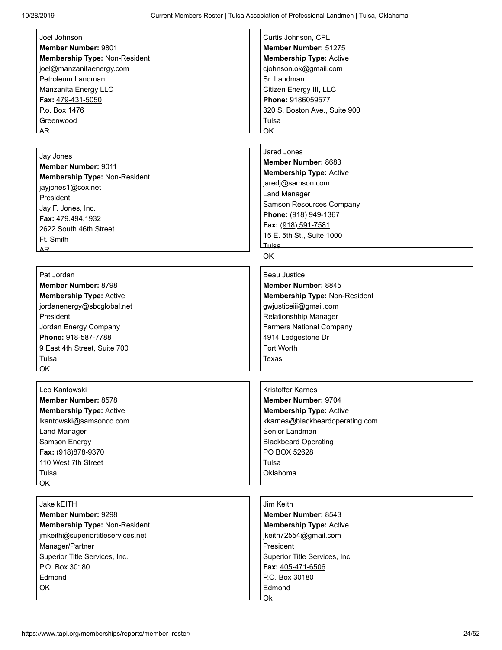| Joel Johnson                                  | Curtis Johnson, CPL                  |
|-----------------------------------------------|--------------------------------------|
| Member Number: 9801                           | Member Number: 51275                 |
|                                               |                                      |
| Membership Type: Non-Resident                 | <b>Membership Type: Active</b>       |
| joel@manzanitaenergy.com<br>Petroleum Landman | cjohnson.ok@gmail.com<br>Sr. Landman |
|                                               |                                      |
| Manzanita Energy LLC                          | Citizen Energy III, LLC              |
| Fax: 479-431-5050                             | Phone: 9186059577                    |
| P.o. Box 1476                                 | 320 S. Boston Ave., Suite 900        |
| Greenwood                                     | Tulsa                                |
| AR_                                           | OK                                   |
|                                               |                                      |
| Jay Jones                                     | Jared Jones                          |
| <b>Member Number: 9011</b>                    | Member Number: 8683                  |
| Membership Type: Non-Resident                 | <b>Membership Type: Active</b>       |
| jayjones1@cox.net                             | jaredj@samson.com                    |
| President                                     | <b>Land Manager</b>                  |
| Jay F. Jones, Inc.                            | Samson Resources Company             |
| Fax: 479.494.1932                             | Phone: (918) 949-1367                |
| 2622 South 46th Street                        | Fax: (918) 591-7581                  |
| Ft. Smith                                     | 15 E. 5th St., Suite 1000            |
| AR.                                           | Tulsa                                |
|                                               | OK                                   |
|                                               |                                      |
| Pat Jordan                                    | <b>Beau Justice</b>                  |
| Member Number: 8798                           | <b>Member Number: 8845</b>           |
| <b>Membership Type: Active</b>                | Membership Type: Non-Resident        |
| jordanenergy@sbcglobal.net                    | gwjusticeiii@gmail.com               |
| President                                     | Relationshhip Manager                |
| Jordan Energy Company                         | <b>Farmers National Company</b>      |
| Phone: 918-587-7788                           | 4914 Ledgestone Dr                   |
| 9 East 4th Street, Suite 700                  | Fort Worth                           |
| Tulsa                                         | Texas                                |
| OK.                                           |                                      |
|                                               |                                      |
| Leo Kantowski                                 | <b>Kristoffer Karnes</b>             |
| Member Number: 8578                           | Member Number: 9704                  |
| <b>Membership Type: Active</b>                | <b>Membership Type: Active</b>       |
| lkantowski@samsonco.com                       | kkarnes@blackbeardoperating.com      |
| Land Manager                                  | Senior Landman                       |
| Samson Energy                                 | <b>Blackbeard Operating</b>          |
| Fax: (918)878-9370                            | PO BOX 52628                         |
| 110 West 7th Street                           | Tulsa                                |
| Tulsa                                         | Oklahoma                             |
| OK                                            |                                      |
|                                               |                                      |
| Jake kEITH                                    | Jim Keith                            |
| <b>Member Number: 9298</b>                    | Member Number: 8543                  |
| Membership Type: Non-Resident                 | <b>Membership Type: Active</b>       |
| jmkeith@superiortitleservices.net             | jkeith72554@gmail.com                |
| Manager/Partner                               | President                            |
| Superior Title Services, Inc.                 | Superior Title Services, Inc.        |
| P.O. Box 30180                                | Fax: 405-471-6506                    |
| Edmond                                        | P.O. Box 30180                       |
| OK                                            | Edmond                               |
|                                               | Ok.                                  |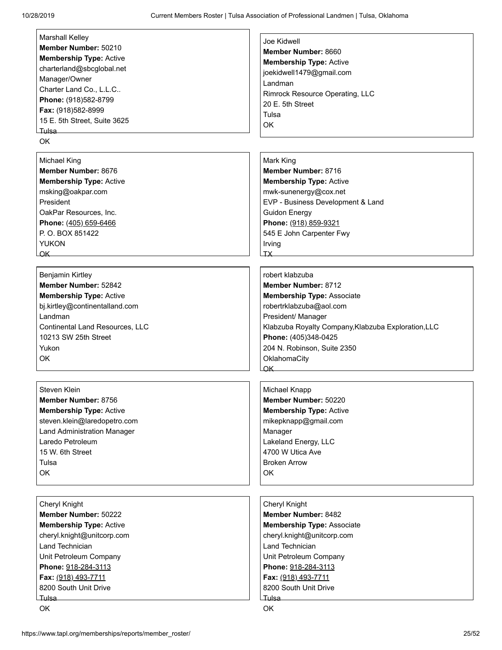| <b>Marshall Kelley</b>                 | Joe Kidwell                                         |
|----------------------------------------|-----------------------------------------------------|
| Member Number: 50210                   | Member Number: 8660                                 |
| <b>Membership Type: Active</b>         |                                                     |
| charterland@sbcglobal.net              | <b>Membership Type: Active</b>                      |
| Manager/Owner                          | joekidwell1479@gmail.com                            |
| Charter Land Co., L.L.C                | Landman                                             |
| Phone: (918)582-8799                   | Rimrock Resource Operating, LLC                     |
|                                        | 20 E. 5th Street                                    |
| Fax: (918)582-8999                     | Tulsa                                               |
| 15 E. 5th Street, Suite 3625           | OK                                                  |
| Tulsa                                  |                                                     |
| OK                                     |                                                     |
|                                        |                                                     |
| <b>Michael King</b>                    | Mark King                                           |
| Member Number: 8676                    | Member Number: 8716                                 |
| <b>Membership Type: Active</b>         | <b>Membership Type: Active</b>                      |
| msking@oakpar.com                      | mwk-sunenergy@cox.net                               |
| President                              | EVP - Business Development & Land                   |
| OakPar Resources, Inc.                 | <b>Guidon Energy</b>                                |
| Phone: (405) 659-6466                  | Phone: (918) 859-9321                               |
| P.O. BOX 851422                        | 545 E John Carpenter Fwy                            |
| <b>YUKON</b>                           | Irving                                              |
|                                        | <b>TX</b>                                           |
| OK                                     |                                                     |
|                                        | robert klabzuba                                     |
| Benjamin Kirtley                       |                                                     |
| Member Number: 52842                   | Member Number: 8712                                 |
| <b>Membership Type: Active</b>         | <b>Membership Type: Associate</b>                   |
| bj.kirtley@continentalland.com         | robertrklabzuba@aol.com                             |
| Landman                                | President/ Manager                                  |
| <b>Continental Land Resources, LLC</b> | Klabzuba Royalty Company, Klabzuba Exploration, LLC |
| 10213 SW 25th Street                   | Phone: (405)348-0425                                |
| Yukon                                  | 204 N. Robinson, Suite 2350                         |
| OK                                     | OklahomaCity                                        |
|                                        | $\alpha$ K                                          |
|                                        |                                                     |
| Steven Klein                           | Michael Knapp                                       |
| Member Number: 8756                    | Member Number: 50220                                |
| <b>Membership Type: Active</b>         | <b>Membership Type: Active</b>                      |
| steven.klein@laredopetro.com           | mikepknapp@gmail.com                                |
|                                        |                                                     |
| <b>Land Administration Manager</b>     | Manager                                             |
| Laredo Petroleum                       | Lakeland Energy, LLC                                |
| 15 W. 6th Street                       | 4700 W Utica Ave                                    |
| Tulsa                                  | <b>Broken Arrow</b>                                 |
| OK                                     | OK                                                  |
|                                        |                                                     |
|                                        |                                                     |
| Cheryl Knight                          | Cheryl Knight                                       |
| Member Number: 50222                   | <b>Member Number: 8482</b>                          |
| <b>Membership Type: Active</b>         | <b>Membership Type: Associate</b>                   |
| cheryl.knight@unitcorp.com             | cheryl.knight@unitcorp.com                          |
| Land Technician                        | Land Technician                                     |
| Unit Petroleum Company                 | Unit Petroleum Company                              |
| Phone: 918-284-3113                    | Phone: 918-284-3113                                 |
| Fax: (918) 493-7711                    | Fax: (918) 493-7711                                 |
| 8200 South Unit Drive                  | 8200 South Unit Drive                               |
|                                        |                                                     |
| ⊥ulsa                                  | Tulsa                                               |
| OK                                     | OK                                                  |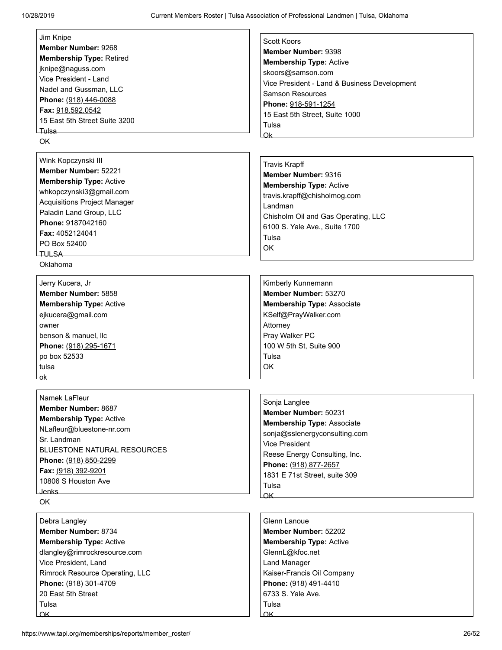| Jim Knipe                           | <b>Scott Koors</b>                           |
|-------------------------------------|----------------------------------------------|
| Member Number: 9268                 | Member Number: 9398                          |
| <b>Membership Type: Retired</b>     | <b>Membership Type: Active</b>               |
| jknipe@naguss.com                   |                                              |
| Vice President - Land               | skoors@samson.com                            |
| Nadel and Gussman, LLC              | Vice President - Land & Business Development |
| Phone: (918) 446-0088               | <b>Samson Resources</b>                      |
| Fax: 918.592.0542                   | Phone: 918-591-1254                          |
| 15 East 5th Street Suite 3200       | 15 East 5th Street, Suite 1000               |
| ∟Tulsa                              | Tulsa                                        |
| OK                                  | $\alpha$ k $-$                               |
|                                     |                                              |
| Wink Kopczynski III                 | <b>Travis Krapff</b>                         |
| Member Number: 52221                | Member Number: 9316                          |
| <b>Membership Type: Active</b>      | <b>Membership Type: Active</b>               |
| whkopczynski3@gmail.com             | travis.krapff@chisholmog.com                 |
| <b>Acquisitions Project Manager</b> | Landman                                      |
| Paladin Land Group, LLC             | Chisholm Oil and Gas Operating, LLC          |
| Phone: 9187042160                   | 6100 S. Yale Ave., Suite 1700                |
| Fax: 4052124041                     | Tulsa                                        |
| PO Box 52400                        | <b>OK</b>                                    |
|                                     |                                              |
| Oklahoma                            |                                              |
| Jerry Kucera, Jr                    | Kimberly Kunnemann                           |
| Member Number: 5858                 | Member Number: 53270                         |
| <b>Membership Type: Active</b>      | <b>Membership Type: Associate</b>            |
| ejkucera@gmail.com                  | KSelf@PrayWalker.com                         |
| owner                               | Attorney                                     |
| benson & manuel, llc                | Pray Walker PC                               |
| Phone: (918) 295-1671               | 100 W 5th St, Suite 900                      |
| po box 52533                        | Tulsa                                        |
| tulsa                               | ОK                                           |
| ۵k                                  |                                              |
|                                     |                                              |
| Namek LaFleur                       | Sonja Langlee                                |
| Member Number: 8687                 | Member Number: 50231                         |
| <b>Membership Type: Active</b>      | <b>Membership Type: Associate</b>            |
| NLafleur@bluestone-nr.com           | sonja@sslenergyconsulting.com                |
| Sr. Landman                         | <b>Vice President</b>                        |
| BLUESTONE NATURAL RESOURCES         | Reese Energy Consulting, Inc.                |
| Phone: (918) 850-2299               | Phone: (918) 877-2657                        |
| Fax: (918) 392-9201                 | 1831 E 71st Street, suite 309                |
| 10806 S Houston Ave                 | Tulsa                                        |
| Jenks                               | OK                                           |
| OK                                  |                                              |
| Debra Langley                       | Glenn Lanoue                                 |
| Member Number: 8734                 | Member Number: 52202                         |
| <b>Membership Type: Active</b>      | <b>Membership Type: Active</b>               |
| dlangley@rimrockresource.com        | GlennL@kfoc.net                              |
| Vice President, Land                | Land Manager                                 |
| Rimrock Resource Operating, LLC     | Kaiser-Francis Oil Company                   |
| Phone: (918) 301-4709               | Phone: (918) 491-4410                        |
| 20 East 5th Street                  | 6733 S. Yale Ave.                            |
| Tulsa                               | Tulsa                                        |

Lok

**Lok**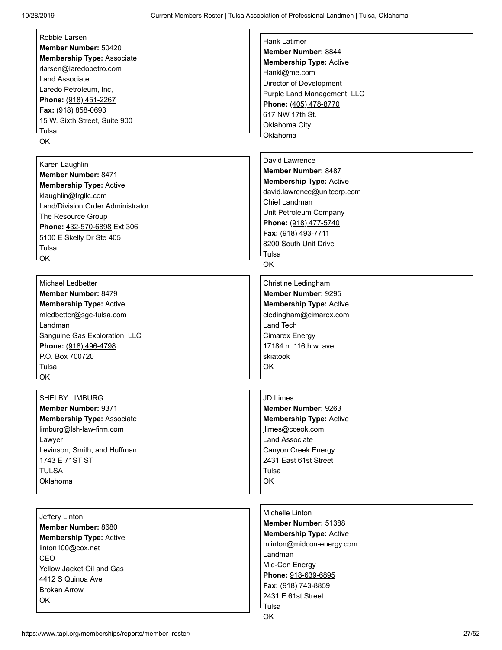[Robbie Larsen](https://www.tapl.org/profiles/rwilburn@cimarex.com/) **Member Number:** 50420 **Membership Type:** Associate rlarsen@laredopetro.com Land Associate Laredo Petroleum, Inc, **Phone:** (918) 451-2267 **Fax:** (918) 858-0693 15 W. Sixth Street, Suite 900 Tulsa

OK

[Karen Laughlin](https://www.tapl.org/profiles/klaughlin100/)

**Member Number:** 8471 **Membership Type:** Active klaughlin@trgllc.com Land/Division Order Administrator The Resource Group **Phone:** 432-570-6898 Ext 306 5100 E Skelly Dr Ste 405 Tulsa  $\overline{OK}$ 

[Michael Ledbetter](https://www.tapl.org/profiles/mledbetter/) **Member Number:** 8479 **Membership Type:** Active mledbetter@sge-tulsa.com Landman Sanguine Gas Exploration, LLC **Phone:** (918) 496-4798 P.O. Box 700720 Tulsa OK

[SHELBY LIMBURG](https://www.tapl.org/profiles/slimburg/) **Member Number:** 9371 **Membership Type:** Associate limburg@lsh-law-firm.com Lawyer Levinson, Smith, and Huffman 1743 E 71ST ST TULSA Oklahoma

[Jeffery Linton](https://www.tapl.org/profiles/Linton100/) **Member Number:** 8680 **Membership Type:** Active linton100@cox.net CEO Yellow Jacket Oil and Gas 4412 S Quinoa Ave Broken Arrow OK

[Hank Latimer](https://www.tapl.org/profiles/HLatimer/) **Member Number:** 8844 **Membership Type:** Active Hankl@me.com Director of Development Purple Land Management, LLC **Phone:** (405) 478-8770 617 NW 17th St. Oklahoma City Oklahoma

[David Lawrence](https://www.tapl.org/profiles/david/) **Member Number:** 8487 **Membership Type:** Active david.lawrence@unitcorp.com Chief Landman Unit Petroleum Company **Phone:** (918) 477-5740 **Fax:** (918) 493-7711 8200 South Unit Drive Tulsa

OK

[Christine Ledingham](https://www.tapl.org/profiles/cledingham@cimarex.com/) **Member Number:** 9295 **Membership Type:** Active cledingham@cimarex.com Land Tech Cimarex Energy 17184 n. 116th w. ave skiatook OK

[JD Limes](https://www.tapl.org/profiles/jlimes/) **Member Number:** 9263

**Membership Type:** Active jlimes@cceok.com Land Associate Canyon Creek Energy 2431 East 61st Street Tulsa OK

[Michelle Linton](https://www.tapl.org/profiles/mlinton/) **Member Number:** 51388 **Membership Type:** Active mlinton@midcon-energy.com Landman Mid-Con Energy **Phone:** 918-639-6895 **Fax:** (918) 743-8859 2431 E 61st Street Tulsa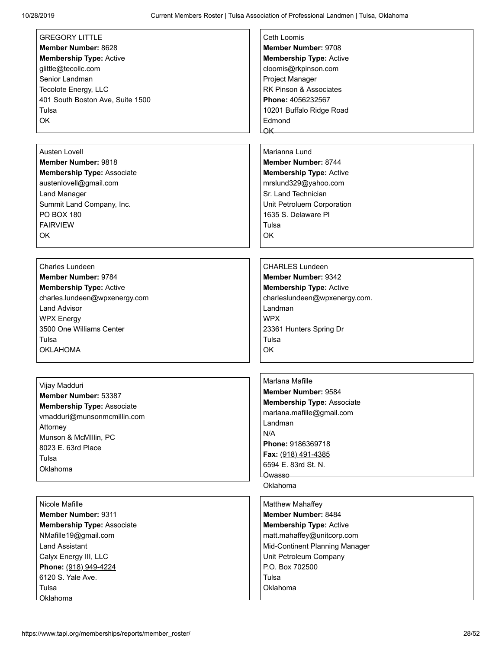| <b>GREGORY LITTLE</b>             | Ceth Loomis                       |
|-----------------------------------|-----------------------------------|
| Member Number: 8628               | <b>Member Number: 9708</b>        |
| <b>Membership Type: Active</b>    | <b>Membership Type: Active</b>    |
| glittle@tecollc.com               | cloomis@rkpinson.com              |
| Senior Landman                    | Project Manager                   |
| Tecolote Energy, LLC              | RK Pinson & Associates            |
| 401 South Boston Ave, Suite 1500  | Phone: 4056232567                 |
| Tulsa                             | 10201 Buffalo Ridge Road          |
| OK                                | Edmond                            |
|                                   | $\alpha$ K                        |
|                                   |                                   |
| Austen Lovell                     | Marianna Lund                     |
| <b>Member Number: 9818</b>        | <b>Member Number: 8744</b>        |
|                                   |                                   |
| <b>Membership Type: Associate</b> | <b>Membership Type: Active</b>    |
| austenlovell@gmail.com            | mrslund329@yahoo.com              |
| <b>Land Manager</b>               | Sr. Land Technician               |
| Summit Land Company, Inc.         | Unit Petroluem Corporation        |
| <b>PO BOX 180</b>                 | 1635 S. Delaware Pl               |
| <b>FAIRVIEW</b>                   | Tulsa                             |
| OK                                | OK                                |
|                                   |                                   |
| <b>Charles Lundeen</b>            | <b>CHARLES Lundeen</b>            |
|                                   |                                   |
| Member Number: 9784               | <b>Member Number: 9342</b>        |
| <b>Membership Type: Active</b>    | <b>Membership Type: Active</b>    |
| charles.lundeen@wpxenergy.com     | charleslundeen@wpxenergy.com.     |
| <b>Land Advisor</b>               | Landman                           |
| <b>WPX Energy</b>                 | <b>WPX</b>                        |
| 3500 One Williams Center          | 23361 Hunters Spring Dr           |
| Tulsa                             | Tulsa                             |
| <b>OKLAHOMA</b>                   | OK                                |
|                                   |                                   |
|                                   | Marlana Mafille                   |
| Vijay Madduri                     | <b>Member Number: 9584</b>        |
| <b>Member Number: 53387</b>       | <b>Membership Type: Associate</b> |
| <b>Membership Type: Associate</b> | marlana.mafille@gmail.com         |
| vmadduri@munsonmcmillin.com       | Landman                           |
| Attorney                          | N/A                               |
| Munson & McMIllin, PC             | Phone: 9186369718                 |
| 8023 E. 63rd Place                | Fax: (918) 491-4385               |
| Tulsa                             | 6594 E. 83rd St. N.               |
| Oklahoma                          | Owasso                            |
|                                   | Oklahoma                          |
|                                   |                                   |
| Nicole Mafille                    | Matthew Mahaffey                  |
| <b>Member Number: 9311</b>        | <b>Member Number: 8484</b>        |
| <b>Membership Type: Associate</b> | <b>Membership Type: Active</b>    |
| NMafille19@gmail.com              | matt.mahaffey@unitcorp.com        |
| <b>Land Assistant</b>             | Mid-Continent Planning Manager    |
| Calyx Energy III, LLC             | Unit Petroleum Company            |
| Phone: (918) 949-4224             | P.O. Box 702500                   |
| 6120 S. Yale Ave.                 | Tulsa                             |
| Tulsa                             | Oklahoma                          |
| Oklahoma                          |                                   |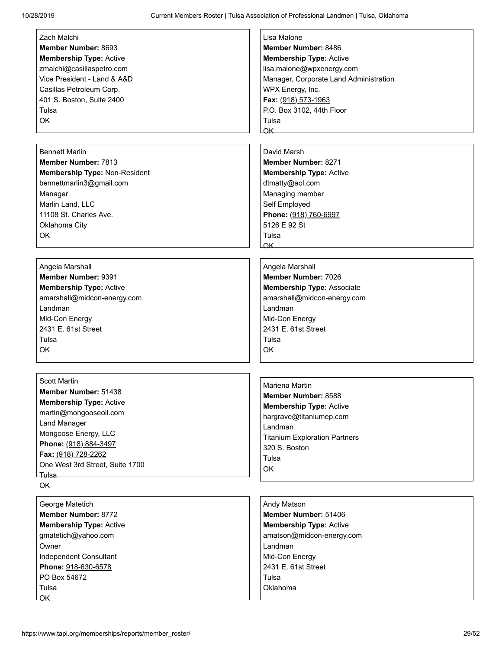| Zach Malchi                     | Lisa Malone                            |
|---------------------------------|----------------------------------------|
| Member Number: 8693             | Member Number: 8486                    |
| <b>Membership Type: Active</b>  | <b>Membership Type: Active</b>         |
| zmalchi@casillaspetro.com       | lisa.malone@wpxenergy.com              |
| Vice President - Land & A&D     | Manager, Corporate Land Administration |
| Casillas Petroleum Corp.        | WPX Energy, Inc.                       |
| 401 S. Boston, Suite 2400       | Fax: (918) 573-1963                    |
| Tulsa                           | P.O. Box 3102, 44th Floor              |
| OK                              | Tulsa                                  |
|                                 | $\alpha$ K                             |
| <b>Bennett Marlin</b>           | David Marsh                            |
| <b>Member Number: 7813</b>      | Member Number: 8271                    |
| Membership Type: Non-Resident   |                                        |
|                                 | <b>Membership Type: Active</b>         |
| bennettmarlin3@gmail.com        | dtmatty@aol.com                        |
| Manager<br>Marlin Land, LLC     | Managing member                        |
| 11108 St. Charles Ave.          | Self Employed                          |
|                                 | Phone: (918) 760-6997<br>5126 E 92 St  |
| Oklahoma City                   | Tulsa                                  |
| OK                              | $\alpha$ K                             |
|                                 |                                        |
| Angela Marshall                 | Angela Marshall                        |
| <b>Member Number: 9391</b>      | Member Number: 7026                    |
| <b>Membership Type: Active</b>  | <b>Membership Type: Associate</b>      |
| amarshall@midcon-energy.com     | amarshall@midcon-energy.com            |
| Landman                         | Landman                                |
| Mid-Con Energy                  | Mid-Con Energy                         |
| 2431 E. 61st Street             | 2431 E. 61st Street                    |
| Tulsa                           | Tulsa                                  |
| OK                              | OK                                     |
|                                 |                                        |
| <b>Scott Martin</b>             |                                        |
| Member Number: 51438            | Mariena Martin                         |
| <b>Membership Type: Active</b>  | <b>Member Number: 8588</b>             |
| martin@mongooseoil.com          | <b>Membership Type: Active</b>         |
| Land Manager                    | hargrave@titaniumep.com                |
| Mongoose Energy, LLC            | Landman                                |
| Phone: (918) 884-3497           | <b>Titanium Exploration Partners</b>   |
| Fax: (918) 728-2262             | 320 S. Boston                          |
| One West 3rd Street, Suite 1700 | Tulsa                                  |
| Tulsa <b>International E</b>    | OK                                     |
| OK                              |                                        |
| George Matetich                 | Andy Matson                            |
| Member Number: 8772             | Member Number: 51406                   |
| <b>Membership Type: Active</b>  | <b>Membership Type: Active</b>         |
| gmatetich@yahoo.com             | amatson@midcon-energy.com              |
| Owner                           | Landman                                |
| Independent Consultant          | Mid-Con Energy                         |
| Phone: 918-630-6578             | 2431 E. 61st Street                    |
| PO Box 54672                    | Tulsa                                  |
| Tulsa                           | Oklahoma                               |
| OK_                             |                                        |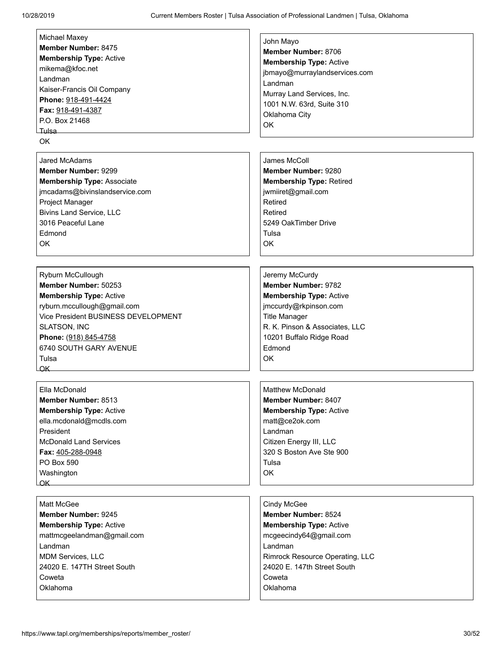| Michael Maxey                                     | John Mayo                       |
|---------------------------------------------------|---------------------------------|
| Member Number: 8475                               | Member Number: 8706             |
| <b>Membership Type: Active</b>                    | <b>Membership Type: Active</b>  |
| mikema@kfoc.net                                   | jbmayo@murraylandservices.com   |
| Landman                                           | Landman                         |
| Kaiser-Francis Oil Company                        | Murray Land Services, Inc.      |
| Phone: 918-491-4424                               |                                 |
| Fax: 918-491-4387                                 | 1001 N.W. 63rd, Suite 310       |
| P.O. Box 21468                                    | Oklahoma City                   |
| ∟Tulsa                                            | OK                              |
| OK                                                |                                 |
|                                                   |                                 |
| <b>Jared McAdams</b>                              | James McColl                    |
| Member Number: 9299                               | Member Number: 9280             |
| <b>Membership Type: Associate</b>                 | <b>Membership Type: Retired</b> |
| jmcadams@bivinslandservice.com                    | jwmiiret@gmail.com              |
| Project Manager                                   | Retired                         |
| <b>Bivins Land Service, LLC</b>                   | Retired                         |
| 3016 Peaceful Lane                                | 5249 OakTimber Drive            |
| Edmond                                            |                                 |
|                                                   | Tulsa                           |
| OK                                                | <b>OK</b>                       |
|                                                   |                                 |
|                                                   |                                 |
| Ryburn McCullough                                 | Jeremy McCurdy                  |
| Member Number: 50253                              | Member Number: 9782             |
| <b>Membership Type: Active</b>                    | <b>Membership Type: Active</b>  |
| ryburn.mccullough@gmail.com                       | jmccurdy@rkpinson.com           |
| Vice President BUSINESS DEVELOPMENT               | <b>Title Manager</b>            |
| SLATSON, INC                                      | R. K. Pinson & Associates, LLC  |
| Phone: (918) 845-4758                             | 10201 Buffalo Ridge Road        |
| 6740 SOUTH GARY AVENUE                            | Edmond                          |
| Tulsa                                             | OK                              |
| LOK_                                              |                                 |
|                                                   |                                 |
| Ella McDonald                                     | <b>Matthew McDonald</b>         |
| Member Number: 8513                               | Member Number: 8407             |
| <b>Membership Type: Active</b>                    | <b>Membership Type: Active</b>  |
| ella.mcdonald@mcdls.com                           | matt@ce2ok.com                  |
| President                                         | Landman                         |
| <b>McDonald Land Services</b>                     | Citizen Energy III, LLC         |
|                                                   | 320 S Boston Ave Ste 900        |
| Fax: 405-288-0948                                 |                                 |
| PO Box 590                                        | Tulsa                           |
| Washington                                        | OK                              |
| $\overline{\mathsf{C}}$ K $\overline{\mathsf{C}}$ |                                 |
|                                                   |                                 |
| Matt McGee                                        | Cindy McGee                     |
| <b>Member Number: 9245</b>                        | Member Number: 8524             |
| <b>Membership Type: Active</b>                    | <b>Membership Type: Active</b>  |
| mattmcgeelandman@gmail.com                        | mcgeecindy64@gmail.com          |
| Landman                                           | Landman                         |
| <b>MDM Services, LLC</b>                          | Rimrock Resource Operating, LLC |
| 24020 E. 147TH Street South                       | 24020 E. 147th Street South     |
| Coweta                                            | Coweta                          |
| Oklahoma                                          | Oklahoma                        |
|                                                   |                                 |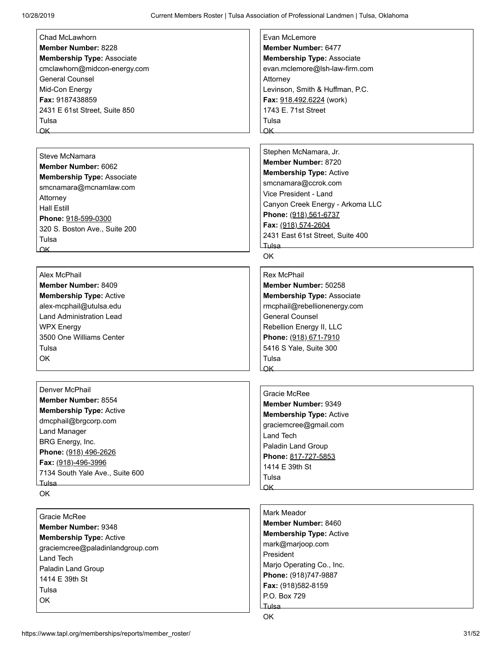| Chad McLawhorn                                                                                                                                                                                                                                   | Evan McLemore                     |
|--------------------------------------------------------------------------------------------------------------------------------------------------------------------------------------------------------------------------------------------------|-----------------------------------|
| Member Number: 8228                                                                                                                                                                                                                              | Member Number: 6477               |
| <b>Membership Type: Associate</b>                                                                                                                                                                                                                | <b>Membership Type: Associate</b> |
| cmclawhorn@midcon-energy.com                                                                                                                                                                                                                     | evan.mclemore@lsh-law-firm.com    |
| <b>General Counsel</b>                                                                                                                                                                                                                           | Attorney                          |
| Mid-Con Energy                                                                                                                                                                                                                                   | Levinson, Smith & Huffman, P.C.   |
| Fax: 9187438859                                                                                                                                                                                                                                  | Fax: 918.492.6224 (work)          |
| 2431 E 61st Street, Suite 850                                                                                                                                                                                                                    | 1743 E. 71st Street               |
| Tulsa                                                                                                                                                                                                                                            | Tulsa                             |
| $OK$ and $OK$ and $OK$ and $OK$ and $OK$ and $OK$ and $OK$ and $OK$ and $OK$ and $OK$ and $OK$ and $OK$ and $OK$ and $OK$ and $OK$ and $OK$ and $OK$ and $OK$ and $OK$ and $K$ and $K$ and $K$ and $K$ and $K$ and $K$ and $K$ and $K$ and $K$ a | $\alpha$ K $\alpha$               |
|                                                                                                                                                                                                                                                  |                                   |
| Steve McNamara                                                                                                                                                                                                                                   | Stephen McNamara, Jr.             |
| Member Number: 6062                                                                                                                                                                                                                              | <b>Member Number: 8720</b>        |
| <b>Membership Type: Associate</b>                                                                                                                                                                                                                | <b>Membership Type: Active</b>    |
| smcnamara@mcnamlaw.com                                                                                                                                                                                                                           | smcnamara@ccrok.com               |
| Attorney                                                                                                                                                                                                                                         | Vice President - Land             |
| <b>Hall Estill</b>                                                                                                                                                                                                                               | Canyon Creek Energy - Arkoma LLC  |
| Phone: 918-599-0300                                                                                                                                                                                                                              | Phone: (918) 561-6737             |
| 320 S. Boston Ave., Suite 200                                                                                                                                                                                                                    | Fax: (918) 574-2604               |
| Tulsa                                                                                                                                                                                                                                            | 2431 East 61st Street, Suite 400  |
| $\alpha$ K $\alpha$                                                                                                                                                                                                                              | Tulsa                             |
|                                                                                                                                                                                                                                                  | <b>OK</b>                         |
| Alex McPhail                                                                                                                                                                                                                                     | Rex McPhail                       |
| Member Number: 8409                                                                                                                                                                                                                              | Member Number: 50258              |
| <b>Membership Type: Active</b>                                                                                                                                                                                                                   | <b>Membership Type: Associate</b> |
| alex-mcphail@utulsa.edu                                                                                                                                                                                                                          | rmcphail@rebellionenergy.com      |
| <b>Land Administration Lead</b>                                                                                                                                                                                                                  | <b>General Counsel</b>            |
| <b>WPX Energy</b>                                                                                                                                                                                                                                | Rebellion Energy II, LLC          |
| 3500 One Williams Center                                                                                                                                                                                                                         | Phone: (918) 671-7910             |
| Tulsa                                                                                                                                                                                                                                            | 5416 S Yale, Suite 300            |
| OK                                                                                                                                                                                                                                               | Tulsa                             |
|                                                                                                                                                                                                                                                  | $\alpha$ K $-$                    |
|                                                                                                                                                                                                                                                  |                                   |
| Denver McPhail                                                                                                                                                                                                                                   | Gracie McRee                      |
| Member Number: 8554                                                                                                                                                                                                                              | Member Number: 9349               |
| <b>Membership Type: Active</b>                                                                                                                                                                                                                   | <b>Membership Type: Active</b>    |
| dmcphail@brgcorp.com                                                                                                                                                                                                                             | graciemcree@gmail.com             |
| Land Manager                                                                                                                                                                                                                                     | Land Tech                         |
| BRG Energy, Inc.                                                                                                                                                                                                                                 | Paladin Land Group                |
| Phone: (918) 496-2626                                                                                                                                                                                                                            | Phone: 817-727-5853               |
| Fax: (918)-496-3996                                                                                                                                                                                                                              | 1414 E 39th St                    |
| 7134 South Yale Ave., Suite 600                                                                                                                                                                                                                  | Tulsa                             |
| ⊥ulsa<br>OK                                                                                                                                                                                                                                      | $\overline{\mathsf{OK}}$          |
|                                                                                                                                                                                                                                                  |                                   |
| Gracie McRee                                                                                                                                                                                                                                     | <b>Mark Meador</b>                |
| Member Number: 9348                                                                                                                                                                                                                              | Member Number: 8460               |
| <b>Membership Type: Active</b>                                                                                                                                                                                                                   | <b>Membership Type: Active</b>    |
| graciemcree@paladinlandgroup.com                                                                                                                                                                                                                 | mark@marjoop.com                  |
| Land Tech                                                                                                                                                                                                                                        | President                         |
| Paladin Land Group                                                                                                                                                                                                                               | Marjo Operating Co., Inc.         |
| 1414 E 39th St                                                                                                                                                                                                                                   | Phone: (918)747-9887              |
| Tuleo.                                                                                                                                                                                                                                           | Fax: (918)582-8159                |

P.O. Box 729

Tulsa OK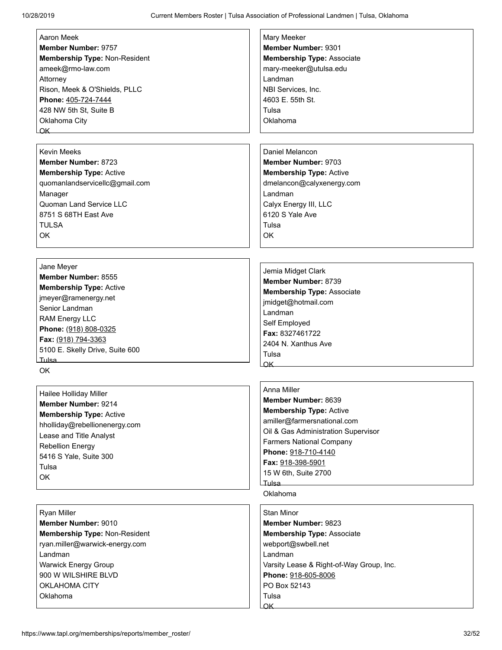| Aaron Meek                             | Mary Meeker                              |
|----------------------------------------|------------------------------------------|
| Member Number: 9757                    | Member Number: 9301                      |
| Membership Type: Non-Resident          | <b>Membership Type: Associate</b>        |
| ameek@rmo-law.com                      | mary-meeker@utulsa.edu                   |
| Attorney                               | Landman                                  |
| Rison, Meek & O'Shields, PLLC          | NBI Services, Inc.                       |
| Phone: 405-724-7444                    | 4603 E. 55th St.                         |
| 428 NW 5th St, Suite B                 | Tulsa                                    |
| Oklahoma City                          | Oklahoma                                 |
| $\overline{\mathsf{OK}}$               |                                          |
|                                        |                                          |
| <b>Kevin Meeks</b>                     | Daniel Melancon                          |
| <b>Member Number: 8723</b>             | <b>Member Number: 9703</b>               |
| <b>Membership Type: Active</b>         | <b>Membership Type: Active</b>           |
| quomanlandservicellc@gmail.com         | dmelancon@calyxenergy.com                |
| Manager                                | Landman                                  |
| Quoman Land Service LLC                | Calyx Energy III, LLC                    |
| 8751 S 68TH East Ave                   | 6120 S Yale Ave                          |
| <b>TULSA</b>                           | Tulsa                                    |
| <b>OK</b>                              | <b>OK</b>                                |
|                                        |                                          |
|                                        |                                          |
| Jane Meyer                             |                                          |
| Member Number: 8555                    | Jemia Midget Clark                       |
|                                        | Member Number: 8739                      |
| <b>Membership Type: Active</b>         | <b>Membership Type: Associate</b>        |
| jmeyer@ramenergy.net<br>Senior Landman | jmidget@hotmail.com                      |
|                                        | Landman                                  |
| RAM Energy LLC                         | Self Employed                            |
| Phone: (918) 808-0325                  | Fax: 8327461722                          |
| Fax: (918) 794-3363                    | 2404 N. Xanthus Ave                      |
| 5100 E. Skelly Drive, Suite 600        | Tulsa                                    |
| <b>Tulsa</b>                           | OK_                                      |
| <b>OK</b>                              |                                          |
|                                        | Anna Miller                              |
| Hailee Holliday Miller                 | Member Number: 8639                      |
| Member Number: 9214                    | <b>Membership Type: Active</b>           |
| <b>Membership Type: Active</b>         | amiller@farmersnational.com              |
| hholliday@rebellionenergy.com          | Oil & Gas Administration Supervisor      |
| Lease and Title Analyst                | <b>Farmers National Company</b>          |
| <b>Rebellion Energy</b>                | Phone: 918-710-4140                      |
| 5416 S Yale, Suite 300                 | Fax: 918-398-5901                        |
| Tulsa                                  | 15 W 6th, Suite 2700                     |
| OK                                     | Tulsa.                                   |
|                                        | Oklahoma                                 |
|                                        |                                          |
| <b>Ryan Miller</b>                     | Stan Minor                               |
| Member Number: 9010                    | <b>Member Number: 9823</b>               |
| Membership Type: Non-Resident          | <b>Membership Type: Associate</b>        |
| ryan.miller@warwick-energy.com         | webport@swbell.net                       |
| Landman                                | Landman                                  |
| <b>Warwick Energy Group</b>            | Varsity Lease & Right-of-Way Group, Inc. |
| 900 W WILSHIRE BLVD                    | Phone: 918-605-8006                      |
| OKLAHOMA CITY                          | PO Box 52143                             |

Tulsa **Lok** 

OKLAHOMA CITY Oklahoma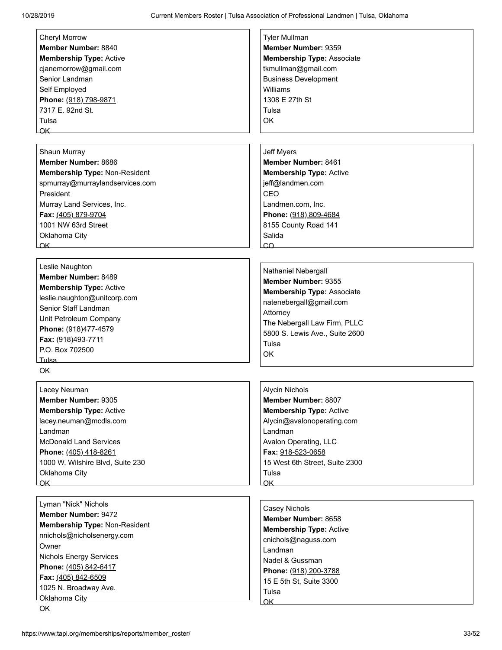| <b>Cheryl Morrow</b>                 | <b>Tyler Mullman</b>              |
|--------------------------------------|-----------------------------------|
| <b>Member Number: 8840</b>           | Member Number: 9359               |
| <b>Membership Type: Active</b>       | <b>Membership Type: Associate</b> |
| cjanemorrow@gmail.com                | tkmullman@gmail.com               |
| Senior Landman                       | <b>Business Development</b>       |
| Self Employed                        | Williams                          |
| Phone: (918) 798-9871                | 1308 E 27th St                    |
| 7317 E. 92nd St.                     | Tulsa                             |
| Tulsa                                | OK                                |
| OK                                   |                                   |
|                                      |                                   |
| Shaun Murray                         | <b>Jeff Myers</b>                 |
| Member Number: 8686                  | Member Number: 8461               |
| Membership Type: Non-Resident        | <b>Membership Type: Active</b>    |
|                                      |                                   |
| spmurray@murraylandservices.com      | jeff@landmen.com                  |
| President                            | CEO                               |
| Murray Land Services, Inc.           | Landmen.com, Inc.                 |
| Fax: (405) 879-9704                  | Phone: (918) 809-4684             |
| 1001 NW 63rd Street                  | 8155 County Road 141              |
| Oklahoma City                        | Salida                            |
| <u>OK __________________________</u> | $\overline{CQ}$                   |
|                                      |                                   |
| Leslie Naughton                      |                                   |
| Member Number: 8489                  | Nathaniel Nebergall               |
| <b>Membership Type: Active</b>       | Member Number: 9355               |
| leslie.naughton@unitcorp.com         | <b>Membership Type: Associate</b> |
| Senior Staff Landman                 | natenebergall@gmail.com           |
|                                      | Attorney                          |
| Unit Petroleum Company               | The Nebergall Law Firm, PLLC      |
| Phone: (918)477-4579                 | 5800 S. Lewis Ave., Suite 2600    |
| Fax: (918)493-7711                   | Tulsa                             |
| P.O. Box 702500                      | ОK                                |
| Tulsa                                |                                   |
| OK.                                  |                                   |
|                                      |                                   |
| Lacey Neuman                         | <b>Alycin Nichols</b>             |
| Member Number: 9305                  | Member Number: 8807               |
| <b>Membership Type: Active</b>       | <b>Membership Type: Active</b>    |
| lacey.neuman@mcdls.com               | Alycin@avalonoperating.com        |
| Landman                              | Landman                           |
| <b>McDonald Land Services</b>        | Avalon Operating, LLC             |
| Phone: (405) 418-8261                | Fax: 918-523-0658                 |
| 1000 W. Wilshire Blvd, Suite 230     | 15 West 6th Street, Suite 2300    |
| Oklahoma City                        | Tulsa                             |
| OK                                   | $\alpha$ K                        |
|                                      |                                   |
| Lyman "Nick" Nichols                 |                                   |
| <b>Member Number: 9472</b>           | <b>Casey Nichols</b>              |
| Membership Type: Non-Resident        | Member Number: 8658               |
| nnichols@nicholsenergy.com           | <b>Membership Type: Active</b>    |
| Owner                                | cnichols@naguss.com               |
|                                      | Landman                           |
| <b>Nichols Energy Services</b>       | Nadel & Gussman                   |
| Phone: (405) 842-6417                | Phone: (918) 200-3788             |
| Fax: (405) 842-6509                  | 15 E 5th St, Suite 3300           |
| 1025 N. Broadway Ave.                | Tulsa                             |
| Oklahoma City                        | OK_                               |
| OK                                   |                                   |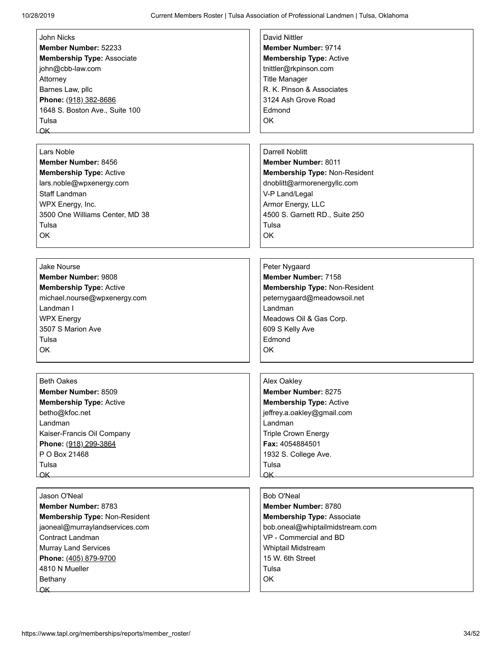| John Nicks                        | David Nittler                                                                                                                                                                                                                                    |
|-----------------------------------|--------------------------------------------------------------------------------------------------------------------------------------------------------------------------------------------------------------------------------------------------|
| Member Number: 52233              | Member Number: 9714                                                                                                                                                                                                                              |
| <b>Membership Type: Associate</b> | <b>Membership Type: Active</b>                                                                                                                                                                                                                   |
| john@cbb-law.com                  | tnittler@rkpinson.com                                                                                                                                                                                                                            |
| Attorney                          | <b>Title Manager</b>                                                                                                                                                                                                                             |
| Barnes Law, pllc                  | R. K. Pinson & Associates                                                                                                                                                                                                                        |
| Phone: (918) 382-8686             | 3124 Ash Grove Road                                                                                                                                                                                                                              |
|                                   | Edmond                                                                                                                                                                                                                                           |
| 1648 S. Boston Ave., Suite 100    |                                                                                                                                                                                                                                                  |
| Tulsa                             | <b>OK</b>                                                                                                                                                                                                                                        |
| OK                                |                                                                                                                                                                                                                                                  |
|                                   |                                                                                                                                                                                                                                                  |
| Lars Noble                        | <b>Darrell Noblitt</b>                                                                                                                                                                                                                           |
| Member Number: 8456               | <b>Member Number: 8011</b>                                                                                                                                                                                                                       |
| <b>Membership Type: Active</b>    | Membership Type: Non-Resident                                                                                                                                                                                                                    |
| lars.noble@wpxenergy.com          | dnoblitt@armorenergyllc.com                                                                                                                                                                                                                      |
| Staff Landman                     | V-P Land/Legal                                                                                                                                                                                                                                   |
| WPX Energy, Inc.                  | Armor Energy, LLC                                                                                                                                                                                                                                |
| 3500 One Williams Center, MD 38   | 4500 S. Garnett RD., Suite 250                                                                                                                                                                                                                   |
| Tulsa                             | Tulsa                                                                                                                                                                                                                                            |
| OK                                | OK                                                                                                                                                                                                                                               |
|                                   |                                                                                                                                                                                                                                                  |
|                                   |                                                                                                                                                                                                                                                  |
| <b>Jake Nourse</b>                | Peter Nygaard                                                                                                                                                                                                                                    |
| <b>Member Number: 9808</b>        | Member Number: 7158                                                                                                                                                                                                                              |
| <b>Membership Type: Active</b>    | Membership Type: Non-Resident                                                                                                                                                                                                                    |
| michael.nourse@wpxenergy.com      | peternygaard@meadowsoil.net                                                                                                                                                                                                                      |
| Landman I                         | Landman                                                                                                                                                                                                                                          |
|                                   |                                                                                                                                                                                                                                                  |
| <b>WPX Energy</b>                 | Meadows Oil & Gas Corp.                                                                                                                                                                                                                          |
| 3507 S Marion Ave                 | 609 S Kelly Ave                                                                                                                                                                                                                                  |
| Tulsa                             | Edmond                                                                                                                                                                                                                                           |
| OK                                | OK                                                                                                                                                                                                                                               |
|                                   |                                                                                                                                                                                                                                                  |
| <b>Beth Oakes</b>                 | Alex Oakley                                                                                                                                                                                                                                      |
|                                   |                                                                                                                                                                                                                                                  |
| <b>Member Number: 8509</b>        | <b>Member Number: 8275</b>                                                                                                                                                                                                                       |
| <b>Membership Type: Active</b>    | <b>Membership Type: Active</b>                                                                                                                                                                                                                   |
| betho@kfoc.net                    | jeffrey.a.oakley@gmail.com                                                                                                                                                                                                                       |
| Landman                           | Landman                                                                                                                                                                                                                                          |
| Kaiser-Francis Oil Company        | <b>Triple Crown Energy</b>                                                                                                                                                                                                                       |
| Phone: (918) 299-3864             | Fax: 4054884501                                                                                                                                                                                                                                  |
| P O Box 21468                     | 1932 S. College Ave.                                                                                                                                                                                                                             |
| Tulsa                             | Tulsa                                                                                                                                                                                                                                            |
|                                   | $OK$ and $OK$ and $OK$ and $OK$ and $OK$ and $OK$ and $OK$ and $OK$ and $OK$ and $OK$ and $OK$ and $OK$ and $OK$ and $OK$ and $OK$ and $OK$ and $OK$ and $OK$ and $OK$ and $K$ and $K$ and $K$ and $K$ and $K$ and $K$ and $K$ and $K$ and $K$ a |
|                                   |                                                                                                                                                                                                                                                  |
| Jason O'Neal                      | Bob O'Neal                                                                                                                                                                                                                                       |
| Member Number: 8783               | Member Number: 8780                                                                                                                                                                                                                              |
| Membership Type: Non-Resident     | <b>Membership Type: Associate</b>                                                                                                                                                                                                                |
| jaoneal@murraylandservices.com    | bob.oneal@whiptailmidstream.com                                                                                                                                                                                                                  |
| Contract Landman                  | VP - Commercial and BD                                                                                                                                                                                                                           |
| <b>Murray Land Services</b>       | Whiptail Midstream                                                                                                                                                                                                                               |
| Phone: (405) 879-9700             | 15 W. 6th Street                                                                                                                                                                                                                                 |
| 4810 N Mueller                    | Tulsa                                                                                                                                                                                                                                            |
| Bethany                           | OK                                                                                                                                                                                                                                               |
| OK                                |                                                                                                                                                                                                                                                  |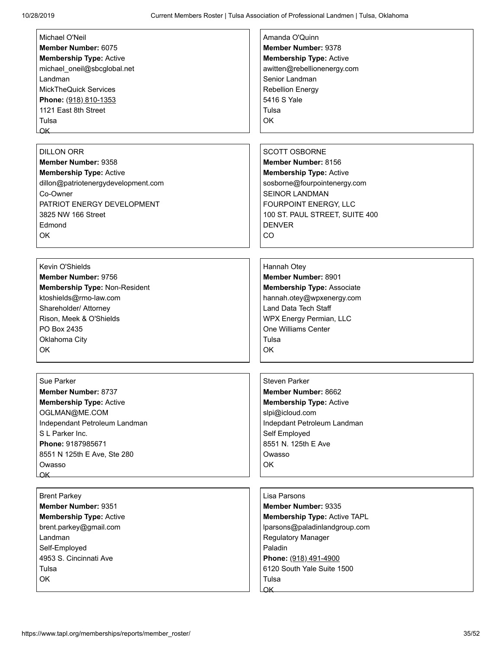| Michael O'Neil<br>Member Number: 6075<br><b>Membership Type: Active</b><br>michael_oneil@sbcglobal.net<br>Landman<br><b>MickTheQuick Services</b><br>Phone: (918) 810-1353<br>1121 East 8th Street<br>Tulsa<br>OK_ | Amanda O'Quinn<br><b>Member Number: 9378</b><br><b>Membership Type: Active</b><br>awitten@rebellionenergy.com<br>Senior Landman<br><b>Rebellion Energy</b><br>5416 S Yale<br>Tulsa<br>OK                                 |
|--------------------------------------------------------------------------------------------------------------------------------------------------------------------------------------------------------------------|--------------------------------------------------------------------------------------------------------------------------------------------------------------------------------------------------------------------------|
| <b>DILLON ORR</b><br>Member Number: 9358<br><b>Membership Type: Active</b><br>dillon@patriotenergydevelopment.com<br>Co-Owner<br>PATRIOT ENERGY DEVELOPMENT<br>3825 NW 166 Street<br>Edmond<br>OK                  | <b>SCOTT OSBORNE</b><br>Member Number: 8156<br><b>Membership Type: Active</b><br>sosborne@fourpointenergy.com<br><b>SEINOR LANDMAN</b><br>FOURPOINT ENERGY, LLC<br>100 ST. PAUL STREET, SUITE 400<br><b>DENVER</b><br>CO |
| Kevin O'Shields<br>Member Number: 9756<br>Membership Type: Non-Resident<br>ktoshields@rmo-law.com<br>Shareholder/ Attorney<br>Rison, Meek & O'Shields<br>PO Box 2435<br>Oklahoma City<br>OK                        | Hannah Otey<br>Member Number: 8901<br><b>Membership Type: Associate</b><br>hannah.otey@wpxenergy.com<br>Land Data Tech Staff<br>WPX Energy Permian, LLC<br>One Williams Center<br>Tulsa<br>OK                            |
| Sue Parker<br>Member Number: 8737<br><b>Membership Type: Active</b><br>OGLMAN@ME.COM<br>Independant Petroleum Landman<br>S L Parker Inc.<br>Phone: 9187985671<br>8551 N 125th E Ave, Ste 280<br>Owasso             | <b>Steven Parker</b><br>Member Number: 8662<br><b>Membership Type: Active</b><br>slpi@icloud.com<br>Indepdant Petroleum Landman<br>Self Employed<br>8551 N. 125th E Ave<br>Owasso<br>OK                                  |
| <b>Brent Parkey</b><br>Member Number: 9351<br><b>Membership Type: Active</b><br>brent.parkey@gmail.com<br>Landman<br>Self-Employed<br>4953 S. Cincinnati Ave<br>Tulsa<br>OK                                        | Lisa Parsons<br><b>Member Number: 9335</b><br>Membership Type: Active TAPL<br>lparsons@paladinlandgroup.com<br>Regulatory Manager<br>Paladin<br>Phone: (918) 491-4900<br>6120 South Yale Suite 1500<br>Tulsa<br>OK       |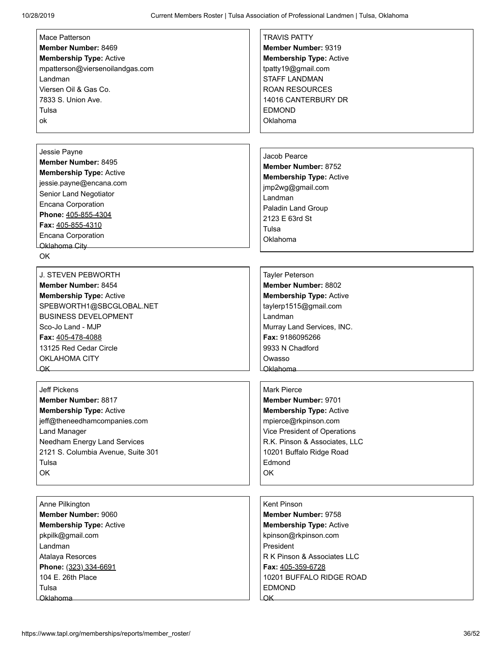| Mace Patterson                     | <b>TRAVIS PATTY</b>            |
|------------------------------------|--------------------------------|
| Member Number: 8469                | Member Number: 9319            |
| <b>Membership Type: Active</b>     | <b>Membership Type: Active</b> |
| mpatterson@viersenoilandgas.com    | tpatty19@gmail.com             |
| Landman                            | <b>STAFF LANDMAN</b>           |
| Viersen Oil & Gas Co.              | <b>ROAN RESOURCES</b>          |
| 7833 S. Union Ave.                 | 14016 CANTERBURY DR            |
| Tulsa                              | <b>EDMOND</b>                  |
| ok                                 | Oklahoma                       |
|                                    |                                |
|                                    |                                |
| Jessie Payne                       | Jacob Pearce                   |
| Member Number: 8495                | <b>Member Number: 8752</b>     |
| <b>Membership Type: Active</b>     | <b>Membership Type: Active</b> |
| jessie.payne@encana.com            | jmp2wg@gmail.com               |
| Senior Land Negotiator             | Landman                        |
| <b>Encana Corporation</b>          | Paladin Land Group             |
| Phone: 405-855-4304                | 2123 E 63rd St                 |
| Fax: 405-855-4310                  | Tulsa                          |
| <b>Encana Corporation</b>          | Oklahoma                       |
| Oklahoma City                      |                                |
| <b>OK</b>                          |                                |
|                                    |                                |
| <b>J. STEVEN PEBWORTH</b>          | <b>Tayler Peterson</b>         |
| <b>Member Number: 8454</b>         | <b>Member Number: 8802</b>     |
| <b>Membership Type: Active</b>     | <b>Membership Type: Active</b> |
| SPEBWORTH1@SBCGLOBAL.NET           | taylerp1515@gmail.com          |
| <b>BUSINESS DEVELOPMENT</b>        | Landman                        |
| Sco-Jo Land - MJP                  | Murray Land Services, INC.     |
| Fax: 405-478-4088                  | Fax: 9186095266                |
| 13125 Red Cedar Circle             | 9933 N Chadford                |
| <b>OKLAHOMA CITY</b>               | Owasso                         |
| LOK_                               | <b>Oklahoma</b>                |
|                                    |                                |
| <b>Jeff Pickens</b>                | <b>Mark Pierce</b>             |
| Member Number: 8817                | Member Number: 9701            |
| <b>Membership Type: Active</b>     | <b>Membership Type: Active</b> |
| jeff@theneedhamcompanies.com       | mpierce@rkpinson.com           |
| <b>Land Manager</b>                | Vice President of Operations   |
| Needham Energy Land Services       | R.K. Pinson & Associates, LLC  |
| 2121 S. Columbia Avenue, Suite 301 | 10201 Buffalo Ridge Road       |
| Tulsa                              | Edmond                         |
| OK                                 | OK                             |
|                                    |                                |
|                                    |                                |
| Anne Pilkington                    | Kent Pinson                    |
| Member Number: 9060                | <b>Member Number: 9758</b>     |
| <b>Membership Type: Active</b>     | <b>Membership Type: Active</b> |
| pkpilk@gmail.com                   | kpinson@rkpinson.com           |
| Landman                            | President                      |
| Atalaya Resorces                   | R K Pinson & Associates LLC    |
| Phone: (323) 334-6691              | Fax: 405-359-6728              |
| 104 E. 26th Place                  | 10201 BUFFALO RIDGE ROAD       |
| Tulsa                              | <b>EDMOND</b>                  |
| <b>Oklahoma</b>                    | $\overline{\mathsf{OK}}$       |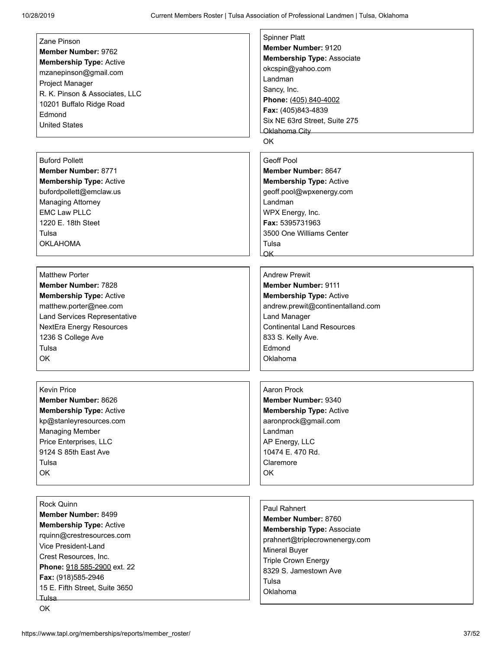| Zane Pinson                     | <b>Spinner Platt</b>              |
|---------------------------------|-----------------------------------|
| <b>Member Number: 9762</b>      | <b>Member Number: 9120</b>        |
| <b>Membership Type: Active</b>  | <b>Membership Type: Associate</b> |
| mzanepinson@gmail.com           | okcspin@yahoo.com                 |
| Project Manager                 | Landman                           |
| R. K. Pinson & Associates, LLC  | Sancy, Inc.                       |
| 10201 Buffalo Ridge Road        | Phone: (405) 840-4002             |
| Edmond                          | Fax: (405)843-4839                |
| <b>United States</b>            | Six NE 63rd Street, Suite 275     |
|                                 | Oklahoma City                     |
|                                 | OK                                |
|                                 |                                   |
| <b>Buford Pollett</b>           | <b>Geoff Pool</b>                 |
| <b>Member Number: 8771</b>      | <b>Member Number: 8647</b>        |
| <b>Membership Type: Active</b>  | <b>Membership Type: Active</b>    |
| bufordpollett@emclaw.us         | geoff.pool@wpxenergy.com          |
| <b>Managing Attorney</b>        | I andman                          |
| <b>EMC Law PLLC</b>             | WPX Energy, Inc.                  |
| 1220 E. 18th Steet              | <b>Fax: 5395731963</b>            |
| Tulsa                           | 3500 One Williams Center          |
| <b>OKLAHOMA</b>                 | Tulsa                             |
|                                 | OK_                               |
|                                 |                                   |
| <b>Matthew Porter</b>           | <b>Andrew Prewit</b>              |
| <b>Member Number: 7828</b>      | <b>Member Number: 9111</b>        |
| <b>Membership Type: Active</b>  | <b>Membership Type: Active</b>    |
| matthew.porter@nee.com          | andrew.prewit@continentalland.com |
| Land Services Representative    | <b>Land Manager</b>               |
| <b>NextEra Energy Resources</b> | <b>Continental Land Resources</b> |
| 1236 S College Ave              | 833 S. Kelly Ave.                 |
| Tulsa                           | Edmond                            |
| OK                              | Oklahoma                          |
|                                 |                                   |
|                                 |                                   |
| <b>Kevin Price</b>              | Aaron Prock                       |
| Member Number: 8626             | Member Number: 9340               |
| <b>Membership Type: Active</b>  | <b>Membership Type: Active</b>    |
| kp@stanleyresources.com         | aaronprock@gmail.com              |
| <b>Managing Member</b>          | Landman                           |
| Price Enterprises, LLC          | AP Energy, LLC                    |
| 9124 S 85th East Ave            | 10474 E. 470 Rd.                  |
| Tulsa                           | Claremore                         |
| OK                              | <b>OK</b>                         |
|                                 |                                   |
|                                 |                                   |
| Rock Quinn                      | Paul Rahnert                      |
| Member Number: 8499             | Member Number: 8760               |
| <b>Membership Type: Active</b>  | <b>Membership Type: Associate</b> |
| rquinn@crestresources.com       | prahnert@triplecrownenergy.com    |
| Vice President-Land             |                                   |
| Crest Resources, Inc.           | <b>Mineral Buyer</b>              |
| Phone: 918 585-2900 ext. 22     | <b>Triple Crown Energy</b>        |
| Fax: (918)585-2946              | 8329 S. Jamestown Ave             |
| 15 E. Fifth Street, Suite 3650  | Tulsa                             |
| Tulsa                           | Oklahoma                          |
| OK                              |                                   |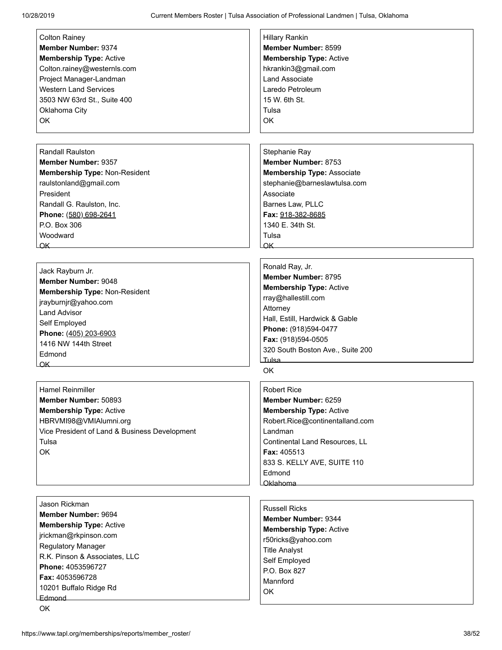| <b>Colton Rainey</b>                          | <b>Hillary Rankin</b>                 |
|-----------------------------------------------|---------------------------------------|
| Member Number: 9374                           | Member Number: 8599                   |
| <b>Membership Type: Active</b>                | <b>Membership Type: Active</b>        |
| Colton.rainey@westernls.com                   | hkrankin3@gmail.com                   |
| Project Manager-Landman                       | <b>Land Associate</b>                 |
| <b>Western Land Services</b>                  | Laredo Petroleum                      |
| 3503 NW 63rd St., Suite 400                   | 15 W. 6th St.                         |
| Oklahoma City                                 | Tulsa                                 |
| OK                                            | OK                                    |
|                                               |                                       |
|                                               |                                       |
| <b>Randall Raulston</b>                       | Stephanie Ray                         |
| Member Number: 9357                           | Member Number: 8753                   |
| Membership Type: Non-Resident                 | <b>Membership Type: Associate</b>     |
| raulstonland@gmail.com                        | stephanie@barneslawtulsa.com          |
| President                                     | Associate                             |
|                                               |                                       |
| Randall G. Raulston, Inc.                     | Barnes Law, PLLC                      |
| Phone: (580) 698-2641<br>P.O. Box 306         | Fax: 918-382-8685<br>1340 E. 34th St. |
|                                               |                                       |
| Woodward                                      | Tulsa                                 |
| $\overline{\mathsf{OK}}$                      | $\alpha$ K                            |
|                                               |                                       |
| Jack Rayburn Jr.                              | Ronald Ray, Jr.                       |
| Member Number: 9048                           | Member Number: 8795                   |
| Membership Type: Non-Resident                 | <b>Membership Type: Active</b>        |
| jrayburnjr@yahoo.com                          | rray@hallestill.com                   |
| <b>Land Advisor</b>                           | Attorney                              |
| Self Employed                                 | Hall, Estill, Hardwick & Gable        |
| Phone: (405) 203-6903                         | Phone: (918)594-0477                  |
| 1416 NW 144th Street                          | Fax: (918)594-0505                    |
| Edmond                                        | 320 South Boston Ave., Suite 200      |
| $\overline{\mathsf{OK}}$                      | Tulsa                                 |
|                                               | OK                                    |
|                                               |                                       |
| Hamel Reinmiller                              | <b>Robert Rice</b>                    |
| Member Number: 50893                          | Member Number: 6259                   |
| <b>Membership Type: Active</b>                | <b>Membership Type: Active</b>        |
| HBRVMI98@VMIAlumni.org                        | Robert.Rice@continentalland.com       |
| Vice President of Land & Business Development | Landman                               |
| Tulsa                                         | Continental Land Resources, LL        |
| OK                                            | Fax: 405513                           |
|                                               | 833 S. KELLY AVE, SUITE 110           |
|                                               | Edmond                                |
|                                               | Oklahoma                              |
|                                               |                                       |
| Jason Rickman                                 | <b>Russell Ricks</b>                  |
| Member Number: 9694                           | Member Number: 9344                   |
| <b>Membership Type: Active</b>                | <b>Membership Type: Active</b>        |
| jrickman@rkpinson.com                         | r50ricks@yahoo.com                    |
| Regulatory Manager                            | <b>Title Analyst</b>                  |
| R.K. Pinson & Associates, LLC                 | Self Employed                         |
| Phone: 4053596727                             | P.O. Box 827                          |
| Fax: 4053596728                               | Mannford                              |
| 10201 Buffalo Ridge Rd                        | OK                                    |
| Edmond                                        |                                       |
| OK                                            |                                       |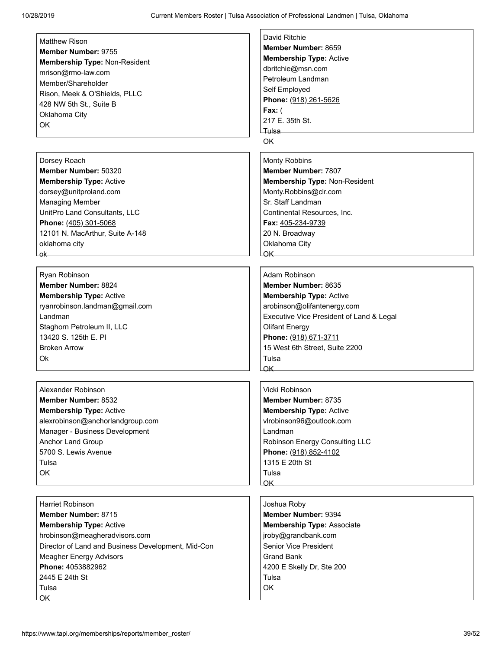| <b>Matthew Rison</b>                               | David Ritchie                                                                                                                                                                                                                                    |
|----------------------------------------------------|--------------------------------------------------------------------------------------------------------------------------------------------------------------------------------------------------------------------------------------------------|
|                                                    | Member Number: 8659                                                                                                                                                                                                                              |
| Member Number: 9755                                | <b>Membership Type: Active</b>                                                                                                                                                                                                                   |
| Membership Type: Non-Resident                      | dbritchie@msn.com                                                                                                                                                                                                                                |
| mrison@rmo-law.com                                 | Petroleum Landman                                                                                                                                                                                                                                |
| Member/Shareholder                                 |                                                                                                                                                                                                                                                  |
| Rison, Meek & O'Shields, PLLC                      | Self Employed                                                                                                                                                                                                                                    |
| 428 NW 5th St., Suite B                            | Phone: (918) 261-5626                                                                                                                                                                                                                            |
| Oklahoma City                                      | Fax: $($                                                                                                                                                                                                                                         |
| OK                                                 | 217 E. 35th St.                                                                                                                                                                                                                                  |
|                                                    | Tulsa <sub>——</sub>                                                                                                                                                                                                                              |
|                                                    | <b>OK</b>                                                                                                                                                                                                                                        |
|                                                    |                                                                                                                                                                                                                                                  |
| Dorsey Roach                                       | Monty Robbins                                                                                                                                                                                                                                    |
| Member Number: 50320                               | Member Number: 7807                                                                                                                                                                                                                              |
| <b>Membership Type: Active</b>                     | Membership Type: Non-Resident                                                                                                                                                                                                                    |
| dorsey@unitproland.com                             | Monty.Robbins@clr.com                                                                                                                                                                                                                            |
| <b>Managing Member</b>                             | Sr. Staff Landman                                                                                                                                                                                                                                |
| UnitPro Land Consultants, LLC                      | Continental Resources, Inc.                                                                                                                                                                                                                      |
| Phone: (405) 301-5068                              | Fax: 405-234-9739                                                                                                                                                                                                                                |
| 12101 N. MacArthur, Suite A-148                    | 20 N. Broadway                                                                                                                                                                                                                                   |
|                                                    |                                                                                                                                                                                                                                                  |
| oklahoma city                                      | Oklahoma City                                                                                                                                                                                                                                    |
| ok                                                 | $OK$ and $OK$ and $OK$ and $OK$ and $OK$ and $OK$ and $OK$ and $OK$ and $OK$ and $OK$ and $OK$ and $OK$ and $OK$ and $OK$ and $OK$ and $OK$ and $OK$ and $OK$ and $OK$ and $K$ and $K$ and $K$ and $K$ and $K$ and $K$ and $K$ and $K$ and $K$ a |
| Ryan Robinson                                      | Adam Robinson                                                                                                                                                                                                                                    |
| Member Number: 8824                                | Member Number: 8635                                                                                                                                                                                                                              |
|                                                    |                                                                                                                                                                                                                                                  |
| <b>Membership Type: Active</b>                     | <b>Membership Type: Active</b>                                                                                                                                                                                                                   |
| ryanrobinson.landman@gmail.com                     | arobinson@olifantenergy.com                                                                                                                                                                                                                      |
| Landman                                            | Executive Vice President of Land & Legal                                                                                                                                                                                                         |
| Staghorn Petroleum II, LLC                         | <b>Olifant Energy</b>                                                                                                                                                                                                                            |
| 13420 S. 125th E. PI                               | Phone: (918) 671-3711                                                                                                                                                                                                                            |
| <b>Broken Arrow</b>                                | 15 West 6th Street, Suite 2200                                                                                                                                                                                                                   |
| Ok                                                 | Tulsa                                                                                                                                                                                                                                            |
|                                                    | OK                                                                                                                                                                                                                                               |
|                                                    |                                                                                                                                                                                                                                                  |
| Alexander Robinson                                 | Vicki Robinson                                                                                                                                                                                                                                   |
| Member Number: 8532                                | Member Number: 8735                                                                                                                                                                                                                              |
| <b>Membership Type: Active</b>                     | <b>Membership Type: Active</b>                                                                                                                                                                                                                   |
| alexrobinson@anchorlandgroup.com                   | vlrobinson96@outlook.com                                                                                                                                                                                                                         |
| Manager - Business Development                     | Landman                                                                                                                                                                                                                                          |
| Anchor Land Group                                  | Robinson Energy Consulting LLC                                                                                                                                                                                                                   |
| 5700 S. Lewis Avenue                               |                                                                                                                                                                                                                                                  |
|                                                    | Phone: (918) 852-4102                                                                                                                                                                                                                            |
| Tulsa                                              | 1315 E 20th St                                                                                                                                                                                                                                   |
| OK                                                 | Tulsa                                                                                                                                                                                                                                            |
|                                                    | $\alpha$ K                                                                                                                                                                                                                                       |
| <b>Harriet Robinson</b>                            | Joshua Roby                                                                                                                                                                                                                                      |
| Member Number: 8715                                | Member Number: 9394                                                                                                                                                                                                                              |
| <b>Membership Type: Active</b>                     | <b>Membership Type: Associate</b>                                                                                                                                                                                                                |
| hrobinson@meagheradvisors.com                      | jroby@grandbank.com                                                                                                                                                                                                                              |
| Director of Land and Business Development, Mid-Con | Senior Vice President                                                                                                                                                                                                                            |
|                                                    |                                                                                                                                                                                                                                                  |
| <b>Meagher Energy Advisors</b>                     | <b>Grand Bank</b>                                                                                                                                                                                                                                |
| Phone: 4053882962                                  | 4200 E Skelly Dr, Ste 200                                                                                                                                                                                                                        |
| 2445 E 24th St                                     | Tulsa                                                                                                                                                                                                                                            |
| Tulsa                                              | <b>OK</b>                                                                                                                                                                                                                                        |
| $\overline{\mathsf{OK}}$                           |                                                                                                                                                                                                                                                  |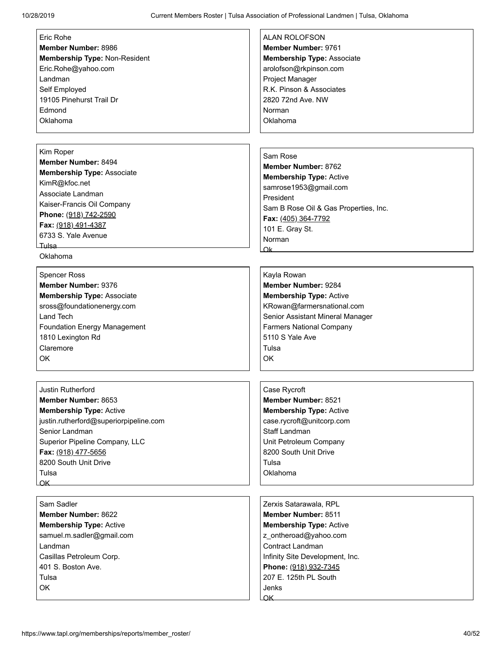| Eric Rohe                              | <b>ALAN ROLOFSON</b>                  |
|----------------------------------------|---------------------------------------|
| Member Number: 8986                    | Member Number: 9761                   |
| Membership Type: Non-Resident          | <b>Membership Type: Associate</b>     |
| Eric.Rohe@yahoo.com                    | arolofson@rkpinson.com                |
| Landman                                | Project Manager                       |
| Self Employed                          | R.K. Pinson & Associates              |
| 19105 Pinehurst Trail Dr               | 2820 72nd Ave. NW                     |
| Edmond                                 | Norman                                |
| Oklahoma                               | Oklahoma                              |
|                                        |                                       |
|                                        |                                       |
| Kim Roper                              | Sam Rose                              |
| Member Number: 8494                    | Member Number: 8762                   |
| <b>Membership Type: Associate</b>      | <b>Membership Type: Active</b>        |
| KimR@kfoc.net                          | samrose1953@gmail.com                 |
| Associate Landman                      | President                             |
| Kaiser-Francis Oil Company             | Sam B Rose Oil & Gas Properties, Inc. |
| Phone: (918) 742-2590                  | Fax: (405) 364-7792                   |
| Fax: (918) 491-4387                    | 101 E. Gray St.                       |
| 6733 S. Yale Avenue                    | Norman                                |
| Tulsa                                  | Ωk.                                   |
| Oklahoma                               |                                       |
| <b>Spencer Ross</b>                    | Kayla Rowan                           |
| Member Number: 9376                    | Member Number: 9284                   |
| <b>Membership Type: Associate</b>      | <b>Membership Type: Active</b>        |
| sross@foundationenergy.com             | KRowan@farmersnational.com            |
| Land Tech                              | Senior Assistant Mineral Manager      |
| <b>Foundation Energy Management</b>    | <b>Farmers National Company</b>       |
| 1810 Lexington Rd                      | 5110 S Yale Ave                       |
| Claremore                              | Tulsa                                 |
| <b>OK</b>                              | OK                                    |
|                                        |                                       |
|                                        |                                       |
| Justin Rutherford                      | Case Rycroft                          |
| <b>Member Number: 8653</b>             | Member Number: 8521                   |
| <b>Membership Type: Active</b>         | <b>Membership Type: Active</b>        |
| justin.rutherford@superiorpipeline.com | case.rycroft@unitcorp.com             |
| Senior Landman                         | Staff Landman                         |
| Superior Pipeline Company, LLC         | Unit Petroleum Company                |
| Fax: (918) 477-5656                    | 8200 South Unit Drive                 |
| 8200 South Unit Drive                  | Tulsa                                 |
| Tulsa                                  | Oklahoma                              |
| OK                                     |                                       |
|                                        |                                       |
| Sam Sadler                             | Zerxis Satarawala, RPL                |
| <b>Member Number: 8622</b>             | Member Number: 8511                   |
| <b>Membership Type: Active</b>         | <b>Membership Type: Active</b>        |
| samuel.m.sadler@gmail.com              | z ontheroad@yahoo.com                 |
| Landman                                | Contract Landman                      |
| Casillas Petroleum Corp.               | Infinity Site Development, Inc.       |
| 401 S. Boston Ave.                     | Phone: (918) 932-7345                 |
| Tulsa                                  | 207 E. 125th PL South                 |
| OK                                     | Jenks                                 |
|                                        | ΩK.                                   |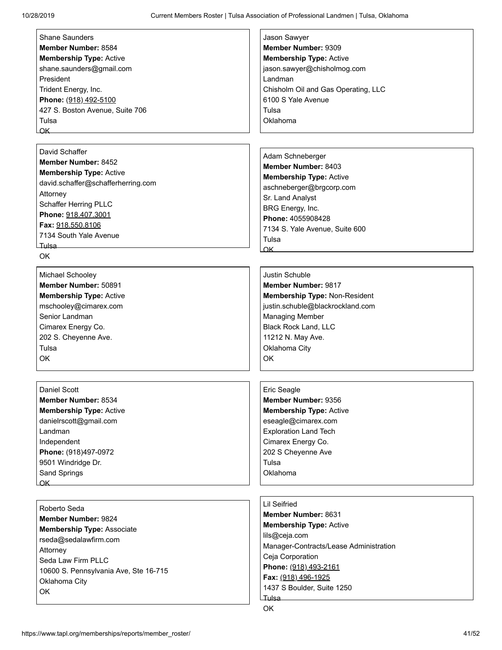| <b>Shane Saunders</b>                 | Jason Sawyer                           |
|---------------------------------------|----------------------------------------|
| Member Number: 8584                   | Member Number: 9309                    |
| <b>Membership Type: Active</b>        | <b>Membership Type: Active</b>         |
| shane.saunders@gmail.com              | jason.sawyer@chisholmog.com            |
| President                             | Landman                                |
| Trident Energy, Inc.                  | Chisholm Oil and Gas Operating, LLC    |
| Phone: (918) 492-5100                 | 6100 S Yale Avenue                     |
| 427 S. Boston Avenue, Suite 706       | Tulsa                                  |
| Tulsa                                 | Oklahoma                               |
| OK                                    |                                        |
|                                       |                                        |
| David Schaffer                        |                                        |
|                                       | Adam Schneberger                       |
| <b>Member Number: 8452</b>            | Member Number: 8403                    |
| <b>Membership Type: Active</b>        | <b>Membership Type: Active</b>         |
| david.schaffer@schafferherring.com    | aschneberger@brgcorp.com               |
| Attorney                              | Sr. Land Analyst                       |
| Schaffer Herring PLLC                 | BRG Energy, Inc.                       |
| Phone: 918.407.3001                   | Phone: 4055908428                      |
| Fax: 918.550.8106                     | 7134 S. Yale Avenue, Suite 600         |
| 7134 South Yale Avenue                |                                        |
| Tulsa —                               | Tulsa                                  |
| <b>OK</b>                             | OK                                     |
|                                       |                                        |
| Michael Schooley                      | Justin Schuble                         |
| Member Number: 50891                  | <b>Member Number: 9817</b>             |
| <b>Membership Type: Active</b>        | Membership Type: Non-Resident          |
| mschooley@cimarex.com                 | justin.schuble@blackrockland.com       |
| Senior Landman                        | <b>Managing Member</b>                 |
| Cimarex Energy Co.                    | <b>Black Rock Land, LLC</b>            |
| 202 S. Cheyenne Ave.                  | 11212 N. May Ave.                      |
| Tulsa                                 | Oklahoma City                          |
| OK                                    | OK                                     |
|                                       |                                        |
|                                       |                                        |
| <b>Daniel Scott</b>                   | Eric Seagle                            |
| Member Number: 8534                   | Member Number: 9356                    |
| <b>Membership Type: Active</b>        | <b>Membership Type: Active</b>         |
| danielrscott@gmail.com                | eseagle@cimarex.com                    |
| Landman                               | <b>Exploration Land Tech</b>           |
| Independent                           | Cimarex Energy Co.                     |
|                                       |                                        |
| Phone: (918)497-0972                  | 202 S Cheyenne Ave                     |
| 9501 Windridge Dr.                    | Tulsa                                  |
| Sand Springs                          | Oklahoma                               |
| OK                                    |                                        |
|                                       | <b>Lil Seifried</b>                    |
| Roberto Seda                          | Member Number: 8631                    |
| <b>Member Number: 9824</b>            |                                        |
| <b>Membership Type: Associate</b>     | <b>Membership Type: Active</b>         |
| rseda@sedalawfirm.com                 | lils@ceja.com                          |
| Attorney                              | Manager-Contracts/Lease Administration |
| Seda Law Firm PLLC                    | Ceja Corporation                       |
| 10600 S. Pennsylvania Ave, Ste 16-715 | Phone: (918) 493-2161                  |
| Oklahoma City                         | Fax: (918) 496-1925                    |
| OK                                    | 1437 S Boulder, Suite 1250             |
|                                       | Tulsa                                  |
|                                       | OK                                     |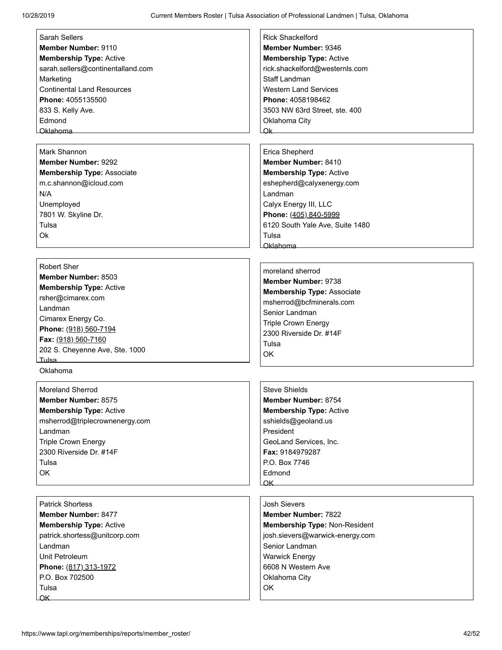| <b>Sarah Sellers</b>              | <b>Rick Shackelford</b>           |
|-----------------------------------|-----------------------------------|
| Member Number: 9110               | Member Number: 9346               |
| <b>Membership Type: Active</b>    | <b>Membership Type: Active</b>    |
| sarah.sellers@continentalland.com | rick.shackelford@westernls.com    |
| Marketing                         | Staff Landman                     |
| <b>Continental Land Resources</b> | <b>Western Land Services</b>      |
| Phone: 4055135500                 | Phone: 4058198462                 |
| 833 S. Kelly Ave.                 | 3503 NW 63rd Street, ste. 400     |
| Edmond                            | Oklahoma City                     |
| Oklahoma                          | Ok                                |
|                                   |                                   |
| Mark Shannon                      | Erica Shepherd                    |
| <b>Member Number: 9292</b>        | Member Number: 8410               |
| <b>Membership Type: Associate</b> | <b>Membership Type: Active</b>    |
| m.c.shannon@icloud.com            | eshepherd@calyxenergy.com         |
| N/A                               | Landman                           |
| Unemployed                        | Calyx Energy III, LLC             |
| 7801 W. Skyline Dr.               | Phone: (405) 840-5999             |
| Tulsa                             | 6120 South Yale Ave, Suite 1480   |
| Ok                                | Tulsa                             |
|                                   | Oklahoma                          |
|                                   |                                   |
| <b>Robert Sher</b>                |                                   |
| Member Number: 8503               | moreland sherrod                  |
| <b>Membership Type: Active</b>    | Member Number: 9738               |
| rsher@cimarex.com                 | <b>Membership Type: Associate</b> |
| Landman                           | msherrod@bcfminerals.com          |
| Cimarex Energy Co.                | Senior Landman                    |
| Phone: (918) 560-7194             | Triple Crown Energy               |
| Fax: (918) 560-7160               | 2300 Riverside Dr. #14F           |
| 202 S. Cheyenne Ave, Ste. 1000    | Tulsa                             |
| Tulsa                             | <b>OK</b>                         |
| Oklahoma                          |                                   |
|                                   |                                   |
| <b>Moreland Sherrod</b>           | <b>Steve Shields</b>              |
| Member Number: 8575               | Member Number: 8754               |
| <b>Membership Type: Active</b>    | <b>Membership Type: Active</b>    |
| msherrod@triplecrownenergy.com    | sshields@geoland.us               |
| Landman                           | President                         |
| <b>Triple Crown Energy</b>        | GeoLand Services, Inc.            |
| 2300 Riverside Dr. #14F           | Fax: 9184979287                   |
| Tulsa                             | P.O. Box 7746                     |
| OK                                | Edmond                            |
|                                   | $\overline{\mathsf{OK}}$          |
|                                   |                                   |
| <b>Patrick Shortess</b>           | <b>Josh Sievers</b>               |
| <b>Member Number: 8477</b>        | <b>Member Number: 7822</b>        |
|                                   |                                   |
| <b>Membership Type: Active</b>    | Membership Type: Non-Resident     |
| patrick.shortess@unitcorp.com     | josh.sievers@warwick-energy.com   |
| Landman                           | Senior Landman                    |
| Unit Petroleum                    | <b>Warwick Energy</b>             |
| Phone: (817) 313-1972             | 6608 N Western Ave                |
| P.O. Box 702500                   | Oklahoma City                     |
| Tulsa                             | OK                                |
| $\overline{\mathsf{OK}}$          |                                   |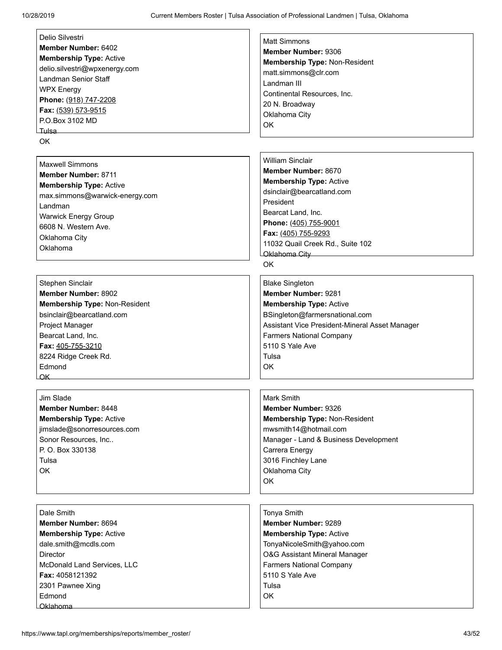| Delio Silvestri                | <b>Matt Simmons</b>                            |
|--------------------------------|------------------------------------------------|
| Member Number: 6402            | Member Number: 9306                            |
| <b>Membership Type: Active</b> | Membership Type: Non-Resident                  |
| delio.silvestri@wpxenergy.com  | matt.simmons@clr.com                           |
| Landman Senior Staff           | Landman III                                    |
| <b>WPX Energy</b>              |                                                |
| Phone: (918) 747-2208          | Continental Resources, Inc.                    |
| Fax: (539) 573-9515            | 20 N. Broadway                                 |
| P.O.Box 3102 MD                | Oklahoma City                                  |
|                                | <b>OK</b>                                      |
| <b>OK</b>                      |                                                |
|                                |                                                |
| <b>Maxwell Simmons</b>         | <b>William Sinclair</b>                        |
| <b>Member Number: 8711</b>     | Member Number: 8670                            |
| <b>Membership Type: Active</b> | <b>Membership Type: Active</b>                 |
| max.simmons@warwick-energy.com | dsinclair@bearcatland.com                      |
| Landman                        | President                                      |
| Warwick Energy Group           | Bearcat Land, Inc.                             |
| 6608 N. Western Ave.           | Phone: (405) 755-9001                          |
|                                | Fax: (405) 755-9293                            |
| Oklahoma City                  | 11032 Quail Creek Rd., Suite 102               |
| Oklahoma                       | Oklahoma City                                  |
|                                | <b>OK</b>                                      |
|                                |                                                |
| Stephen Sinclair               | <b>Blake Singleton</b>                         |
| Member Number: 8902            | Member Number: 9281                            |
| Membership Type: Non-Resident  | <b>Membership Type: Active</b>                 |
| bsinclair@bearcatland.com      | BSingleton@farmersnational.com                 |
| Project Manager                | Assistant Vice President-Mineral Asset Manager |
| Bearcat Land, Inc.             | <b>Farmers National Company</b>                |
| Fax: 405-755-3210              | 5110 S Yale Ave                                |
| 8224 Ridge Creek Rd.           | Tulsa                                          |
| Edmond                         | ΟK                                             |
| <u>OK</u>                      |                                                |
|                                |                                                |
| Jim Slade                      | Mark Smith                                     |
| <b>Member Number: 8448</b>     | Member Number: 9326                            |
| <b>Membership Type: Active</b> | Membership Type: Non-Resident                  |
| jimslade@sonorresources.com    | mwsmith14@hotmail.com                          |
| Sonor Resources, Inc           | Manager - Land & Business Development          |
| P. O. Box 330138               | Carrera Energy                                 |
| Tulsa                          | 3016 Finchley Lane                             |
| OK                             | Oklahoma City                                  |
|                                | OK                                             |
|                                |                                                |
|                                |                                                |
| Dale Smith                     | Tonya Smith                                    |
| Member Number: 8694            | Member Number: 9289                            |
| <b>Membership Type: Active</b> | <b>Membership Type: Active</b>                 |
| dale.smith@mcdls.com           | TonyaNicoleSmith@yahoo.com                     |
| Director                       | O&G Assistant Mineral Manager                  |
| McDonald Land Services, LLC    | <b>Farmers National Company</b>                |
| Fax: 4058121392                | 5110 S Yale Ave                                |
| 2301 Pawnee Xing               | Tulsa                                          |
| Edmond                         | <b>OK</b>                                      |
| Oklahoma                       |                                                |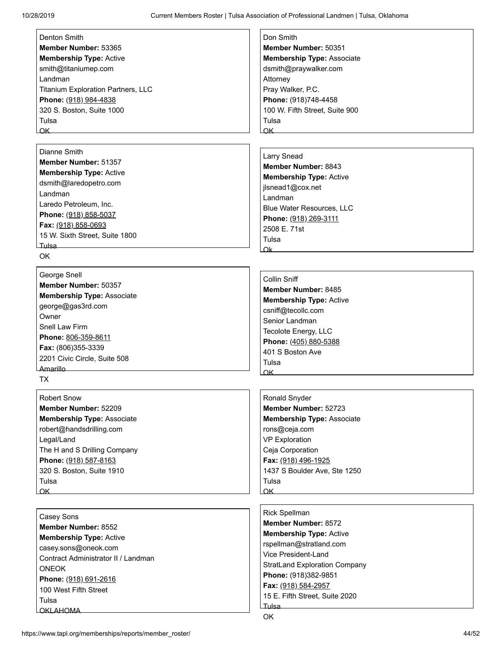| Denton Smith                              | Don Smith                         |
|-------------------------------------------|-----------------------------------|
| Member Number: 53365                      | Member Number: 50351              |
| <b>Membership Type: Active</b>            | <b>Membership Type: Associate</b> |
| smith@titaniumep.com                      | dsmith@praywalker.com             |
| Landman                                   | Attorney                          |
| <b>Titanium Exploration Partners, LLC</b> | Pray Walker, P.C.                 |
| Phone: (918) 984-4838                     | Phone: (918)748-4458              |
| 320 S. Boston, Suite 1000                 | 100 W. Fifth Street, Suite 900    |
| Tulsa                                     | Tulsa                             |
| <u>OK</u>                                 | ΩK                                |
|                                           |                                   |
| Dianne Smith                              | Larry Snead                       |
| Member Number: 51357                      | Member Number: 8843               |

**Membership Type:** Active dsmith@laredopetro.com Landman Laredo Petroleum, Inc. **Phone:** (918) 858-5037 **Fax:** (918) 858-0693 15 W. Sixth Street, Suite 1800 Tulsa

OK

## [George Snell](https://www.tapl.org/profiles/george@gas3rd/) **Member Number:** 50357 **Membership Type:** Associate george@gas3rd.com **Owner** Snell Law Firm **Phone:** 806-359-8611 **Fax:** (806)355-3339 2201 Civic Circle, Suite 508 Amarillo

TX

[Robert Snow](https://www.tapl.org/profiles/rsnow/) **Member Number:** 52209 **Membership Type:** Associate robert@handsdrilling.com Legal/Land The H and S Drilling Company **Phone:** (918) 587-8163 320 S. Boston, Suite 1910 Tulsa OK

[Casey Sons](https://www.tapl.org/profiles/caseysons/) **Member Number:** 8552 **Membership Type:** Active casey.sons@oneok.com Contract Administrator II / Landman ONEOK **Phone:** (918) 691-2616 100 West Fifth Street Tulsa OKLAHOMA

**Member Number:** 8843 **Membership Type:** Active jlsnead1@cox.net Landman Blue Water Resources, LLC **Phone:** (918) 269-3111 2508 E. 71st Tulsa Ok

#### [Collin Sniff](https://www.tapl.org/profiles/csniff/) **Member Number:** 8485 **Membership Type:** Active csniff@tecollc.com Senior Landman Tecolote Energy, LLC **Phone:** (405) 880-5388 401 S Boston Ave Tulsa OK

[Ronald Snyder](https://www.tapl.org/profiles/rsnyder/) **Member Number:** 52723 **Membership Type:** Associate rons@ceja.com VP Exploration Ceja Corporation **Fax:** (918) 496-1925 1437 S Boulder Ave, Ste 1250 Tulsa **OK** 

[Rick Spellman](https://www.tapl.org/profiles/rspellman/) **Member Number:** 8572 **Membership Type:** Active rspellman@stratland.com Vice President-Land StratLand Exploration Company **Phone:** (918)382-9851 **Fax:** (918) 584-2957 15 E. Fifth Street, Suite 2020 Tulsa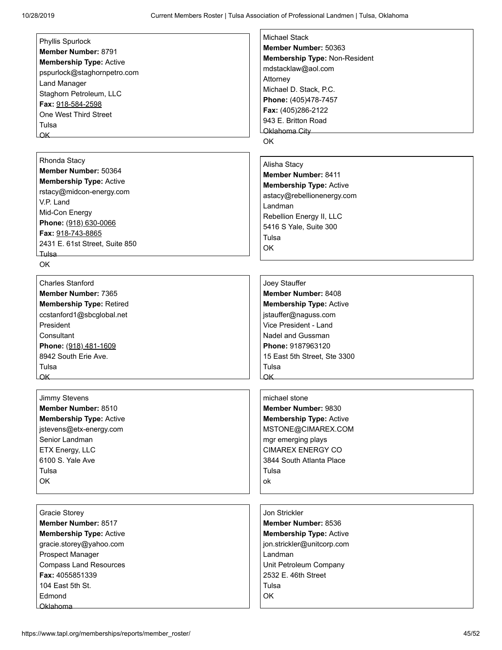| Member Number: 8791            |  |
|--------------------------------|--|
| <b>Membership Type: Active</b> |  |
| pspurlock@staghornpetro.com    |  |
| Land Manager                   |  |
| Staghorn Petroleum, LLC        |  |
| Fax: 918-584-2598              |  |
| One West Third Street          |  |
| Tulsa                          |  |
| OΚ                             |  |

#### [Rhonda Stacy](https://www.tapl.org/profiles/rstacy@midcon-energy.com/)

**Member Number:** 50364 **Membership Type:** Active rstacy@midcon-energy.com V.P. Land Mid-Con Energy **Phone:** (918) 630-0066 **Fax:** 918-743-8865 2431 E. 61st Street, Suite 850 Tulsa

OK

[Charles Stanford](https://www.tapl.org/profiles/ccstanford/) **Member Number:** 7365 **Membership Type:** Retired ccstanford1@sbcglobal.net President **Consultant Phone:** (918) 481-1609 8942 South Erie Ave. Tulsa OK

[Jimmy Stevens](https://www.tapl.org/profiles/jstevens/) **Member Number:** 8510 **Membership Type:** Active jstevens@etx-energy.com Senior Landman ETX Energy, LLC 6100 S. Yale Ave Tulsa OK

[Gracie Storey](https://www.tapl.org/profiles/g_storey/) **Member Number:** 8517 **Membership Type:** Active gracie.storey@yahoo.com Prospect Manager Compass Land Resources **Fax:** 4055851339 104 East 5th St. Edmond Oklahoma

[Michael Stack](https://www.tapl.org/profiles/mdstacklaw@aol.com/) **Member Number:** 50363 **Membership Type:** Non-Resident mdstacklaw@aol.com Attorney

Michael D. Stack, P.C. **Phone:** (405)478-7457 **Fax:** (405)286-2122 943 E. Britton Road Oklahoma City

OK

#### [Alisha Stacy](https://www.tapl.org/profiles/alishastacy/)

**Member Number:** 8411 **Membership Type:** Active astacy@rebellionenergy.com Landman Rebellion Energy II, LLC 5416 S Yale, Suite 300 Tulsa OK

## [Joey Stauffer](https://www.tapl.org/profiles/joey.stauffer/)

**Member Number:** 8408 **Membership Type:** Active jstauffer@naguss.com Vice President - Land Nadel and Gussman **Phone:** 9187963120 15 East 5th Street, Ste 3300 Tulsa OK

[michael stone](https://www.tapl.org/profiles/mstone2cimarex/) **Member Number:** 9830 **Membership Type:** Active MSTONE@CIMAREX.COM mgr emerging plays CIMAREX ENERGY CO 3844 South Atlanta Place Tulsa ok

### [Jon Strickler](https://www.tapl.org/profiles/jstrickler1/) **Member Number:** 8536 **Membership Type:** Active jon.strickler@unitcorp.com Landman Unit Petroleum Company 2532 E. 46th Street Tulsa OK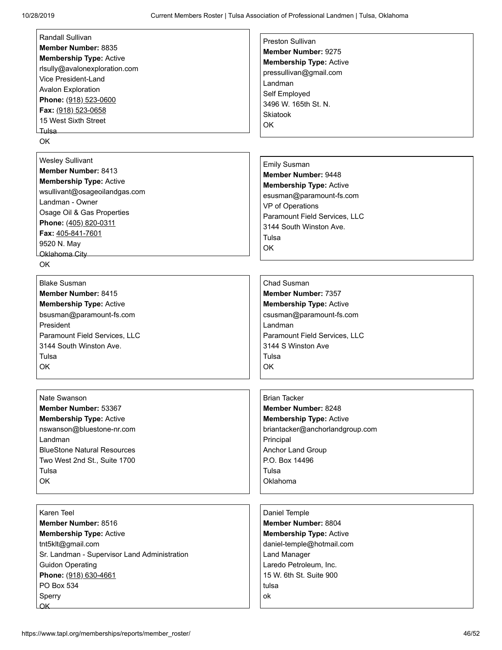| <b>Randall Sullivan</b>                      | <b>Preston Sullivan</b>         |
|----------------------------------------------|---------------------------------|
| Member Number: 8835                          | Member Number: 9275             |
| <b>Membership Type: Active</b>               | <b>Membership Type: Active</b>  |
| rlsully@avalonexploration.com                | pressullivan@gmail.com          |
| Vice President-Land                          | Landman                         |
| <b>Avalon Exploration</b>                    |                                 |
| Phone: (918) 523-0600                        | Self Employed                   |
| Fax: (918) 523-0658                          | 3496 W. 165th St. N.            |
| 15 West Sixth Street                         | Skiatook                        |
| Tulsa –                                      | OK                              |
| <b>OK</b>                                    |                                 |
|                                              |                                 |
| <b>Wesley Sullivant</b>                      | <b>Emily Susman</b>             |
| Member Number: 8413                          |                                 |
| <b>Membership Type: Active</b>               | Member Number: 9448             |
| wsullivant@osageoilandgas.com                | <b>Membership Type: Active</b>  |
| Landman - Owner                              | esusman@paramount-fs.com        |
|                                              | VP of Operations                |
| Osage Oil & Gas Properties                   | Paramount Field Services, LLC   |
| Phone: (405) 820-0311                        | 3144 South Winston Ave.         |
| Fax: 405-841-7601                            | Tulsa                           |
| 9520 N. May                                  | OK                              |
| Oklahoma City                                |                                 |
| <b>OK</b>                                    |                                 |
| <b>Blake Susman</b>                          | Chad Susman                     |
|                                              |                                 |
| Member Number: 8415                          | <b>Member Number: 7357</b>      |
| <b>Membership Type: Active</b>               | <b>Membership Type: Active</b>  |
| bsusman@paramount-fs.com                     | csusman@paramount-fs.com        |
| President                                    | Landman                         |
| Paramount Field Services, LLC                | Paramount Field Services, LLC   |
| 3144 South Winston Ave.                      | 3144 S Winston Ave              |
| Tulsa                                        | Tulsa                           |
| OK                                           | OK                              |
|                                              |                                 |
|                                              |                                 |
| Nate Swanson                                 | <b>Brian Tacker</b>             |
| Member Number: 53367                         | Member Number: 8248             |
| <b>Membership Type: Active</b>               | <b>Membership Type: Active</b>  |
| nswanson@bluestone-nr.com                    | briantacker@anchorlandgroup.com |
| Landman                                      | Principal                       |
| <b>BlueStone Natural Resources</b>           | Anchor Land Group               |
| Two West 2nd St., Suite 1700                 | P.O. Box 14496                  |
| Tulsa                                        | Tulsa                           |
| OK                                           | Oklahoma                        |
|                                              |                                 |
|                                              |                                 |
| Karen Teel                                   | Daniel Temple                   |
| Member Number: 8516                          | Member Number: 8804             |
| <b>Membership Type: Active</b>               | <b>Membership Type: Active</b>  |
| tnt5klt@gmail.com                            | daniel-temple@hotmail.com       |
| Sr. Landman - Supervisor Land Administration | <b>Land Manager</b>             |
| <b>Guidon Operating</b>                      | Laredo Petroleum, Inc.          |
| Phone: (918) 630-4661                        | 15 W. 6th St. Suite 900         |
| PO Box 534                                   | tulsa                           |
|                                              | ok                              |
| Sperry<br><b>OK</b>                          |                                 |
|                                              |                                 |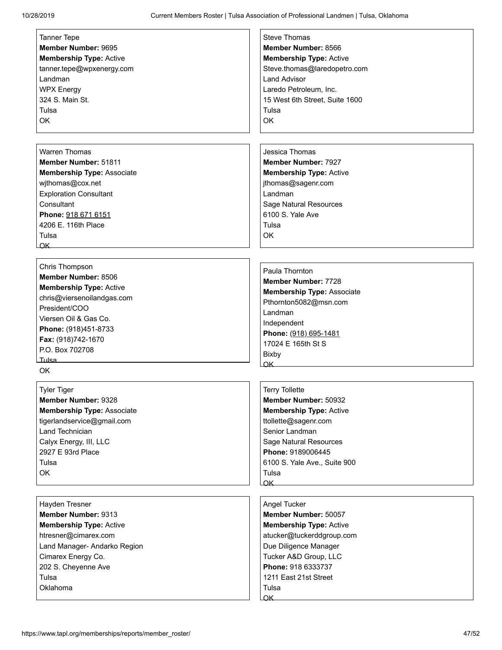| <b>Tanner Tepe</b>                | <b>Steve Thomas</b>               |
|-----------------------------------|-----------------------------------|
| Member Number: 9695               | Member Number: 8566               |
| <b>Membership Type: Active</b>    | <b>Membership Type: Active</b>    |
| tanner.tepe@wpxenergy.com         | Steve.thomas@laredopetro.com      |
| Landman                           | <b>Land Advisor</b>               |
| <b>WPX Energy</b>                 | Laredo Petroleum, Inc.            |
|                                   |                                   |
| 324 S. Main St.                   | 15 West 6th Street, Suite 1600    |
| Tulsa                             | Tulsa                             |
| OK                                | OK                                |
|                                   |                                   |
|                                   |                                   |
| <b>Warren Thomas</b>              | Jessica Thomas                    |
| Member Number: 51811              | <b>Member Number: 7927</b>        |
| <b>Membership Type: Associate</b> | <b>Membership Type: Active</b>    |
| wjthomas@cox.net                  | jthomas@sagenr.com                |
| <b>Exploration Consultant</b>     | Landman                           |
| Consultant                        | <b>Sage Natural Resources</b>     |
| Phone: 918 671 6151               | 6100 S. Yale Ave                  |
| 4206 E. 116th Place               | Tulsa                             |
| Tulsa                             | <b>OK</b>                         |
| $\overline{\mathsf{OK}}$          |                                   |
|                                   |                                   |
| Chris Thompson                    |                                   |
| Member Number: 8506               | Paula Thornton                    |
| <b>Membership Type: Active</b>    | <b>Member Number: 7728</b>        |
| chris@viersenoilandgas.com        | <b>Membership Type: Associate</b> |
| President/COO                     | Pthornton5082@msn.com             |
| Viersen Oil & Gas Co.             | Landman                           |
|                                   | Independent                       |
| Phone: (918)451-8733              | Phone: (918) 695-1481             |
| Fax: (918)742-1670                | 17024 E 165th St S                |
| P.O. Box 702708                   | <b>Bixby</b>                      |
| _Tulsa                            | OK                                |
| OK.                               |                                   |
| <b>Tyler Tiger</b>                | <b>Terry Tollette</b>             |
| Member Number: 9328               | Member Number: 50932              |
|                                   |                                   |
| <b>Membership Type: Associate</b> | <b>Membership Type: Active</b>    |
| tigerlandservice@gmail.com        | ttollette@sagenr.com              |
| Land Technician                   | Senior Landman                    |
| Calyx Energy, III, LLC            | Sage Natural Resources            |
| 2927 E 93rd Place                 | Phone: 9189006445                 |
| Tulsa                             | 6100 S. Yale Ave., Suite 900      |
| ОK                                | Tulsa                             |
|                                   | $\alpha$ K                        |
|                                   |                                   |
| Hayden Tresner                    | Angel Tucker                      |
| Member Number: 9313               | Member Number: 50057              |
| <b>Membership Type: Active</b>    | <b>Membership Type: Active</b>    |
| htresner@cimarex.com              | atucker@tuckerddgroup.com         |
| Land Manager- Andarko Region      | Due Diligence Manager             |
| Cimarex Energy Co.                | Tucker A&D Group, LLC             |
| 202 S. Cheyenne Ave               | Phone: 918 6333737                |
| Tulsa                             | 1211 East 21st Street             |
| Oklahoma                          | Tulsa                             |
|                                   | $\overline{\mathsf{OK}}$          |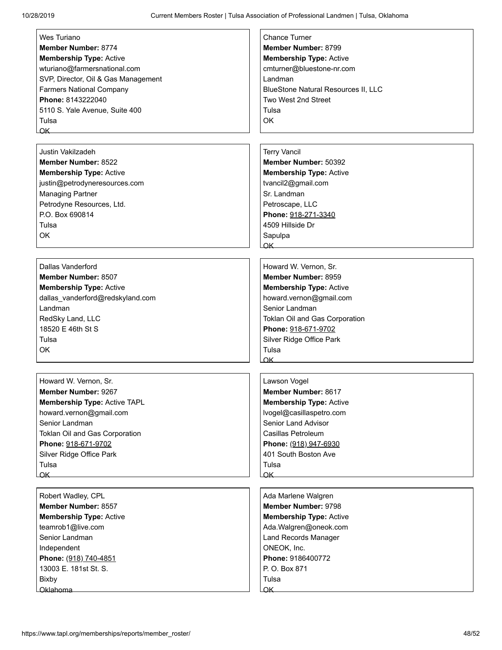| Wes Turiano                         | <b>Chance Turner</b>                       |
|-------------------------------------|--------------------------------------------|
| <b>Member Number: 8774</b>          | Member Number: 8799                        |
| <b>Membership Type: Active</b>      | <b>Membership Type: Active</b>             |
| wturiano@farmersnational.com        | cmturner@bluestone-nr.com                  |
| SVP, Director, Oil & Gas Management | Landman                                    |
|                                     |                                            |
| <b>Farmers National Company</b>     | <b>BlueStone Natural Resources II, LLC</b> |
| Phone: 8143222040                   | Two West 2nd Street                        |
| 5110 S. Yale Avenue, Suite 400      | Tulsa                                      |
| Tulsa                               | OK                                         |
| OK                                  |                                            |
| <b>Justin Vakilzadeh</b>            | <b>Terry Vancil</b>                        |
| <b>Member Number: 8522</b>          | Member Number: 50392                       |
|                                     |                                            |
| <b>Membership Type: Active</b>      | <b>Membership Type: Active</b>             |
| justin@petrodyneresources.com       | tvancil2@gmail.com                         |
| <b>Managing Partner</b>             | Sr. Landman                                |
| Petrodyne Resources, Ltd.           | Petroscape, LLC                            |
| P.O. Box 690814                     | Phone: 918-271-3340                        |
| Tulsa                               | 4509 Hillside Dr                           |
| <b>OK</b>                           | Sapulpa                                    |
|                                     | $\alpha$ K                                 |
| Dallas Vanderford                   | Howard W. Vernon, Sr.                      |
| <b>Member Number: 8507</b>          | Member Number: 8959                        |
|                                     |                                            |
| <b>Membership Type: Active</b>      | <b>Membership Type: Active</b>             |
| dallas_vanderford@redskyland.com    | howard.vernon@gmail.com                    |
| Landman                             | Senior Landman                             |
| RedSky Land, LLC                    | Toklan Oil and Gas Corporation             |
| 18520 E 46th St S                   | Phone: 918-671-9702                        |
| Tulsa                               | Silver Ridge Office Park                   |
| OK                                  | Tulsa                                      |
|                                     | OK                                         |
| Howard W. Vernon, Sr.               | Lawson Vogel                               |
| Member Number: 9267                 | <b>Member Number: 8617</b>                 |
| Membership Type: Active TAPL        | <b>Membership Type: Active</b>             |
| howard.vernon@gmail.com             | lvogel@casillaspetro.com                   |
| Senior Landman                      | Senior Land Advisor                        |
| Toklan Oil and Gas Corporation      | Casillas Petroleum                         |
| Phone: 918-671-9702                 | Phone: (918) 947-6930                      |
|                                     | 401 South Boston Ave                       |
| Silver Ridge Office Park<br>Tulsa   | Tulsa                                      |
| OK                                  | $\alpha$ K                                 |
|                                     |                                            |
| Robert Wadley, CPL                  | Ada Marlene Walgren                        |
| <b>Member Number: 8557</b>          | <b>Member Number: 9798</b>                 |
| <b>Membership Type: Active</b>      | <b>Membership Type: Active</b>             |
| teamrob1@live.com                   | Ada.Walgren@oneok.com                      |
| Senior Landman                      | Land Records Manager                       |
| Independent                         | ONEOK, Inc.                                |
| Phone: (918) 740-4851               | Phone: 9186400772                          |
| 13003 E. 181st St. S.               | P. O. Box 871                              |
| <b>Bixby</b>                        | Tulsa                                      |
| <u>LOklahoma</u>                    | <b>OK</b>                                  |
|                                     |                                            |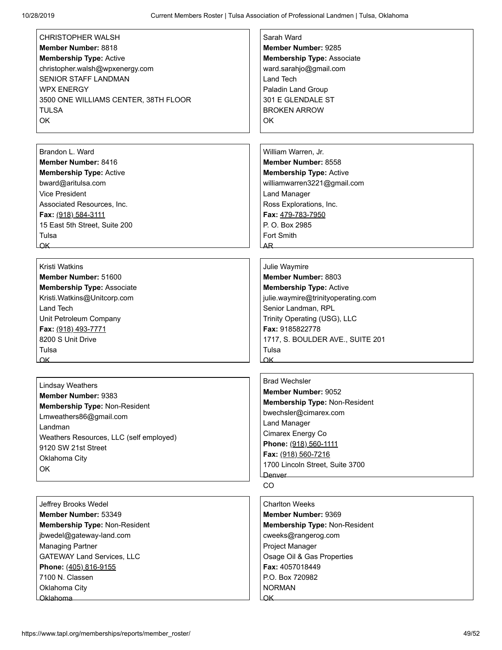| <b>CHRISTOPHER WALSH</b><br>Member Number: 8818<br><b>Membership Type: Active</b><br>christopher.walsh@wpxenergy.com<br><b>SENIOR STAFF LANDMAN</b><br><b>WPX ENERGY</b><br>3500 ONE WILLIAMS CENTER, 38TH FLOOR | Sarah Ward<br><b>Member Number: 9285</b><br><b>Membership Type: Associate</b><br>ward.sarahjo@gmail.com<br><b>Land Tech</b><br>Paladin Land Group<br>301 E GLENDALE ST |
|------------------------------------------------------------------------------------------------------------------------------------------------------------------------------------------------------------------|------------------------------------------------------------------------------------------------------------------------------------------------------------------------|
| <b>TULSA</b><br>OK                                                                                                                                                                                               | <b>BROKEN ARROW</b><br>OK                                                                                                                                              |
| Brandon L. Ward                                                                                                                                                                                                  | William Warren, Jr.                                                                                                                                                    |
| Member Number: 8416                                                                                                                                                                                              | Member Number: 8558                                                                                                                                                    |
| <b>Membership Type: Active</b>                                                                                                                                                                                   | <b>Membership Type: Active</b>                                                                                                                                         |
| bward@aritulsa.com                                                                                                                                                                                               | williamwarren3221@gmail.com                                                                                                                                            |
| <b>Vice President</b>                                                                                                                                                                                            | <b>Land Manager</b>                                                                                                                                                    |
| Associated Resources, Inc.                                                                                                                                                                                       | Ross Explorations, Inc.                                                                                                                                                |
| Fax: (918) 584-3111                                                                                                                                                                                              | Fax: 479-783-7950                                                                                                                                                      |
| 15 East 5th Street, Suite 200                                                                                                                                                                                    | P. O. Box 2985                                                                                                                                                         |
| Tulsa                                                                                                                                                                                                            | Fort Smith                                                                                                                                                             |
| $OK$ $\qquad$                                                                                                                                                                                                    | AR.                                                                                                                                                                    |
| <b>Kristi Watkins</b>                                                                                                                                                                                            | Julie Waymire                                                                                                                                                          |
| Member Number: 51600                                                                                                                                                                                             | Member Number: 8803                                                                                                                                                    |
| <b>Membership Type: Associate</b>                                                                                                                                                                                | <b>Membership Type: Active</b>                                                                                                                                         |
| Kristi.Watkins@Unitcorp.com                                                                                                                                                                                      | julie.waymire@trinityoperating.com                                                                                                                                     |
| Land Tech                                                                                                                                                                                                        | Senior Landman, RPL                                                                                                                                                    |
| Unit Petroleum Company                                                                                                                                                                                           | Trinity Operating (USG), LLC                                                                                                                                           |
| Fax: (918) 493-7771                                                                                                                                                                                              | Fax: 9185822778                                                                                                                                                        |
| 8200 S Unit Drive                                                                                                                                                                                                | 1717, S. BOULDER AVE., SUITE 201                                                                                                                                       |
| Tulsa                                                                                                                                                                                                            | Tulsa                                                                                                                                                                  |
| OK                                                                                                                                                                                                               | OK                                                                                                                                                                     |
|                                                                                                                                                                                                                  |                                                                                                                                                                        |
| <b>Lindsay Weathers</b>                                                                                                                                                                                          | <b>Brad Wechsler</b>                                                                                                                                                   |
| Member Number: 9383                                                                                                                                                                                              | <b>Member Number: 9052</b>                                                                                                                                             |
| Membership Type: Non-Resident                                                                                                                                                                                    | Membership Type: Non-Resident                                                                                                                                          |
| Lmweathers86@gmail.com                                                                                                                                                                                           | bwechsler@cimarex.com                                                                                                                                                  |
| Landman                                                                                                                                                                                                          | <b>Land Manager</b>                                                                                                                                                    |
| Weathers Resources, LLC (self employed)                                                                                                                                                                          | Cimarex Energy Co                                                                                                                                                      |
| 9120 SW 21st Street                                                                                                                                                                                              | Phone: (918) 560-1111<br>Fax: (918) 560-7216                                                                                                                           |
| Oklahoma City                                                                                                                                                                                                    | 1700 Lincoln Street, Suite 3700                                                                                                                                        |
| OK                                                                                                                                                                                                               | Denver                                                                                                                                                                 |
|                                                                                                                                                                                                                  | CO                                                                                                                                                                     |
| Jeffrey Brooks Wedel                                                                                                                                                                                             | <b>Charlton Weeks</b>                                                                                                                                                  |
| Member Number: 53349                                                                                                                                                                                             | Member Number: 9369                                                                                                                                                    |
| Membership Type: Non-Resident                                                                                                                                                                                    | Membership Type: Non-Resident                                                                                                                                          |
| jbwedel@gateway-land.com                                                                                                                                                                                         | cweeks@rangerog.com                                                                                                                                                    |
| <b>Managing Partner</b>                                                                                                                                                                                          | Project Manager                                                                                                                                                        |
| <b>GATEWAY Land Services, LLC</b>                                                                                                                                                                                | Osage Oil & Gas Properties                                                                                                                                             |
| Phone: (405) 816-9155                                                                                                                                                                                            | Fax: 4057018449                                                                                                                                                        |
| 7100 N. Classen                                                                                                                                                                                                  | P.O. Box 720982                                                                                                                                                        |
| Oklahoma City                                                                                                                                                                                                    | <b>NORMAN</b>                                                                                                                                                          |
| Oklahoma                                                                                                                                                                                                         |                                                                                                                                                                        |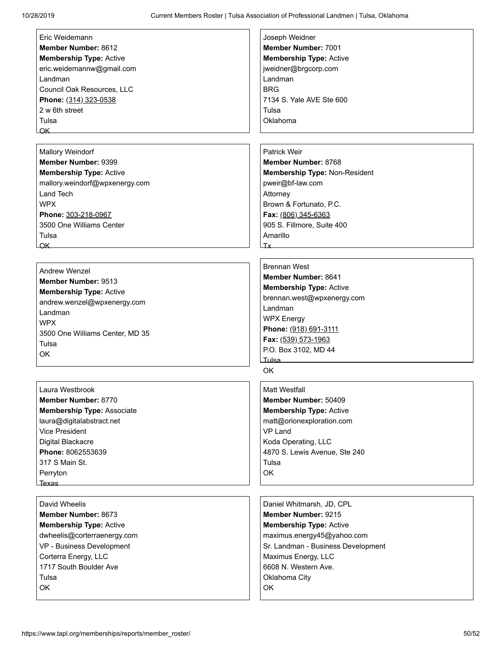| Eric Weidemann                    | Joseph Weidner                     |
|-----------------------------------|------------------------------------|
| Member Number: 8612               | Member Number: 7001                |
| <b>Membership Type: Active</b>    | <b>Membership Type: Active</b>     |
| eric.weidemannw@gmail.com         | jweidner@brgcorp.com               |
| Landman                           | Landman                            |
| Council Oak Resources, LLC        | <b>BRG</b>                         |
| Phone: (314) 323-0538             | 7134 S. Yale AVE Ste 600           |
| 2 w 6th street                    | Tulsa                              |
| Tulsa                             | Oklahoma                           |
| OK                                |                                    |
|                                   |                                    |
| <b>Mallory Weindorf</b>           | Patrick Weir                       |
| Member Number: 9399               | Member Number: 8768                |
| <b>Membership Type: Active</b>    | Membership Type: Non-Resident      |
| mallory.weindorf@wpxenergy.com    | pweir@bf-law.com                   |
| Land Tech                         | Attorney                           |
| <b>WPX</b>                        | Brown & Fortunato, P.C.            |
| Phone: 303-218-0967               | Fax: (806) 345-6363                |
| 3500 One Williams Center          | 905 S. Fillmore, Suite 400         |
| Tulsa                             | Amarillo                           |
| $\overline{\mathsf{OK}}$          | Tx                                 |
|                                   |                                    |
| <b>Andrew Wenzel</b>              | <b>Brennan West</b>                |
| Member Number: 9513               | Member Number: 8641                |
| <b>Membership Type: Active</b>    | <b>Membership Type: Active</b>     |
| andrew.wenzel@wpxenergy.com       | brennan.west@wpxenergy.com         |
| Landman                           | Landman                            |
| <b>WPX</b>                        | <b>WPX Energy</b>                  |
| 3500 One Williams Center, MD 35   | Phone: (918) 691-3111              |
| Tulsa                             | Fax: (539) 573-1963                |
| OK                                | P.O. Box 3102, MD 44               |
|                                   | Tulsa <sub>—</sub><br><b>OK</b>    |
|                                   |                                    |
| Laura Westbrook                   | <b>Matt Westfall</b>               |
| Member Number: 8770               | Member Number: 50409               |
| <b>Membership Type: Associate</b> | <b>Membership Type: Active</b>     |
| laura@digitalabstract.net         | matt@orionexploration.com          |
| <b>Vice President</b>             | <b>VP Land</b>                     |
| Digital Blackacre                 | Koda Operating, LLC                |
| Phone: 8062553639                 | 4870 S. Lewis Avenue, Ste 240      |
| 317 S Main St.                    | Tulsa                              |
| Perryton                          | OK                                 |
| LTexas                            |                                    |
| David Wheelis                     | Daniel Whitmarsh, JD, CPL          |
| Member Number: 8673               | Member Number: 9215                |
| <b>Membership Type: Active</b>    | <b>Membership Type: Active</b>     |
| dwheelis@corterraenergy.com       | maximus.energy45@yahoo.com         |
| VP - Business Development         | Sr. Landman - Business Development |
| Corterra Energy, LLC              | Maximus Energy, LLC                |
| 1717 South Boulder Ave            | 6608 N. Western Ave.               |
| Tulsa                             | Oklahoma City                      |
| OK                                | OK                                 |
|                                   |                                    |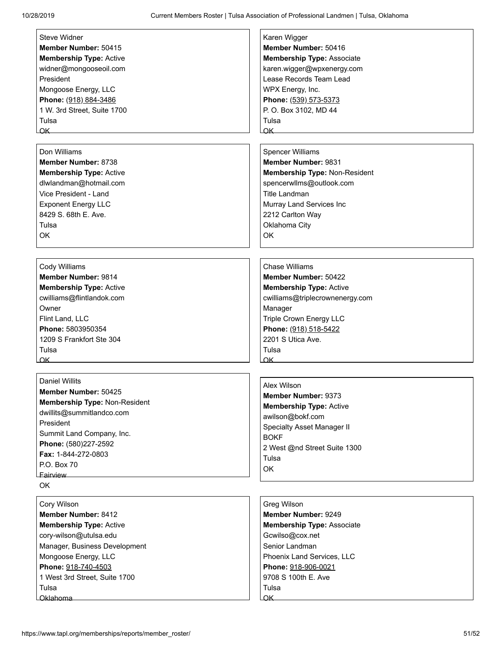| <b>Steve Widner</b>            | Karen Wigger                      |
|--------------------------------|-----------------------------------|
| Member Number: 50415           | Member Number: 50416              |
| <b>Membership Type: Active</b> | <b>Membership Type: Associate</b> |
| widner@mongooseoil.com         | karen.wigger@wpxenergy.com        |
| President                      | Lease Records Team Lead           |
| Mongoose Energy, LLC           | WPX Energy, Inc.                  |
| Phone: (918) 884-3486          | Phone: (539) 573-5373             |
| 1 W. 3rd Street, Suite 1700    | P. O. Box 3102, MD 44             |
| Tulsa                          | Tulsa                             |
| OK                             | $\alpha$ K                        |
|                                |                                   |
| Don Williams                   | <b>Spencer Williams</b>           |
| Member Number: 8738            | Member Number: 9831               |
| <b>Membership Type: Active</b> | Membership Type: Non-Resident     |
| dlwlandman@hotmail.com         | spencerwllms@outlook.com          |
| Vice President - Land          | <b>Title Landman</b>              |
| <b>Exponent Energy LLC</b>     | Murray Land Services Inc          |
| 8429 S. 68th E. Ave.           | 2212 Carlton Way                  |
| Tulsa                          | Oklahoma City                     |
| OK                             | OK                                |
|                                |                                   |
|                                |                                   |
| Cody Williams                  | Chase Williams                    |
| <b>Member Number: 9814</b>     | <b>Member Number: 50422</b>       |
| <b>Membership Type: Active</b> | <b>Membership Type: Active</b>    |
| cwilliams@flintlandok.com      | cwilliams@triplecrownenergy.com   |
| Owner                          | Manager                           |
| Flint Land, LLC                | Triple Crown Energy LLC           |
| Phone: 5803950354              | Phone: (918) 518-5422             |
| 1209 S Frankfort Ste 304       | 2201 S Utica Ave.                 |
| Tulsa                          | Tulsa                             |
| OK                             | $\overline{\mathsf{OK}}$          |
|                                |                                   |
| <b>Daniel Willits</b>          | Alex Wilson                       |
| <b>Member Number: 50425</b>    | <b>Member Number: 9373</b>        |
| Membership Type: Non-Resident  | <b>Membership Type: Active</b>    |
| dwillits@summitlandco.com      | awilson@bokf.com                  |
| President                      | <b>Specialty Asset Manager II</b> |
| Summit Land Company, Inc.      | <b>BOKF</b>                       |
| Phone: (580)227-2592           | 2 West @nd Street Suite 1300      |
| Fax: 1-844-272-0803            | Tulsa                             |
| P.O. Box 70                    | OK                                |
| Fairview<br>OK                 |                                   |
|                                |                                   |
| Cory Wilson                    | Greg Wilson                       |
| Member Number: 8412            | Member Number: 9249               |
| <b>Membership Type: Active</b> | <b>Membership Type: Associate</b> |
| cory-wilson@utulsa.edu         | Gcwilso@cox.net                   |
| Manager, Business Development  | Senior Landman                    |
| Mongoose Energy, LLC           | Phoenix Land Services, LLC        |
| Phone: 918-740-4503            | Phone: 918-906-0021               |
| 1 West 3rd Street, Suite 1700  | 9708 S 100th E. Ave               |
| Tulsa                          | Tulsa                             |
|                                | OK                                |